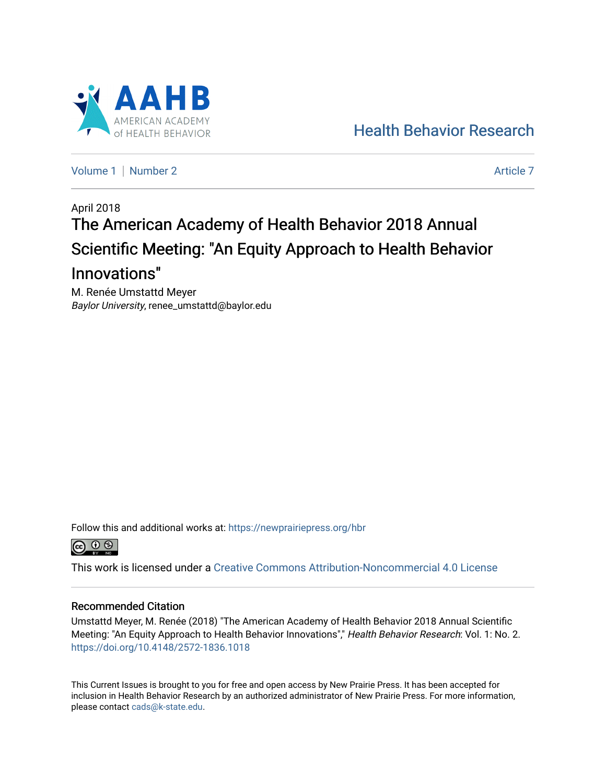

[Health Behavior Research](https://newprairiepress.org/hbr) 

[Volume 1](https://newprairiepress.org/hbr/vol1) | [Number 2](https://newprairiepress.org/hbr/vol1/iss2) Article 7

# April 2018 The American Academy of Health Behavior 2018 Annual Scientific Meeting: "An Equity Approach to Health Behavior Innovations"

M. Renée Umstattd Meyer Baylor University, renee\_umstattd@baylor.edu

Follow this and additional works at: [https://newprairiepress.org/hbr](https://newprairiepress.org/hbr?utm_source=newprairiepress.org%2Fhbr%2Fvol1%2Fiss2%2F7&utm_medium=PDF&utm_campaign=PDFCoverPages) 



This work is licensed under a [Creative Commons Attribution-Noncommercial 4.0 License](https://creativecommons.org/licenses/by-nc/4.0/)

#### Recommended Citation

Umstattd Meyer, M. Renée (2018) "The American Academy of Health Behavior 2018 Annual Scientific Meeting: "An Equity Approach to Health Behavior Innovations"," Health Behavior Research: Vol. 1: No. 2. <https://doi.org/10.4148/2572-1836.1018>

This Current Issues is brought to you for free and open access by New Prairie Press. It has been accepted for inclusion in Health Behavior Research by an authorized administrator of New Prairie Press. For more information, please contact [cads@k-state.edu.](mailto:cads@k-state.edu)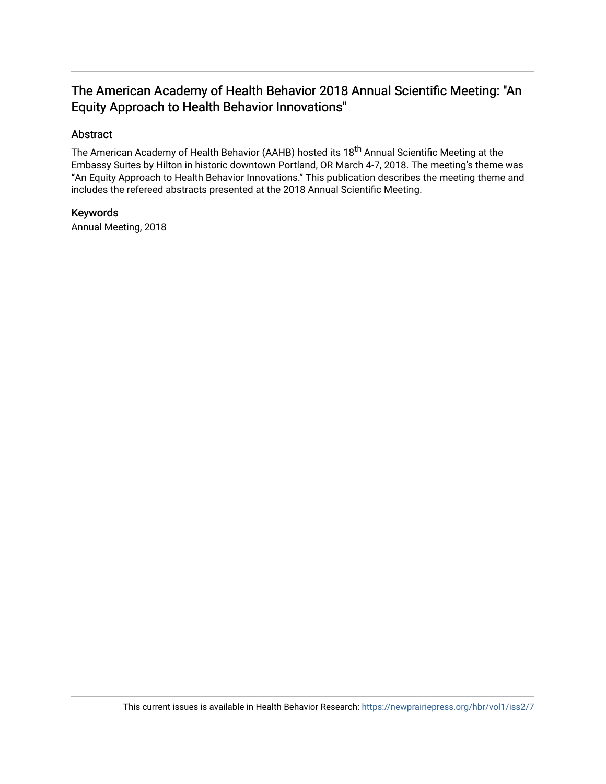## The American Academy of Health Behavior 2018 Annual Scientific Meeting: "An Equity Approach to Health Behavior Innovations"

## Abstract

The American Academy of Health Behavior (AAHB) hosted its 18<sup>th</sup> Annual Scientific Meeting at the Embassy Suites by Hilton in historic downtown Portland, OR March 4-7, 2018. The meeting's theme was "An Equity Approach to Health Behavior Innovations." This publication describes the meeting theme and includes the refereed abstracts presented at the 2018 Annual Scientific Meeting.

## Keywords

Annual Meeting, 2018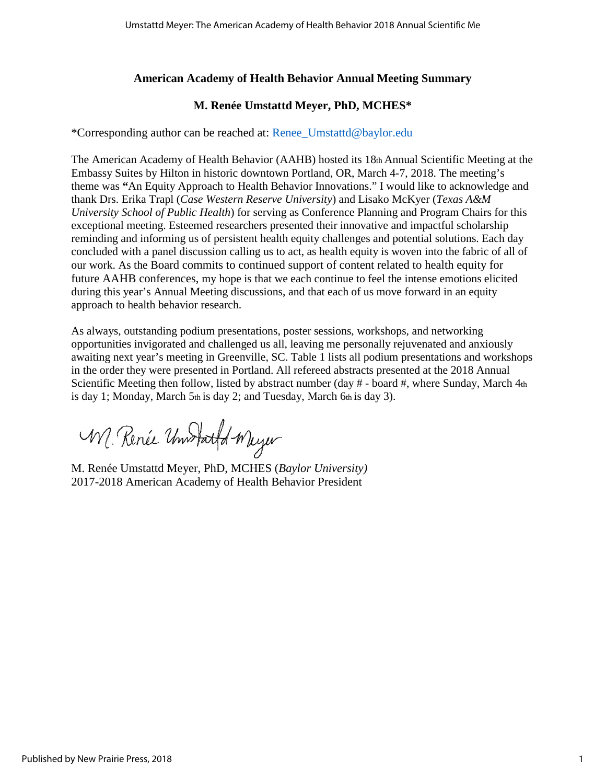## **American Academy of Health Behavior Annual Meeting Summary**

## **M. Renée Umstattd Meyer, PhD, MCHES\***

\*Corresponding author can be reached at: Renee\_Umstattd@baylor.edu

The American Academy of Health Behavior (AAHB) hosted its 18th Annual Scientific Meeting at the Embassy Suites by Hilton in historic downtown Portland, OR, March 4-7, 2018. The meeting's theme was **"**An Equity Approach to Health Behavior Innovations." I would like to acknowledge and thank Drs. Erika Trapl (*Case Western Reserve University*) and Lisako McKyer (*Texas A&M University School of Public Health*) for serving as Conference Planning and Program Chairs for this exceptional meeting. Esteemed researchers presented their innovative and impactful scholarship reminding and informing us of persistent health equity challenges and potential solutions. Each day concluded with a panel discussion calling us to act, as health equity is woven into the fabric of all of our work. As the Board commits to continued support of content related to health equity for future AAHB conferences, my hope is that we each continue to feel the intense emotions elicited during this year's Annual Meeting discussions, and that each of us move forward in an equity approach to health behavior research.

As always, outstanding podium presentations, poster sessions, workshops, and networking opportunities invigorated and challenged us all, leaving me personally rejuvenated and anxiously awaiting next year's meeting in Greenville, SC. Table 1 lists all podium presentations and workshops in the order they were presented in Portland. All refereed abstracts presented at the 2018 Annual Scientific Meeting then follow, listed by abstract number (day # - board #, where Sunday, March 4th is day 1; Monday, March 5th is day 2; and Tuesday, March 6th is day 3).

W. Renée Undfattd Wuyer

M. Renée Umstattd Meyer, PhD, MCHES (*Baylor University)* 2017-2018 American Academy of Health Behavior President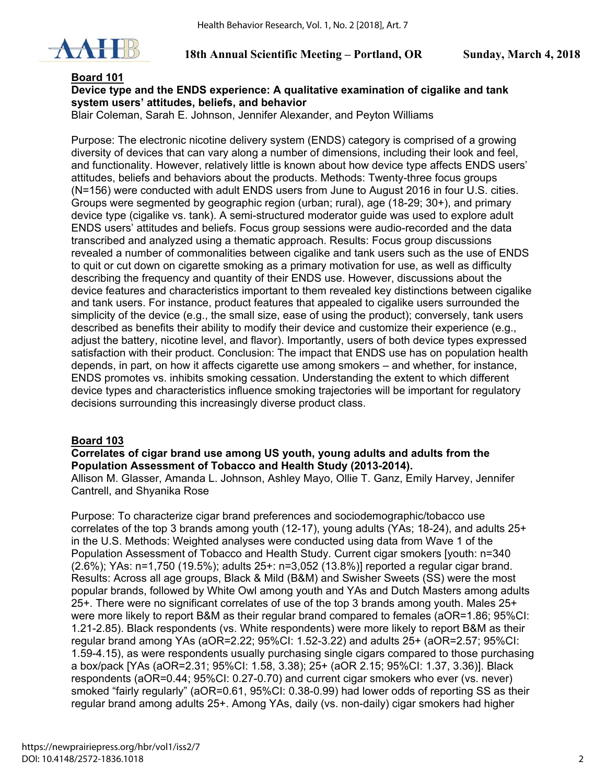

## **Board 101**

## **Device type and the ENDS experience: A qualitative examination of cigalike and tank system users' attitudes, beliefs, and behavior**

Blair Coleman, Sarah E. Johnson, Jennifer Alexander, and Peyton Williams

Purpose: The electronic nicotine delivery system (ENDS) category is comprised of a growing diversity of devices that can vary along a number of dimensions, including their look and feel, and functionality. However, relatively little is known about how device type affects ENDS users' attitudes, beliefs and behaviors about the products. Methods: Twenty-three focus groups (N=156) were conducted with adult ENDS users from June to August 2016 in four U.S. cities. Groups were segmented by geographic region (urban; rural), age (18-29; 30+), and primary device type (cigalike vs. tank). A semi-structured moderator guide was used to explore adult ENDS users' attitudes and beliefs. Focus group sessions were audio-recorded and the data transcribed and analyzed using a thematic approach. Results: Focus group discussions revealed a number of commonalities between cigalike and tank users such as the use of ENDS to quit or cut down on cigarette smoking as a primary motivation for use, as well as difficulty describing the frequency and quantity of their ENDS use. However, discussions about the device features and characteristics important to them revealed key distinctions between cigalike and tank users. For instance, product features that appealed to cigalike users surrounded the simplicity of the device (e.g., the small size, ease of using the product); conversely, tank users described as benefits their ability to modify their device and customize their experience (e.g., adjust the battery, nicotine level, and flavor). Importantly, users of both device types expressed satisfaction with their product. Conclusion: The impact that ENDS use has on population health depends, in part, on how it affects cigarette use among smokers – and whether, for instance, ENDS promotes vs. inhibits smoking cessation. Understanding the extent to which different device types and characteristics influence smoking trajectories will be important for regulatory decisions surrounding this increasingly diverse product class.

## **Board 103**

#### **Correlates of cigar brand use among US youth, young adults and adults from the Population Assessment of Tobacco and Health Study (2013-2014).**

Allison M. Glasser, Amanda L. Johnson, Ashley Mayo, Ollie T. Ganz, Emily Harvey, Jennifer Cantrell, and Shyanika Rose

Purpose: To characterize cigar brand preferences and sociodemographic/tobacco use correlates of the top 3 brands among youth (12-17), young adults (YAs; 18-24), and adults 25+ in the U.S. Methods: Weighted analyses were conducted using data from Wave 1 of the Population Assessment of Tobacco and Health Study. Current cigar smokers [youth: n=340 (2.6%); YAs: n=1,750 (19.5%); adults 25+: n=3,052 (13.8%)] reported a regular cigar brand. Results: Across all age groups, Black & Mild (B&M) and Swisher Sweets (SS) were the most popular brands, followed by White Owl among youth and YAs and Dutch Masters among adults 25+. There were no significant correlates of use of the top 3 brands among youth. Males 25+ were more likely to report B&M as their regular brand compared to females (aOR=1.86; 95%CI: 1.21-2.85). Black respondents (vs. White respondents) were more likely to report B&M as their regular brand among YAs (aOR=2.22; 95%CI: 1.52-3.22) and adults 25+ (aOR=2.57; 95%CI: 1.59-4.15), as were respondents usually purchasing single cigars compared to those purchasing a box/pack [YAs (aOR=2.31; 95%CI: 1.58, 3.38); 25+ (aOR 2.15; 95%CI: 1.37, 3.36)]. Black respondents (aOR=0.44; 95%CI: 0.27-0.70) and current cigar smokers who ever (vs. never) smoked "fairly regularly" (aOR=0.61, 95%CI: 0.38-0.99) had lower odds of reporting SS as their regular brand among adults 25+. Among YAs, daily (vs. non-daily) cigar smokers had higher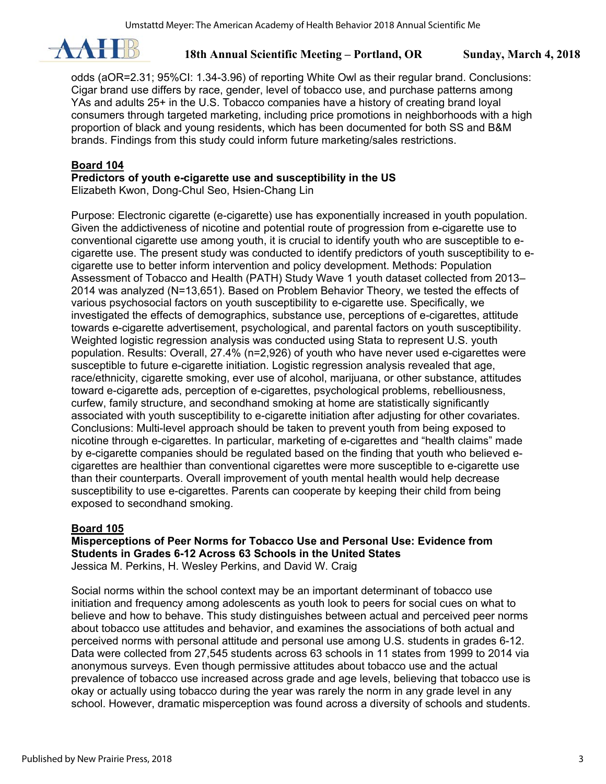

odds (aOR=2.31; 95%CI: 1.34-3.96) of reporting White Owl as their regular brand. Conclusions: Cigar brand use differs by race, gender, level of tobacco use, and purchase patterns among YAs and adults 25+ in the U.S. Tobacco companies have a history of creating brand loyal consumers through targeted marketing, including price promotions in neighborhoods with a high proportion of black and young residents, which has been documented for both SS and B&M brands. Findings from this study could inform future marketing/sales restrictions.

## **Board 104**

**Predictors of youth e-cigarette use and susceptibility in the US** 

Elizabeth Kwon, Dong-Chul Seo, Hsien-Chang Lin

Purpose: Electronic cigarette (e-cigarette) use has exponentially increased in youth population. Given the addictiveness of nicotine and potential route of progression from e-cigarette use to conventional cigarette use among youth, it is crucial to identify youth who are susceptible to ecigarette use. The present study was conducted to identify predictors of youth susceptibility to ecigarette use to better inform intervention and policy development. Methods: Population Assessment of Tobacco and Health (PATH) Study Wave 1 youth dataset collected from 2013– 2014 was analyzed (N=13,651). Based on Problem Behavior Theory, we tested the effects of various psychosocial factors on youth susceptibility to e-cigarette use. Specifically, we investigated the effects of demographics, substance use, perceptions of e-cigarettes, attitude towards e-cigarette advertisement, psychological, and parental factors on youth susceptibility. Weighted logistic regression analysis was conducted using Stata to represent U.S. youth population. Results: Overall, 27.4% (n=2,926) of youth who have never used e-cigarettes were susceptible to future e-cigarette initiation. Logistic regression analysis revealed that age, race/ethnicity, cigarette smoking, ever use of alcohol, marijuana, or other substance, attitudes toward e-cigarette ads, perception of e-cigarettes, psychological problems, rebelliousness, curfew, family structure, and secondhand smoking at home are statistically significantly associated with youth susceptibility to e-cigarette initiation after adjusting for other covariates. Conclusions: Multi-level approach should be taken to prevent youth from being exposed to nicotine through e-cigarettes. In particular, marketing of e-cigarettes and "health claims" made by e-cigarette companies should be regulated based on the finding that youth who believed ecigarettes are healthier than conventional cigarettes were more susceptible to e-cigarette use than their counterparts. Overall improvement of youth mental health would help decrease susceptibility to use e-cigarettes. Parents can cooperate by keeping their child from being exposed to secondhand smoking.

## **Board 105**

**Misperceptions of Peer Norms for Tobacco Use and Personal Use: Evidence from Students in Grades 6-12 Across 63 Schools in the United States**  Jessica M. Perkins, H. Wesley Perkins, and David W. Craig

Social norms within the school context may be an important determinant of tobacco use initiation and frequency among adolescents as youth look to peers for social cues on what to believe and how to behave. This study distinguishes between actual and perceived peer norms about tobacco use attitudes and behavior, and examines the associations of both actual and perceived norms with personal attitude and personal use among U.S. students in grades 6-12. Data were collected from 27,545 students across 63 schools in 11 states from 1999 to 2014 via anonymous surveys. Even though permissive attitudes about tobacco use and the actual prevalence of tobacco use increased across grade and age levels, believing that tobacco use is okay or actually using tobacco during the year was rarely the norm in any grade level in any school. However, dramatic misperception was found across a diversity of schools and students.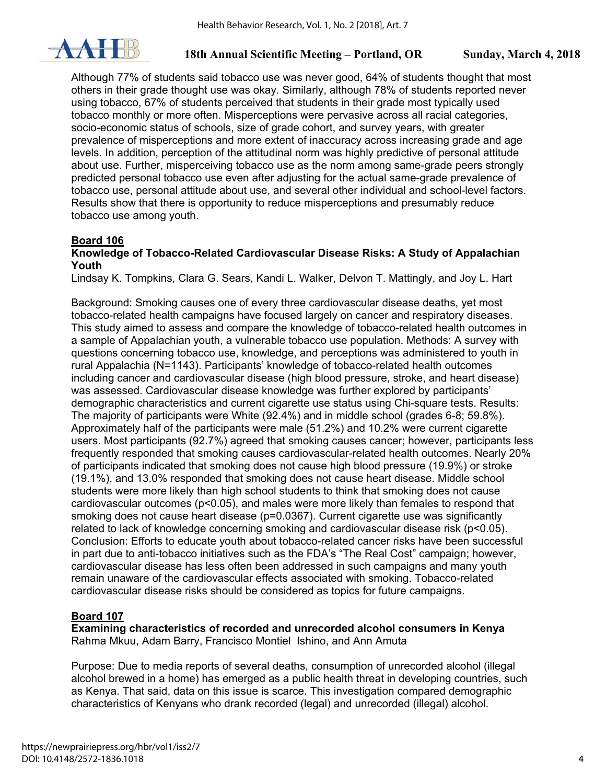

Although 77% of students said tobacco use was never good, 64% of students thought that most others in their grade thought use was okay. Similarly, although 78% of students reported never using tobacco, 67% of students perceived that students in their grade most typically used tobacco monthly or more often. Misperceptions were pervasive across all racial categories, socio-economic status of schools, size of grade cohort, and survey years, with greater prevalence of misperceptions and more extent of inaccuracy across increasing grade and age levels. In addition, perception of the attitudinal norm was highly predictive of personal attitude about use. Further, misperceiving tobacco use as the norm among same-grade peers strongly predicted personal tobacco use even after adjusting for the actual same-grade prevalence of tobacco use, personal attitude about use, and several other individual and school-level factors. Results show that there is opportunity to reduce misperceptions and presumably reduce tobacco use among youth.

## **Board 106**

### **Knowledge of Tobacco-Related Cardiovascular Disease Risks: A Study of Appalachian Youth**

Lindsay K. Tompkins, Clara G. Sears, Kandi L. Walker, Delvon T. Mattingly, and Joy L. Hart

Background: Smoking causes one of every three cardiovascular disease deaths, yet most tobacco-related health campaigns have focused largely on cancer and respiratory diseases. This study aimed to assess and compare the knowledge of tobacco-related health outcomes in a sample of Appalachian youth, a vulnerable tobacco use population. Methods: A survey with questions concerning tobacco use, knowledge, and perceptions was administered to youth in rural Appalachia (N=1143). Participants' knowledge of tobacco-related health outcomes including cancer and cardiovascular disease (high blood pressure, stroke, and heart disease) was assessed. Cardiovascular disease knowledge was further explored by participants' demographic characteristics and current cigarette use status using Chi-square tests. Results: The majority of participants were White (92.4%) and in middle school (grades 6-8; 59.8%). Approximately half of the participants were male (51.2%) and 10.2% were current cigarette users. Most participants (92.7%) agreed that smoking causes cancer; however, participants less frequently responded that smoking causes cardiovascular-related health outcomes. Nearly 20% of participants indicated that smoking does not cause high blood pressure (19.9%) or stroke (19.1%), and 13.0% responded that smoking does not cause heart disease. Middle school students were more likely than high school students to think that smoking does not cause cardiovascular outcomes (p<0.05), and males were more likely than females to respond that smoking does not cause heart disease (p=0.0367). Current cigarette use was significantly related to lack of knowledge concerning smoking and cardiovascular disease risk (p<0.05). Conclusion: Efforts to educate youth about tobacco-related cancer risks have been successful in part due to anti-tobacco initiatives such as the FDA's "The Real Cost" campaign; however, cardiovascular disease has less often been addressed in such campaigns and many youth remain unaware of the cardiovascular effects associated with smoking. Tobacco-related cardiovascular disease risks should be considered as topics for future campaigns.

## **Board 107**

**Examining characteristics of recorded and unrecorded alcohol consumers in Kenya**  Rahma Mkuu, Adam Barry, Francisco Montiel Ishino, and Ann Amuta

Purpose: Due to media reports of several deaths, consumption of unrecorded alcohol (illegal alcohol brewed in a home) has emerged as a public health threat in developing countries, such as Kenya. That said, data on this issue is scarce. This investigation compared demographic characteristics of Kenyans who drank recorded (legal) and unrecorded (illegal) alcohol.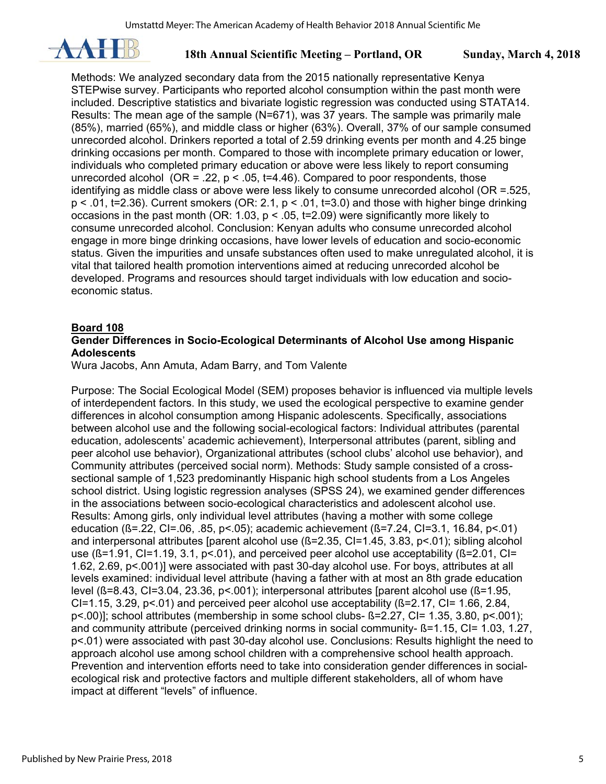

Methods: We analyzed secondary data from the 2015 nationally representative Kenya STEPwise survey. Participants who reported alcohol consumption within the past month were included. Descriptive statistics and bivariate logistic regression was conducted using STATA14. Results: The mean age of the sample (N=671), was 37 years. The sample was primarily male (85%), married (65%), and middle class or higher (63%). Overall, 37% of our sample consumed unrecorded alcohol. Drinkers reported a total of 2.59 drinking events per month and 4.25 binge drinking occasions per month. Compared to those with incomplete primary education or lower, individuals who completed primary education or above were less likely to report consuming unrecorded alcohol (OR = .22,  $p < .05$ , t=4.46). Compared to poor respondents, those identifying as middle class or above were less likely to consume unrecorded alcohol (OR =.525,  $p < .01$ , t=2.36). Current smokers (OR: 2.1,  $p < .01$ , t=3.0) and those with higher binge drinking occasions in the past month (OR: 1.03,  $p < .05$ , t=2.09) were significantly more likely to consume unrecorded alcohol. Conclusion: Kenyan adults who consume unrecorded alcohol engage in more binge drinking occasions, have lower levels of education and socio-economic status. Given the impurities and unsafe substances often used to make unregulated alcohol, it is vital that tailored health promotion interventions aimed at reducing unrecorded alcohol be developed. Programs and resources should target individuals with low education and socioeconomic status.

## **Board 108**

## **Gender Differences in Socio-Ecological Determinants of Alcohol Use among Hispanic Adolescents**

Wura Jacobs, Ann Amuta, Adam Barry, and Tom Valente

Purpose: The Social Ecological Model (SEM) proposes behavior is influenced via multiple levels of interdependent factors. In this study, we used the ecological perspective to examine gender differences in alcohol consumption among Hispanic adolescents. Specifically, associations between alcohol use and the following social-ecological factors: Individual attributes (parental education, adolescents' academic achievement), Interpersonal attributes (parent, sibling and peer alcohol use behavior), Organizational attributes (school clubs' alcohol use behavior), and Community attributes (perceived social norm). Methods: Study sample consisted of a crosssectional sample of 1,523 predominantly Hispanic high school students from a Los Angeles school district. Using logistic regression analyses (SPSS 24), we examined gender differences in the associations between socio-ecological characteristics and adolescent alcohol use. Results: Among girls, only individual level attributes (having a mother with some college education (ß=.22, CI=.06, .85, p<.05); academic achievement (ß=7.24, CI=3.1, 16.84, p<.01) and interpersonal attributes [parent alcohol use (ß=2.35, CI=1.45, 3.83, p<.01); sibling alcohol use (ß=1.91, CI=1.19, 3.1, p<.01), and perceived peer alcohol use acceptability (ß=2.01, CI= 1.62, 2.69, p<.001)] were associated with past 30-day alcohol use. For boys, attributes at all levels examined: individual level attribute (having a father with at most an 8th grade education level (ß=8.43, CI=3.04, 23.36, p<.001); interpersonal attributes [parent alcohol use (ß=1.95, CI=1.15, 3.29,  $p<01$  and perceived peer alcohol use acceptability ( $\beta$ =2.17, CI= 1.66, 2.84, p<.00)]; school attributes (membership in some school clubs- ß=2.27, CI= 1.35, 3.80, p<.001); and community attribute (perceived drinking norms in social community- ß=1.15, CI= 1.03, 1.27, p<.01) were associated with past 30-day alcohol use. Conclusions: Results highlight the need to approach alcohol use among school children with a comprehensive school health approach. Prevention and intervention efforts need to take into consideration gender differences in socialecological risk and protective factors and multiple different stakeholders, all of whom have impact at different "levels" of influence.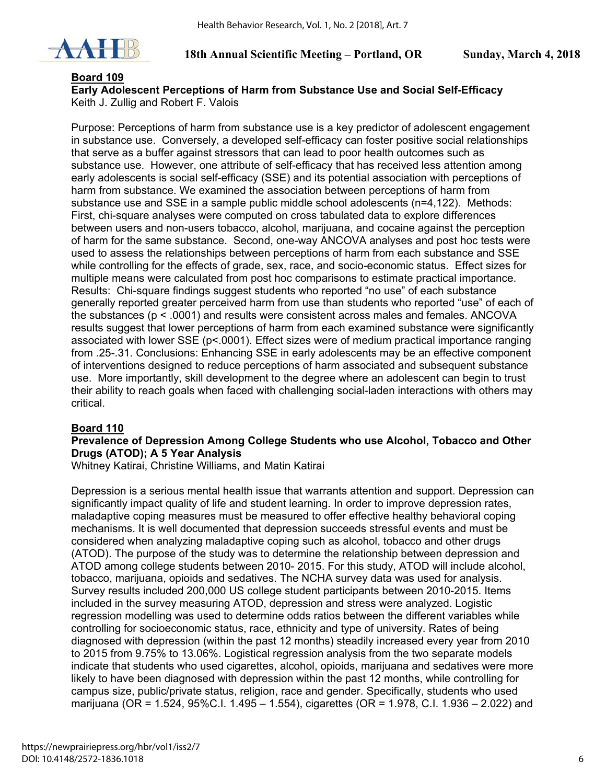

### **Board 109**

**Early Adolescent Perceptions of Harm from Substance Use and Social Self-Efficacy**  Keith J. Zullig and Robert F. Valois

Purpose: Perceptions of harm from substance use is a key predictor of adolescent engagement in substance use. Conversely, a developed self-efficacy can foster positive social relationships that serve as a buffer against stressors that can lead to poor health outcomes such as substance use. However, one attribute of self-efficacy that has received less attention among early adolescents is social self-efficacy (SSE) and its potential association with perceptions of harm from substance. We examined the association between perceptions of harm from substance use and SSE in a sample public middle school adolescents (n=4,122). Methods: First, chi-square analyses were computed on cross tabulated data to explore differences between users and non-users tobacco, alcohol, marijuana, and cocaine against the perception of harm for the same substance. Second, one-way ANCOVA analyses and post hoc tests were used to assess the relationships between perceptions of harm from each substance and SSE while controlling for the effects of grade, sex, race, and socio-economic status. Effect sizes for multiple means were calculated from post hoc comparisons to estimate practical importance. Results: Chi-square findings suggest students who reported "no use" of each substance generally reported greater perceived harm from use than students who reported "use" of each of the substances (p < .0001) and results were consistent across males and females. ANCOVA results suggest that lower perceptions of harm from each examined substance were significantly associated with lower SSE (p<.0001). Effect sizes were of medium practical importance ranging from .25-.31. Conclusions: Enhancing SSE in early adolescents may be an effective component of interventions designed to reduce perceptions of harm associated and subsequent substance use. More importantly, skill development to the degree where an adolescent can begin to trust their ability to reach goals when faced with challenging social-laden interactions with others may critical.

## **Board 110**

#### **Prevalence of Depression Among College Students who use Alcohol, Tobacco and Other Drugs (ATOD); A 5 Year Analysis**

Whitney Katirai, Christine Williams, and Matin Katirai

Depression is a serious mental health issue that warrants attention and support. Depression can significantly impact quality of life and student learning. In order to improve depression rates, maladaptive coping measures must be measured to offer effective healthy behavioral coping mechanisms. It is well documented that depression succeeds stressful events and must be considered when analyzing maladaptive coping such as alcohol, tobacco and other drugs (ATOD). The purpose of the study was to determine the relationship between depression and ATOD among college students between 2010- 2015. For this study, ATOD will include alcohol, tobacco, marijuana, opioids and sedatives. The NCHA survey data was used for analysis. Survey results included 200,000 US college student participants between 2010-2015. Items included in the survey measuring ATOD, depression and stress were analyzed. Logistic regression modelling was used to determine odds ratios between the different variables while controlling for socioeconomic status, race, ethnicity and type of university. Rates of being diagnosed with depression (within the past 12 months) steadily increased every year from 2010 to 2015 from 9.75% to 13.06%. Logistical regression analysis from the two separate models indicate that students who used cigarettes, alcohol, opioids, marijuana and sedatives were more likely to have been diagnosed with depression within the past 12 months, while controlling for campus size, public/private status, religion, race and gender. Specifically, students who used marijuana (OR = 1.524, 95%C.I. 1.495 – 1.554), cigarettes (OR = 1.978, C.I. 1.936 – 2.022) and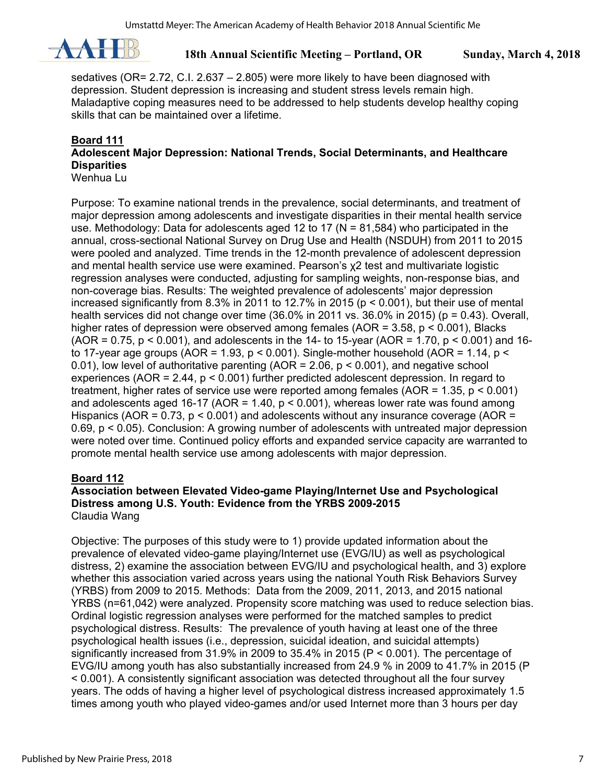

sedatives (OR=  $2.72$ , C.I.  $2.637 - 2.805$ ) were more likely to have been diagnosed with depression. Student depression is increasing and student stress levels remain high. Maladaptive coping measures need to be addressed to help students develop healthy coping skills that can be maintained over a lifetime.

## **Board 111**

## **Adolescent Major Depression: National Trends, Social Determinants, and Healthcare Disparities**

Wenhua Lu

Purpose: To examine national trends in the prevalence, social determinants, and treatment of major depression among adolescents and investigate disparities in their mental health service use. Methodology: Data for adolescents aged 12 to 17 (N = 81,584) who participated in the annual, cross-sectional National Survey on Drug Use and Health (NSDUH) from 2011 to 2015 were pooled and analyzed. Time trends in the 12-month prevalence of adolescent depression and mental health service use were examined. Pearson's χ2 test and multivariate logistic regression analyses were conducted, adjusting for sampling weights, non-response bias, and non-coverage bias. Results: The weighted prevalence of adolescents' major depression increased significantly from 8.3% in 2011 to 12.7% in 2015 ( $p < 0.001$ ), but their use of mental health services did not change over time  $(36.0\%$  in 2011 vs.  $36.0\%$  in 2015) (p = 0.43). Overall, higher rates of depression were observed among females ( $AOR = 3.58$ ,  $p < 0.001$ ), Blacks (AOR = 0.75,  $p < 0.001$ ), and adolescents in the 14- to 15-year (AOR = 1.70,  $p < 0.001$ ) and 16to 17-year age groups (AOR = 1.93,  $p < 0.001$ ). Single-mother household (AOR = 1.14,  $p <$ 0.01), low level of authoritative parenting  $(AOR = 2.06, p < 0.001)$ , and negative school experiences (AOR =  $2.44$ ,  $p < 0.001$ ) further predicted adolescent depression. In regard to treatment, higher rates of service use were reported among females (AOR = 1.35, p < 0.001) and adolescents aged 16-17 (AOR = 1.40,  $p < 0.001$ ), whereas lower rate was found among Hispanics (AOR =  $0.73$ ,  $p \le 0.001$ ) and adolescents without any insurance coverage (AOR = 0.69, p < 0.05). Conclusion: A growing number of adolescents with untreated major depression were noted over time. Continued policy efforts and expanded service capacity are warranted to promote mental health service use among adolescents with major depression.

## **Board 112**

#### **Association between Elevated Video-game Playing/Internet Use and Psychological Distress among U.S. Youth: Evidence from the YRBS 2009-2015**  Claudia Wang

Objective: The purposes of this study were to 1) provide updated information about the prevalence of elevated video-game playing/Internet use (EVG/IU) as well as psychological distress, 2) examine the association between EVG/IU and psychological health, and 3) explore whether this association varied across years using the national Youth Risk Behaviors Survey (YRBS) from 2009 to 2015. Methods: Data from the 2009, 2011, 2013, and 2015 national YRBS (n=61,042) were analyzed. Propensity score matching was used to reduce selection bias. Ordinal logistic regression analyses were performed for the matched samples to predict psychological distress. Results: The prevalence of youth having at least one of the three psychological health issues (i.e., depression, suicidal ideation, and suicidal attempts) significantly increased from 31.9% in 2009 to 35.4% in 2015 (P < 0.001). The percentage of EVG/IU among youth has also substantially increased from 24.9 % in 2009 to 41.7% in 2015 (P < 0.001). A consistently significant association was detected throughout all the four survey years. The odds of having a higher level of psychological distress increased approximately 1.5 times among youth who played video-games and/or used Internet more than 3 hours per day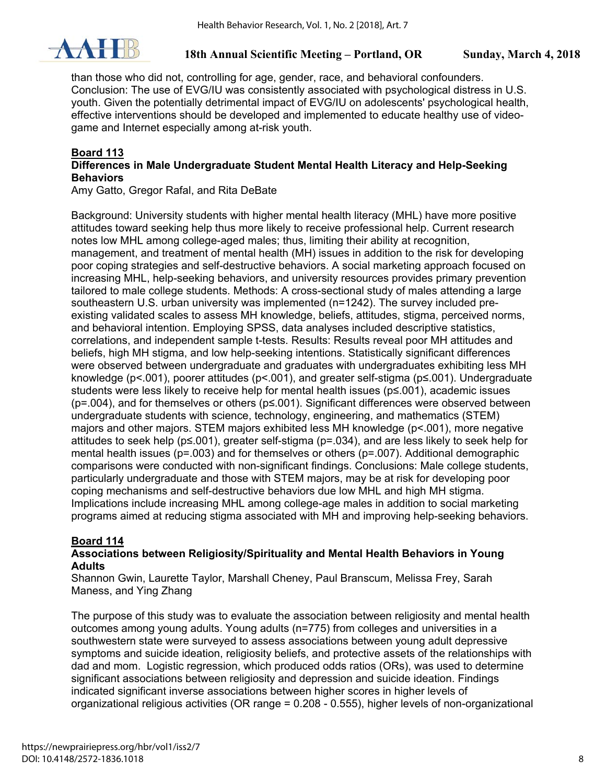

than those who did not, controlling for age, gender, race, and behavioral confounders. Conclusion: The use of EVG/IU was consistently associated with psychological distress in U.S. youth. Given the potentially detrimental impact of EVG/IU on adolescents' psychological health, effective interventions should be developed and implemented to educate healthy use of videogame and Internet especially among at-risk youth.

## **Board 113**

### **Differences in Male Undergraduate Student Mental Health Literacy and Help-Seeking Behaviors**

Amy Gatto, Gregor Rafal, and Rita DeBate

Background: University students with higher mental health literacy (MHL) have more positive attitudes toward seeking help thus more likely to receive professional help. Current research notes low MHL among college-aged males; thus, limiting their ability at recognition, management, and treatment of mental health (MH) issues in addition to the risk for developing poor coping strategies and self-destructive behaviors. A social marketing approach focused on increasing MHL, help-seeking behaviors, and university resources provides primary prevention tailored to male college students. Methods: A cross-sectional study of males attending a large southeastern U.S. urban university was implemented (n=1242). The survey included preexisting validated scales to assess MH knowledge, beliefs, attitudes, stigma, perceived norms, and behavioral intention. Employing SPSS, data analyses included descriptive statistics, correlations, and independent sample t-tests. Results: Results reveal poor MH attitudes and beliefs, high MH stigma, and low help-seeking intentions. Statistically significant differences were observed between undergraduate and graduates with undergraduates exhibiting less MH knowledge (p<.001), poorer attitudes (p<.001), and greater self-stigma (p≤.001). Undergraduate students were less likely to receive help for mental health issues (p≤.001), academic issues (p=.004), and for themselves or others (p≤.001). Significant differences were observed between undergraduate students with science, technology, engineering, and mathematics (STEM) majors and other majors. STEM majors exhibited less MH knowledge (p<.001), more negative attitudes to seek help (p≤.001), greater self-stigma (p=.034), and are less likely to seek help for mental health issues (p=.003) and for themselves or others (p=.007). Additional demographic comparisons were conducted with non-significant findings. Conclusions: Male college students, particularly undergraduate and those with STEM majors, may be at risk for developing poor coping mechanisms and self-destructive behaviors due low MHL and high MH stigma. Implications include increasing MHL among college-age males in addition to social marketing programs aimed at reducing stigma associated with MH and improving help-seeking behaviors.

## **Board 114**

## **Associations between Religiosity/Spirituality and Mental Health Behaviors in Young Adults**

Shannon Gwin, Laurette Taylor, Marshall Cheney, Paul Branscum, Melissa Frey, Sarah Maness, and Ying Zhang

The purpose of this study was to evaluate the association between religiosity and mental health outcomes among young adults. Young adults (n=775) from colleges and universities in a southwestern state were surveyed to assess associations between young adult depressive symptoms and suicide ideation, religiosity beliefs, and protective assets of the relationships with dad and mom. Logistic regression, which produced odds ratios (ORs), was used to determine significant associations between religiosity and depression and suicide ideation. Findings indicated significant inverse associations between higher scores in higher levels of organizational religious activities (OR range = 0.208 - 0.555), higher levels of non-organizational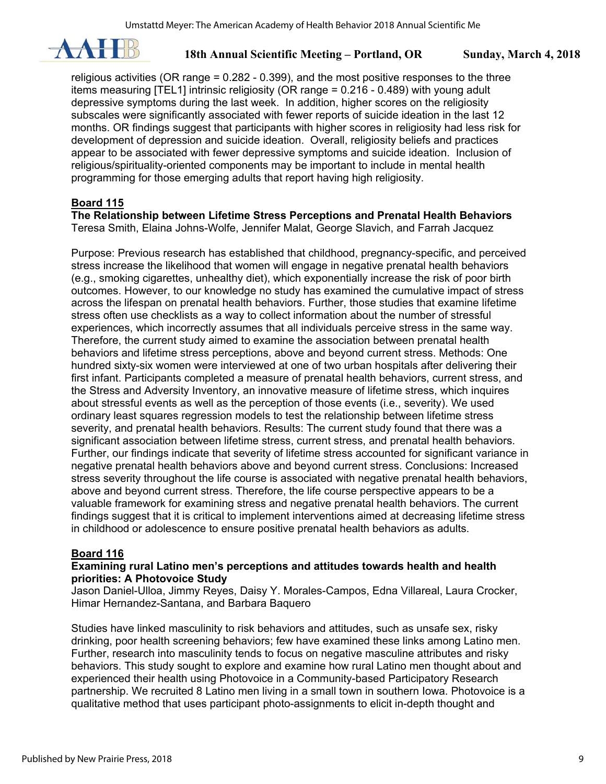

religious activities (OR range = 0.282 - 0.399), and the most positive responses to the three items measuring [TEL1] intrinsic religiosity (OR range = 0.216 - 0.489) with young adult depressive symptoms during the last week. In addition, higher scores on the religiosity subscales were significantly associated with fewer reports of suicide ideation in the last 12 months. OR findings suggest that participants with higher scores in religiosity had less risk for development of depression and suicide ideation. Overall, religiosity beliefs and practices appear to be associated with fewer depressive symptoms and suicide ideation. Inclusion of religious/spirituality-oriented components may be important to include in mental health programming for those emerging adults that report having high religiosity.

## **Board 115**

**The Relationship between Lifetime Stress Perceptions and Prenatal Health Behaviors**  Teresa Smith, Elaina Johns-Wolfe, Jennifer Malat, George Slavich, and Farrah Jacquez

Purpose: Previous research has established that childhood, pregnancy-specific, and perceived stress increase the likelihood that women will engage in negative prenatal health behaviors (e.g., smoking cigarettes, unhealthy diet), which exponentially increase the risk of poor birth outcomes. However, to our knowledge no study has examined the cumulative impact of stress across the lifespan on prenatal health behaviors. Further, those studies that examine lifetime stress often use checklists as a way to collect information about the number of stressful experiences, which incorrectly assumes that all individuals perceive stress in the same way. Therefore, the current study aimed to examine the association between prenatal health behaviors and lifetime stress perceptions, above and beyond current stress. Methods: One hundred sixty-six women were interviewed at one of two urban hospitals after delivering their first infant. Participants completed a measure of prenatal health behaviors, current stress, and the Stress and Adversity Inventory, an innovative measure of lifetime stress, which inquires about stressful events as well as the perception of those events (i.e., severity). We used ordinary least squares regression models to test the relationship between lifetime stress severity, and prenatal health behaviors. Results: The current study found that there was a significant association between lifetime stress, current stress, and prenatal health behaviors. Further, our findings indicate that severity of lifetime stress accounted for significant variance in negative prenatal health behaviors above and beyond current stress. Conclusions: Increased stress severity throughout the life course is associated with negative prenatal health behaviors, above and beyond current stress. Therefore, the life course perspective appears to be a valuable framework for examining stress and negative prenatal health behaviors. The current findings suggest that it is critical to implement interventions aimed at decreasing lifetime stress in childhood or adolescence to ensure positive prenatal health behaviors as adults.

## **Board 116**

#### **Examining rural Latino men's perceptions and attitudes towards health and health priorities: A Photovoice Study**

Jason Daniel-Ulloa, Jimmy Reyes, Daisy Y. Morales-Campos, Edna Villareal, Laura Crocker, Himar Hernandez-Santana, and Barbara Baquero

Studies have linked masculinity to risk behaviors and attitudes, such as unsafe sex, risky drinking, poor health screening behaviors; few have examined these links among Latino men. Further, research into masculinity tends to focus on negative masculine attributes and risky behaviors. This study sought to explore and examine how rural Latino men thought about and experienced their health using Photovoice in a Community-based Participatory Research partnership. We recruited 8 Latino men living in a small town in southern Iowa. Photovoice is a qualitative method that uses participant photo-assignments to elicit in-depth thought and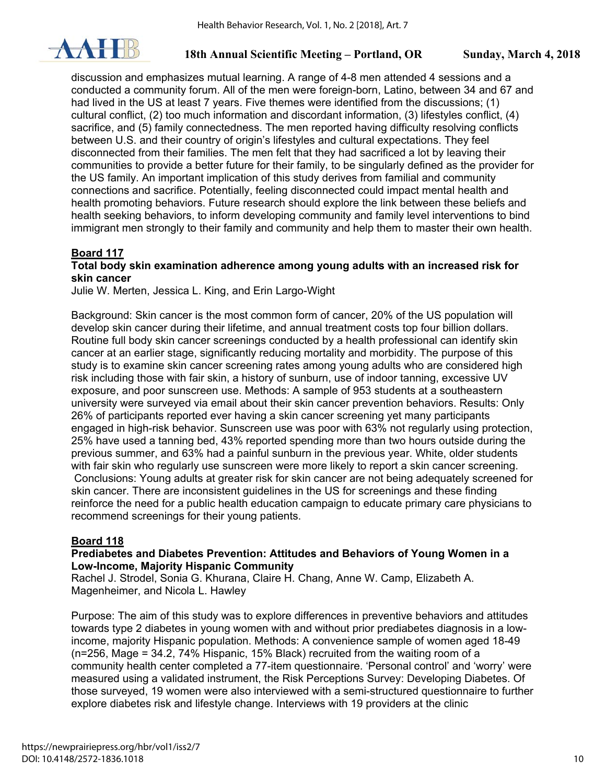

discussion and emphasizes mutual learning. A range of 4-8 men attended 4 sessions and a conducted a community forum. All of the men were foreign-born, Latino, between 34 and 67 and had lived in the US at least 7 years. Five themes were identified from the discussions; (1) cultural conflict, (2) too much information and discordant information, (3) lifestyles conflict, (4) sacrifice, and (5) family connectedness. The men reported having difficulty resolving conflicts between U.S. and their country of origin's lifestyles and cultural expectations. They feel disconnected from their families. The men felt that they had sacrificed a lot by leaving their communities to provide a better future for their family, to be singularly defined as the provider for the US family. An important implication of this study derives from familial and community connections and sacrifice. Potentially, feeling disconnected could impact mental health and health promoting behaviors. Future research should explore the link between these beliefs and health seeking behaviors, to inform developing community and family level interventions to bind immigrant men strongly to their family and community and help them to master their own health.

## **Board 117**

#### **Total body skin examination adherence among young adults with an increased risk for skin cancer**

Julie W. Merten, Jessica L. King, and Erin Largo-Wight

Background: Skin cancer is the most common form of cancer, 20% of the US population will develop skin cancer during their lifetime, and annual treatment costs top four billion dollars. Routine full body skin cancer screenings conducted by a health professional can identify skin cancer at an earlier stage, significantly reducing mortality and morbidity. The purpose of this study is to examine skin cancer screening rates among young adults who are considered high risk including those with fair skin, a history of sunburn, use of indoor tanning, excessive UV exposure, and poor sunscreen use. Methods: A sample of 953 students at a southeastern university were surveyed via email about their skin cancer prevention behaviors. Results: Only 26% of participants reported ever having a skin cancer screening yet many participants engaged in high-risk behavior. Sunscreen use was poor with 63% not regularly using protection, 25% have used a tanning bed, 43% reported spending more than two hours outside during the previous summer, and 63% had a painful sunburn in the previous year. White, older students with fair skin who regularly use sunscreen were more likely to report a skin cancer screening. Conclusions: Young adults at greater risk for skin cancer are not being adequately screened for skin cancer. There are inconsistent guidelines in the US for screenings and these finding reinforce the need for a public health education campaign to educate primary care physicians to recommend screenings for their young patients.

## **Board 118**

#### **Prediabetes and Diabetes Prevention: Attitudes and Behaviors of Young Women in a Low-Income, Majority Hispanic Community**

Rachel J. Strodel, Sonia G. Khurana, Claire H. Chang, Anne W. Camp, Elizabeth A. Magenheimer, and Nicola L. Hawley

Purpose: The aim of this study was to explore differences in preventive behaviors and attitudes towards type 2 diabetes in young women with and without prior prediabetes diagnosis in a lowincome, majority Hispanic population. Methods: A convenience sample of women aged 18-49 (n=256, Mage = 34.2, 74% Hispanic, 15% Black) recruited from the waiting room of a community health center completed a 77-item questionnaire. 'Personal control' and 'worry' were measured using a validated instrument, the Risk Perceptions Survey: Developing Diabetes. Of those surveyed, 19 women were also interviewed with a semi-structured questionnaire to further explore diabetes risk and lifestyle change. Interviews with 19 providers at the clinic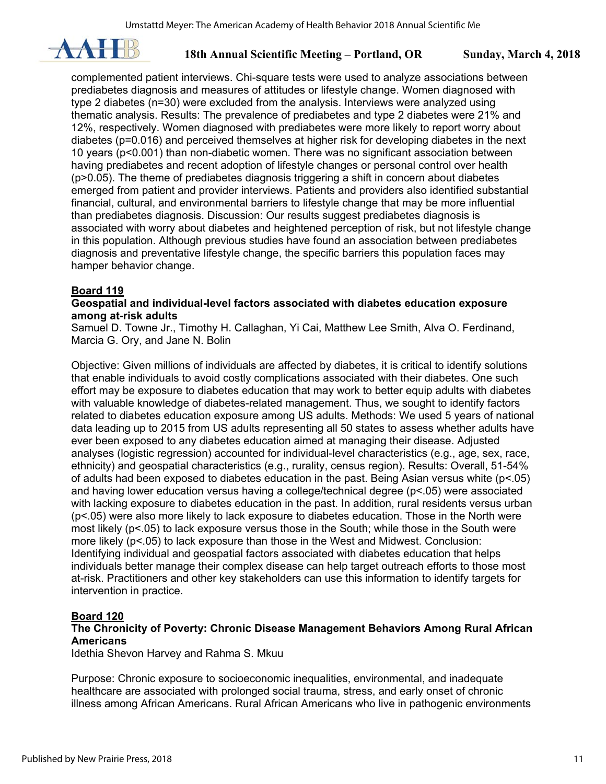

complemented patient interviews. Chi-square tests were used to analyze associations between prediabetes diagnosis and measures of attitudes or lifestyle change. Women diagnosed with type 2 diabetes (n=30) were excluded from the analysis. Interviews were analyzed using thematic analysis. Results: The prevalence of prediabetes and type 2 diabetes were 21% and 12%, respectively. Women diagnosed with prediabetes were more likely to report worry about diabetes (p=0.016) and perceived themselves at higher risk for developing diabetes in the next 10 years (p<0.001) than non-diabetic women. There was no significant association between having prediabetes and recent adoption of lifestyle changes or personal control over health (p>0.05). The theme of prediabetes diagnosis triggering a shift in concern about diabetes emerged from patient and provider interviews. Patients and providers also identified substantial financial, cultural, and environmental barriers to lifestyle change that may be more influential than prediabetes diagnosis. Discussion: Our results suggest prediabetes diagnosis is associated with worry about diabetes and heightened perception of risk, but not lifestyle change in this population. Although previous studies have found an association between prediabetes diagnosis and preventative lifestyle change, the specific barriers this population faces may hamper behavior change.

## **Board 119**

#### **Geospatial and individual-level factors associated with diabetes education exposure among at-risk adults**

Samuel D. Towne Jr., Timothy H. Callaghan, Yi Cai, Matthew Lee Smith, Alva O. Ferdinand, Marcia G. Ory, and Jane N. Bolin

Objective: Given millions of individuals are affected by diabetes, it is critical to identify solutions that enable individuals to avoid costly complications associated with their diabetes. One such effort may be exposure to diabetes education that may work to better equip adults with diabetes with valuable knowledge of diabetes-related management. Thus, we sought to identify factors related to diabetes education exposure among US adults. Methods: We used 5 years of national data leading up to 2015 from US adults representing all 50 states to assess whether adults have ever been exposed to any diabetes education aimed at managing their disease. Adjusted analyses (logistic regression) accounted for individual-level characteristics (e.g., age, sex, race, ethnicity) and geospatial characteristics (e.g., rurality, census region). Results: Overall, 51-54% of adults had been exposed to diabetes education in the past. Being Asian versus white (p<.05) and having lower education versus having a college/technical degree (p<.05) were associated with lacking exposure to diabetes education in the past. In addition, rural residents versus urban (p<.05) were also more likely to lack exposure to diabetes education. Those in the North were most likely (p<.05) to lack exposure versus those in the South; while those in the South were more likely (p<.05) to lack exposure than those in the West and Midwest. Conclusion: Identifying individual and geospatial factors associated with diabetes education that helps individuals better manage their complex disease can help target outreach efforts to those most at-risk. Practitioners and other key stakeholders can use this information to identify targets for intervention in practice.

## **Board 120**

## **The Chronicity of Poverty: Chronic Disease Management Behaviors Among Rural African Americans**

Idethia Shevon Harvey and Rahma S. Mkuu

Purpose: Chronic exposure to socioeconomic inequalities, environmental, and inadequate healthcare are associated with prolonged social trauma, stress, and early onset of chronic illness among African Americans. Rural African Americans who live in pathogenic environments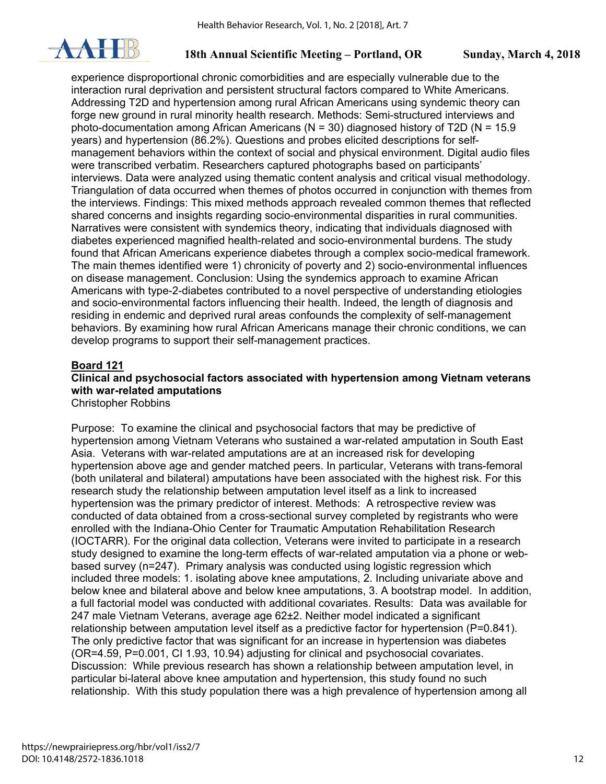

experience disproportional chronic comorbidities and are especially vulnerable due to the interaction rural deprivation and persistent structural factors compared to White Americans. Addressing T2D and hypertension among rural African Americans using syndemic theory can forge new ground in rural minority health research. Methods: Semi-structured interviews and photo-documentation among African Americans ( $N = 30$ ) diagnosed history of T2D ( $N = 15.9$ ) years) and hypertension (86.2%). Questions and probes elicited descriptions for selfmanagement behaviors within the context of social and physical environment. Digital audio files were transcribed verbatim. Researchers captured photographs based on participants' interviews. Data were analyzed using thematic content analysis and critical visual methodology. Triangulation of data occurred when themes of photos occurred in conjunction with themes from the interviews. Findings: This mixed methods approach revealed common themes that reflected shared concerns and insights regarding socio-environmental disparities in rural communities. Narratives were consistent with syndemics theory, indicating that individuals diagnosed with diabetes experienced magnified health-related and socio-environmental burdens. The study found that African Americans experience diabetes through a complex socio-medical framework. The main themes identified were 1) chronicity of poverty and 2) socio-environmental influences on disease management. Conclusion: Using the syndemics approach to examine African Americans with type-2-diabetes contributed to a novel perspective of understanding etiologies and socio-environmental factors influencing their health. Indeed, the length of diagnosis and residing in endemic and deprived rural areas confounds the complexity of self-management behaviors. By examining how rural African Americans manage their chronic conditions, we can develop programs to support their self-management practices.

#### **Board 121**

## **Clinical and psychosocial factors associated with hypertension among Vietnam veterans with war-related amputations**

Christopher Robbins

Purpose: To examine the clinical and psychosocial factors that may be predictive of hypertension among Vietnam Veterans who sustained a war-related amputation in South East Asia. Veterans with war-related amputations are at an increased risk for developing hypertension above age and gender matched peers. In particular, Veterans with trans-femoral (both unilateral and bilateral) amputations have been associated with the highest risk. For this research study the relationship between amputation level itself as a link to increased hypertension was the primary predictor of interest. Methods: A retrospective review was conducted of data obtained from a cross-sectional survey completed by registrants who were enrolled with the Indiana-Ohio Center for Traumatic Amputation Rehabilitation Research (IOCTARR). For the original data collection, Veterans were invited to participate in a research study designed to examine the long-term effects of war-related amputation via a phone or webbased survey (n=247). Primary analysis was conducted using logistic regression which included three models: 1. isolating above knee amputations, 2. Including univariate above and below knee and bilateral above and below knee amputations, 3. A bootstrap model. In addition, a full factorial model was conducted with additional covariates. Results: Data was available for 247 male Vietnam Veterans, average age 62±2. Neither model indicated a significant relationship between amputation level itself as a predictive factor for hypertension (P=0.841). The only predictive factor that was significant for an increase in hypertension was diabetes (OR=4.59, P=0.001, CI 1.93, 10.94) adjusting for clinical and psychosocial covariates. Discussion: While previous research has shown a relationship between amputation level, in particular bi-lateral above knee amputation and hypertension, this study found no such relationship. With this study population there was a high prevalence of hypertension among all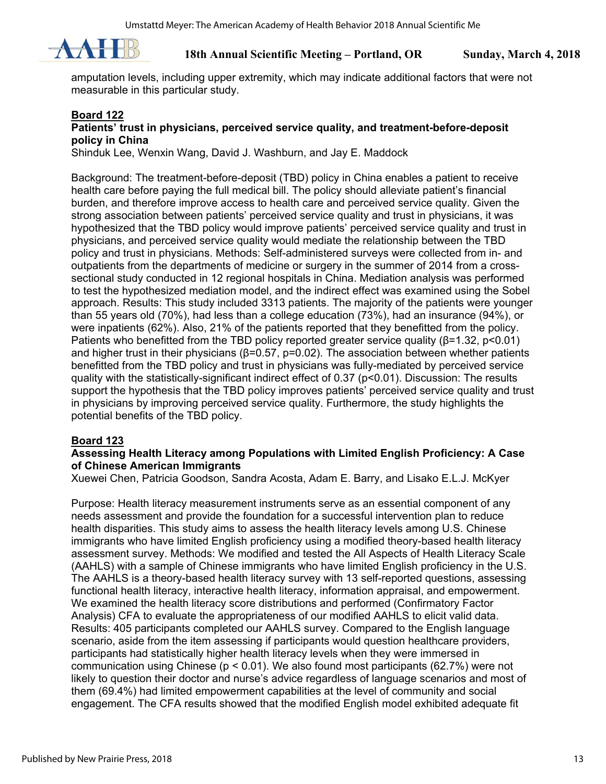

amputation levels, including upper extremity, which may indicate additional factors that were not measurable in this particular study.

#### **Board 122**

#### **Patients' trust in physicians, perceived service quality, and treatment-before-deposit policy in China**

Shinduk Lee, Wenxin Wang, David J. Washburn, and Jay E. Maddock

Background: The treatment-before-deposit (TBD) policy in China enables a patient to receive health care before paying the full medical bill. The policy should alleviate patient's financial burden, and therefore improve access to health care and perceived service quality. Given the strong association between patients' perceived service quality and trust in physicians, it was hypothesized that the TBD policy would improve patients' perceived service quality and trust in physicians, and perceived service quality would mediate the relationship between the TBD policy and trust in physicians. Methods: Self-administered surveys were collected from in- and outpatients from the departments of medicine or surgery in the summer of 2014 from a crosssectional study conducted in 12 regional hospitals in China. Mediation analysis was performed to test the hypothesized mediation model, and the indirect effect was examined using the Sobel approach. Results: This study included 3313 patients. The majority of the patients were younger than 55 years old (70%), had less than a college education (73%), had an insurance (94%), or were inpatients (62%). Also, 21% of the patients reported that they benefitted from the policy. Patients who benefitted from the TBD policy reported greater service quality ( $\beta$ =1.32, p<0.01) and higher trust in their physicians ( $\beta$ =0.57, p=0.02). The association between whether patients benefitted from the TBD policy and trust in physicians was fully-mediated by perceived service quality with the statistically-significant indirect effect of 0.37 (p<0.01). Discussion: The results support the hypothesis that the TBD policy improves patients' perceived service quality and trust in physicians by improving perceived service quality. Furthermore, the study highlights the potential benefits of the TBD policy.

## **Board 123**

#### **Assessing Health Literacy among Populations with Limited English Proficiency: A Case of Chinese American Immigrants**

Xuewei Chen, Patricia Goodson, Sandra Acosta, Adam E. Barry, and Lisako E.L.J. McKyer

Purpose: Health literacy measurement instruments serve as an essential component of any needs assessment and provide the foundation for a successful intervention plan to reduce health disparities. This study aims to assess the health literacy levels among U.S. Chinese immigrants who have limited English proficiency using a modified theory-based health literacy assessment survey. Methods: We modified and tested the All Aspects of Health Literacy Scale (AAHLS) with a sample of Chinese immigrants who have limited English proficiency in the U.S. The AAHLS is a theory-based health literacy survey with 13 self-reported questions, assessing functional health literacy, interactive health literacy, information appraisal, and empowerment. We examined the health literacy score distributions and performed (Confirmatory Factor Analysis) CFA to evaluate the appropriateness of our modified AAHLS to elicit valid data. Results: 405 participants completed our AAHLS survey. Compared to the English language scenario, aside from the item assessing if participants would question healthcare providers, participants had statistically higher health literacy levels when they were immersed in communication using Chinese (p < 0.01). We also found most participants (62.7%) were not likely to question their doctor and nurse's advice regardless of language scenarios and most of them (69.4%) had limited empowerment capabilities at the level of community and social engagement. The CFA results showed that the modified English model exhibited adequate fit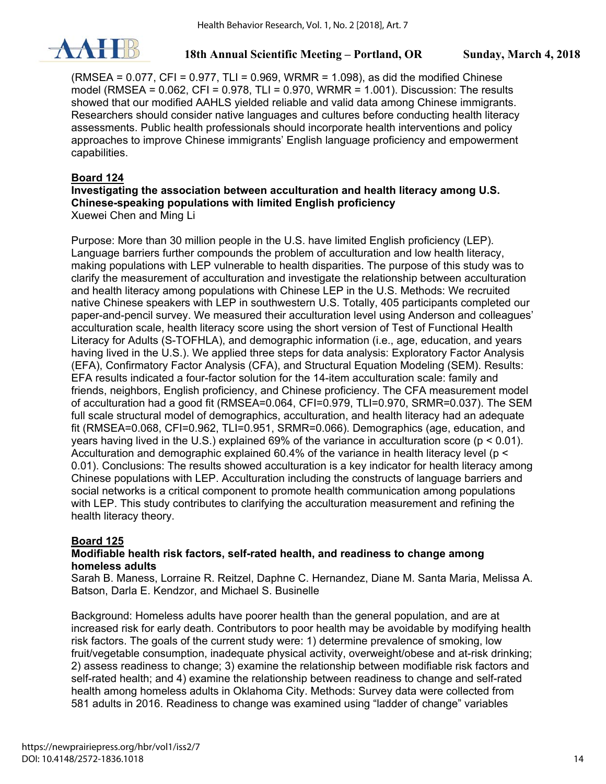

 $(RMSEA = 0.077, CFI = 0.977, TLI = 0.969, WRMR = 1.098$ ), as did the modified Chinese model (RMSEA = 0.062, CFI = 0.978, TLI = 0.970, WRMR = 1.001). Discussion: The results showed that our modified AAHLS yielded reliable and valid data among Chinese immigrants. Researchers should consider native languages and cultures before conducting health literacy assessments. Public health professionals should incorporate health interventions and policy approaches to improve Chinese immigrants' English language proficiency and empowerment capabilities.

## **Board 124**

#### **Investigating the association between acculturation and health literacy among U.S. Chinese-speaking populations with limited English proficiency**  Xuewei Chen and Ming Li

Purpose: More than 30 million people in the U.S. have limited English proficiency (LEP). Language barriers further compounds the problem of acculturation and low health literacy, making populations with LEP vulnerable to health disparities. The purpose of this study was to clarify the measurement of acculturation and investigate the relationship between acculturation and health literacy among populations with Chinese LEP in the U.S. Methods: We recruited native Chinese speakers with LEP in southwestern U.S. Totally, 405 participants completed our paper-and-pencil survey. We measured their acculturation level using Anderson and colleagues' acculturation scale, health literacy score using the short version of Test of Functional Health Literacy for Adults (S-TOFHLA), and demographic information (i.e., age, education, and years having lived in the U.S.). We applied three steps for data analysis: Exploratory Factor Analysis (EFA), Confirmatory Factor Analysis (CFA), and Structural Equation Modeling (SEM). Results: EFA results indicated a four-factor solution for the 14-item acculturation scale: family and friends, neighbors, English proficiency, and Chinese proficiency. The CFA measurement model of acculturation had a good fit (RMSEA=0.064, CFI=0.979, TLI=0.970, SRMR=0.037). The SEM full scale structural model of demographics, acculturation, and health literacy had an adequate fit (RMSEA=0.068, CFI=0.962, TLI=0.951, SRMR=0.066). Demographics (age, education, and years having lived in the U.S.) explained 69% of the variance in acculturation score (p < 0.01). Acculturation and demographic explained 60.4% of the variance in health literacy level (p < 0.01). Conclusions: The results showed acculturation is a key indicator for health literacy among Chinese populations with LEP. Acculturation including the constructs of language barriers and social networks is a critical component to promote health communication among populations with LEP. This study contributes to clarifying the acculturation measurement and refining the health literacy theory.

## **Board 125**

## **Modifiable health risk factors, self-rated health, and readiness to change among homeless adults**

Sarah B. Maness, Lorraine R. Reitzel, Daphne C. Hernandez, Diane M. Santa Maria, Melissa A. Batson, Darla E. Kendzor, and Michael S. Businelle

Background: Homeless adults have poorer health than the general population, and are at increased risk for early death. Contributors to poor health may be avoidable by modifying health risk factors. The goals of the current study were: 1) determine prevalence of smoking, low fruit/vegetable consumption, inadequate physical activity, overweight/obese and at-risk drinking; 2) assess readiness to change; 3) examine the relationship between modifiable risk factors and self-rated health; and 4) examine the relationship between readiness to change and self-rated health among homeless adults in Oklahoma City. Methods: Survey data were collected from 581 adults in 2016. Readiness to change was examined using "ladder of change" variables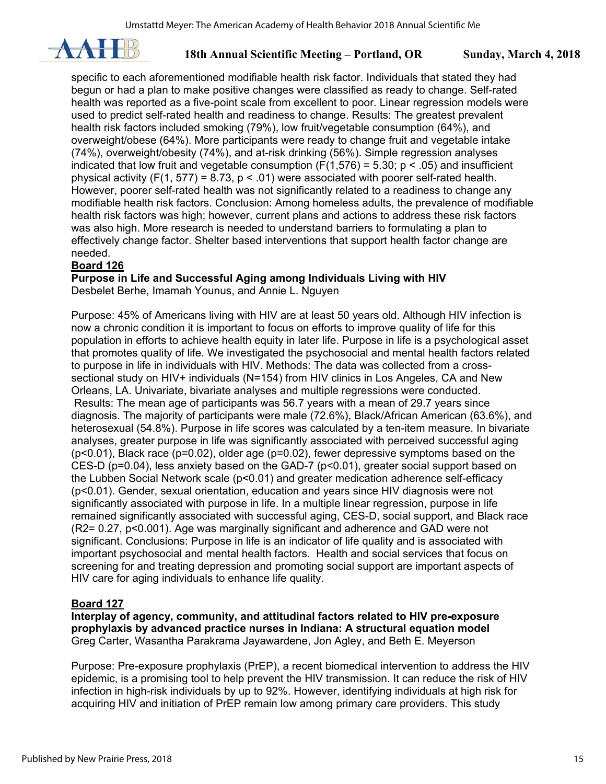

specific to each aforementioned modifiable health risk factor. Individuals that stated they had begun or had a plan to make positive changes were classified as ready to change. Self-rated health was reported as a five-point scale from excellent to poor. Linear regression models were used to predict self-rated health and readiness to change. Results: The greatest prevalent health risk factors included smoking (79%), low fruit/vegetable consumption (64%), and overweight/obese (64%). More participants were ready to change fruit and vegetable intake (74%), overweight/obesity (74%), and at-risk drinking (56%). Simple regression analyses indicated that low fruit and vegetable consumption ( $F(1,576) = 5.30$ ;  $p < .05$ ) and insufficient physical activity (F(1, 577) = 8.73,  $p < .01$ ) were associated with poorer self-rated health. However, poorer self-rated health was not significantly related to a readiness to change any modifiable health risk factors. Conclusion: Among homeless adults, the prevalence of modifiable health risk factors was high; however, current plans and actions to address these risk factors was also high. More research is needed to understand barriers to formulating a plan to effectively change factor. Shelter based interventions that support health factor change are needed.

## **Board 126**

**Purpose in Life and Successful Aging among Individuals Living with HIV** 

Desbelet Berhe, Imamah Younus, and Annie L. Nguyen

Purpose: 45% of Americans living with HIV are at least 50 years old. Although HIV infection is now a chronic condition it is important to focus on efforts to improve quality of life for this population in efforts to achieve health equity in later life. Purpose in life is a psychological asset that promotes quality of life. We investigated the psychosocial and mental health factors related to purpose in life in individuals with HIV. Methods: The data was collected from a crosssectional study on HIV+ individuals (N=154) from HIV clinics in Los Angeles, CA and New Orleans, LA. Univariate, bivariate analyses and multiple regressions were conducted. Results: The mean age of participants was 56.7 years with a mean of 29.7 years since diagnosis. The majority of participants were male (72.6%), Black/African American (63.6%), and heterosexual (54.8%). Purpose in life scores was calculated by a ten-item measure. In bivariate analyses, greater purpose in life was significantly associated with perceived successful aging (p<0.01), Black race (p=0.02), older age (p=0.02), fewer depressive symptoms based on the CES-D (p=0.04), less anxiety based on the GAD-7 (p<0.01), greater social support based on the Lubben Social Network scale (p<0.01) and greater medication adherence self-efficacy (p<0.01). Gender, sexual orientation, education and years since HIV diagnosis were not significantly associated with purpose in life. In a multiple linear regression, purpose in life remained significantly associated with successful aging, CES-D, social support, and Black race (R2= 0.27, p<0.001). Age was marginally significant and adherence and GAD were not significant. Conclusions: Purpose in life is an indicator of life quality and is associated with important psychosocial and mental health factors. Health and social services that focus on screening for and treating depression and promoting social support are important aspects of HIV care for aging individuals to enhance life quality.

## **Board 127**

**Interplay of agency, community, and attitudinal factors related to HIV pre-exposure prophylaxis by advanced practice nurses in Indiana: A structural equation model**  Greg Carter, Wasantha Parakrama Jayawardene, Jon Agley, and Beth E. Meyerson

Purpose: Pre-exposure prophylaxis (PrEP), a recent biomedical intervention to address the HIV epidemic, is a promising tool to help prevent the HIV transmission. It can reduce the risk of HIV infection in high-risk individuals by up to 92%. However, identifying individuals at high risk for acquiring HIV and initiation of PrEP remain low among primary care providers. This study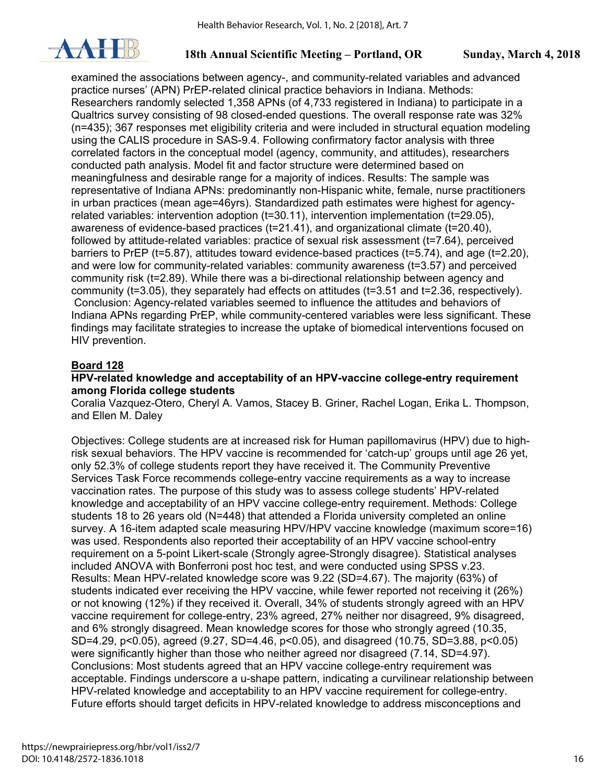

examined the associations between agency-, and community-related variables and advanced practice nurses' (APN) PrEP-related clinical practice behaviors in Indiana. Methods: Researchers randomly selected 1,358 APNs (of 4,733 registered in Indiana) to participate in a Qualtrics survey consisting of 98 closed-ended questions. The overall response rate was 32% (n=435); 367 responses met eligibility criteria and were included in structural equation modeling using the CALIS procedure in SAS-9.4. Following confirmatory factor analysis with three correlated factors in the conceptual model (agency, community, and attitudes), researchers conducted path analysis. Model fit and factor structure were determined based on meaningfulness and desirable range for a majority of indices. Results: The sample was representative of Indiana APNs: predominantly non-Hispanic white, female, nurse practitioners in urban practices (mean age=46yrs). Standardized path estimates were highest for agencyrelated variables: intervention adoption (t=30.11), intervention implementation (t=29.05), awareness of evidence-based practices (t=21.41), and organizational climate (t=20.40), followed by attitude-related variables: practice of sexual risk assessment (t=7.64), perceived barriers to PrEP (t=5.87), attitudes toward evidence-based practices (t=5.74), and age (t=2.20), and were low for community-related variables: community awareness (t=3.57) and perceived community risk (t=2.89). While there was a bi-directional relationship between agency and community (t=3.05), they separately had effects on attitudes (t=3.51 and t=2.36, respectively). Conclusion: Agency-related variables seemed to influence the attitudes and behaviors of Indiana APNs regarding PrEP, while community-centered variables were less significant. These findings may facilitate strategies to increase the uptake of biomedical interventions focused on HIV prevention.

#### **Board 128**

#### **HPV-related knowledge and acceptability of an HPV-vaccine college-entry requirement among Florida college students**

Coralia Vazquez-Otero, Cheryl A. Vamos, Stacey B. Griner, Rachel Logan, Erika L. Thompson, and Ellen M. Daley

Objectives: College students are at increased risk for Human papillomavirus (HPV) due to highrisk sexual behaviors. The HPV vaccine is recommended for 'catch-up' groups until age 26 yet, only 52.3% of college students report they have received it. The Community Preventive Services Task Force recommends college-entry vaccine requirements as a way to increase vaccination rates. The purpose of this study was to assess college students' HPV-related knowledge and acceptability of an HPV vaccine college-entry requirement. Methods: College students 18 to 26 years old (N=448) that attended a Florida university completed an online survey. A 16-item adapted scale measuring HPV/HPV vaccine knowledge (maximum score=16) was used. Respondents also reported their acceptability of an HPV vaccine school-entry requirement on a 5-point Likert-scale (Strongly agree-Strongly disagree). Statistical analyses included ANOVA with Bonferroni post hoc test, and were conducted using SPSS v.23. Results: Mean HPV-related knowledge score was 9.22 (SD=4.67). The majority (63%) of students indicated ever receiving the HPV vaccine, while fewer reported not receiving it (26%) or not knowing (12%) if they received it. Overall, 34% of students strongly agreed with an HPV vaccine requirement for college-entry, 23% agreed, 27% neither nor disagreed, 9% disagreed, and 6% strongly disagreed. Mean knowledge scores for those who strongly agreed (10.35, SD=4.29, p<0.05), agreed (9.27, SD=4.46, p<0.05), and disagreed (10.75, SD=3.88, p<0.05) were significantly higher than those who neither agreed nor disagreed (7.14, SD=4.97). Conclusions: Most students agreed that an HPV vaccine college-entry requirement was acceptable. Findings underscore a u-shape pattern, indicating a curvilinear relationship between HPV-related knowledge and acceptability to an HPV vaccine requirement for college-entry. Future efforts should target deficits in HPV-related knowledge to address misconceptions and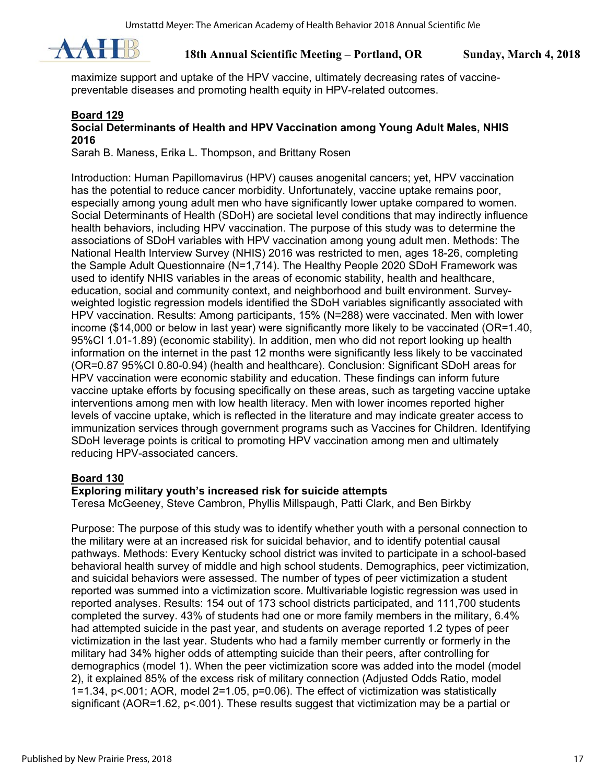

maximize support and uptake of the HPV vaccine, ultimately decreasing rates of vaccinepreventable diseases and promoting health equity in HPV-related outcomes.

#### **Board 129 Social Determinants of Health and HPV Vaccination among Young Adult Males, NHIS 2016**

Sarah B. Maness, Erika L. Thompson, and Brittany Rosen

Introduction: Human Papillomavirus (HPV) causes anogenital cancers; yet, HPV vaccination has the potential to reduce cancer morbidity. Unfortunately, vaccine uptake remains poor, especially among young adult men who have significantly lower uptake compared to women. Social Determinants of Health (SDoH) are societal level conditions that may indirectly influence health behaviors, including HPV vaccination. The purpose of this study was to determine the associations of SDoH variables with HPV vaccination among young adult men. Methods: The National Health Interview Survey (NHIS) 2016 was restricted to men, ages 18-26, completing the Sample Adult Questionnaire (N=1,714). The Healthy People 2020 SDoH Framework was used to identify NHIS variables in the areas of economic stability, health and healthcare, education, social and community context, and neighborhood and built environment. Surveyweighted logistic regression models identified the SDoH variables significantly associated with HPV vaccination. Results: Among participants, 15% (N=288) were vaccinated. Men with lower income (\$14,000 or below in last year) were significantly more likely to be vaccinated (OR=1.40, 95%CI 1.01-1.89) (economic stability). In addition, men who did not report looking up health information on the internet in the past 12 months were significantly less likely to be vaccinated (OR=0.87 95%CI 0.80-0.94) (health and healthcare). Conclusion: Significant SDoH areas for HPV vaccination were economic stability and education. These findings can inform future vaccine uptake efforts by focusing specifically on these areas, such as targeting vaccine uptake interventions among men with low health literacy. Men with lower incomes reported higher levels of vaccine uptake, which is reflected in the literature and may indicate greater access to immunization services through government programs such as Vaccines for Children. Identifying SDoH leverage points is critical to promoting HPV vaccination among men and ultimately reducing HPV-associated cancers.

#### **Board 130**

## **Exploring military youth's increased risk for suicide attempts**

Teresa McGeeney, Steve Cambron, Phyllis Millspaugh, Patti Clark, and Ben Birkby

Purpose: The purpose of this study was to identify whether youth with a personal connection to the military were at an increased risk for suicidal behavior, and to identify potential causal pathways. Methods: Every Kentucky school district was invited to participate in a school-based behavioral health survey of middle and high school students. Demographics, peer victimization, and suicidal behaviors were assessed. The number of types of peer victimization a student reported was summed into a victimization score. Multivariable logistic regression was used in reported analyses. Results: 154 out of 173 school districts participated, and 111,700 students completed the survey. 43% of students had one or more family members in the military, 6.4% had attempted suicide in the past year, and students on average reported 1.2 types of peer victimization in the last year. Students who had a family member currently or formerly in the military had 34% higher odds of attempting suicide than their peers, after controlling for demographics (model 1). When the peer victimization score was added into the model (model 2), it explained 85% of the excess risk of military connection (Adjusted Odds Ratio, model 1=1.34, p<.001; AOR, model 2=1.05, p=0.06). The effect of victimization was statistically significant (AOR=1.62,  $p$ <.001). These results suggest that victimization may be a partial or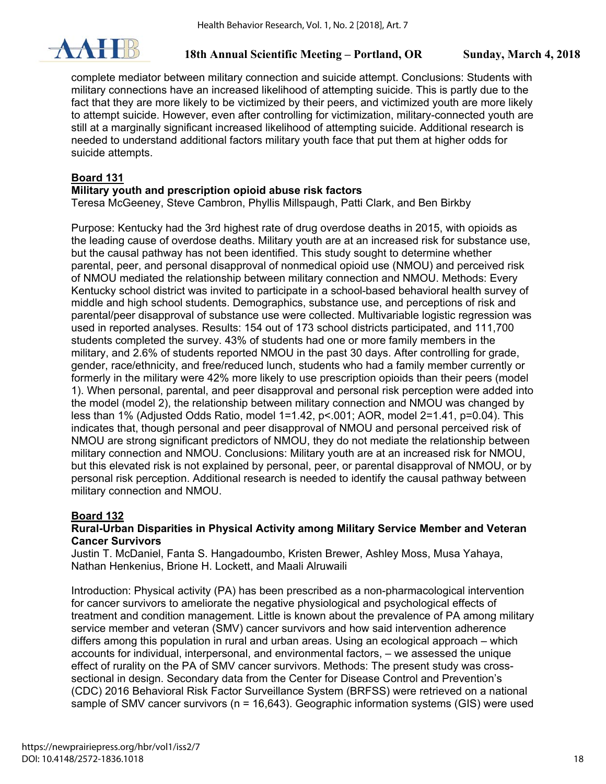

complete mediator between military connection and suicide attempt. Conclusions: Students with military connections have an increased likelihood of attempting suicide. This is partly due to the fact that they are more likely to be victimized by their peers, and victimized youth are more likely to attempt suicide. However, even after controlling for victimization, military-connected youth are still at a marginally significant increased likelihood of attempting suicide. Additional research is needed to understand additional factors military youth face that put them at higher odds for suicide attempts.

## **Board 131**

#### **Military youth and prescription opioid abuse risk factors**

Teresa McGeeney, Steve Cambron, Phyllis Millspaugh, Patti Clark, and Ben Birkby

Purpose: Kentucky had the 3rd highest rate of drug overdose deaths in 2015, with opioids as the leading cause of overdose deaths. Military youth are at an increased risk for substance use, but the causal pathway has not been identified. This study sought to determine whether parental, peer, and personal disapproval of nonmedical opioid use (NMOU) and perceived risk of NMOU mediated the relationship between military connection and NMOU. Methods: Every Kentucky school district was invited to participate in a school-based behavioral health survey of middle and high school students. Demographics, substance use, and perceptions of risk and parental/peer disapproval of substance use were collected. Multivariable logistic regression was used in reported analyses. Results: 154 out of 173 school districts participated, and 111,700 students completed the survey. 43% of students had one or more family members in the military, and 2.6% of students reported NMOU in the past 30 days. After controlling for grade, gender, race/ethnicity, and free/reduced lunch, students who had a family member currently or formerly in the military were 42% more likely to use prescription opioids than their peers (model 1). When personal, parental, and peer disapproval and personal risk perception were added into the model (model 2), the relationship between military connection and NMOU was changed by less than 1% (Adjusted Odds Ratio, model 1=1.42, p<.001; AOR, model 2=1.41, p=0.04). This indicates that, though personal and peer disapproval of NMOU and personal perceived risk of NMOU are strong significant predictors of NMOU, they do not mediate the relationship between military connection and NMOU. Conclusions: Military youth are at an increased risk for NMOU, but this elevated risk is not explained by personal, peer, or parental disapproval of NMOU, or by personal risk perception. Additional research is needed to identify the causal pathway between military connection and NMOU.

## **Board 132**

## **Rural-Urban Disparities in Physical Activity among Military Service Member and Veteran Cancer Survivors**

Justin T. McDaniel, Fanta S. Hangadoumbo, Kristen Brewer, Ashley Moss, Musa Yahaya, Nathan Henkenius, Brione H. Lockett, and Maali Alruwaili

Introduction: Physical activity (PA) has been prescribed as a non-pharmacological intervention for cancer survivors to ameliorate the negative physiological and psychological effects of treatment and condition management. Little is known about the prevalence of PA among military service member and veteran (SMV) cancer survivors and how said intervention adherence differs among this population in rural and urban areas. Using an ecological approach – which accounts for individual, interpersonal, and environmental factors, – we assessed the unique effect of rurality on the PA of SMV cancer survivors. Methods: The present study was crosssectional in design. Secondary data from the Center for Disease Control and Prevention's (CDC) 2016 Behavioral Risk Factor Surveillance System (BRFSS) were retrieved on a national sample of SMV cancer survivors (n = 16,643). Geographic information systems (GIS) were used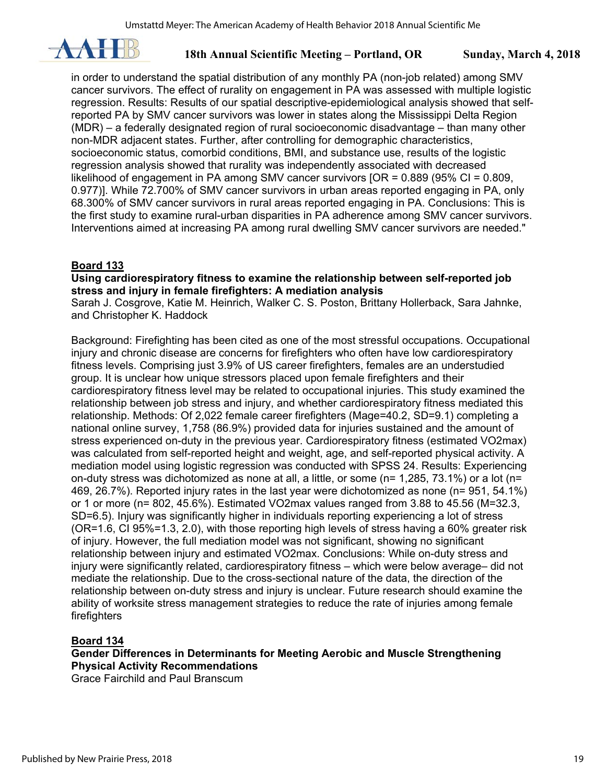

in order to understand the spatial distribution of any monthly PA (non-job related) among SMV cancer survivors. The effect of rurality on engagement in PA was assessed with multiple logistic regression. Results: Results of our spatial descriptive-epidemiological analysis showed that selfreported PA by SMV cancer survivors was lower in states along the Mississippi Delta Region (MDR) – a federally designated region of rural socioeconomic disadvantage – than many other non-MDR adjacent states. Further, after controlling for demographic characteristics, socioeconomic status, comorbid conditions, BMI, and substance use, results of the logistic regression analysis showed that rurality was independently associated with decreased likelihood of engagement in PA among SMV cancer survivors [OR = 0.889 (95% CI = 0.809, 0.977)]. While 72.700% of SMV cancer survivors in urban areas reported engaging in PA, only 68.300% of SMV cancer survivors in rural areas reported engaging in PA. Conclusions: This is the first study to examine rural-urban disparities in PA adherence among SMV cancer survivors. Interventions aimed at increasing PA among rural dwelling SMV cancer survivors are needed."

#### **Board 133**

#### **Using cardiorespiratory fitness to examine the relationship between self-reported job stress and injury in female firefighters: A mediation analysis**

Sarah J. Cosgrove, Katie M. Heinrich, Walker C. S. Poston, Brittany Hollerback, Sara Jahnke, and Christopher K. Haddock

Background: Firefighting has been cited as one of the most stressful occupations. Occupational injury and chronic disease are concerns for firefighters who often have low cardiorespiratory fitness levels. Comprising just 3.9% of US career firefighters, females are an understudied group. It is unclear how unique stressors placed upon female firefighters and their cardiorespiratory fitness level may be related to occupational injuries. This study examined the relationship between job stress and injury, and whether cardiorespiratory fitness mediated this relationship. Methods: Of 2,022 female career firefighters (Mage=40.2, SD=9.1) completing a national online survey, 1,758 (86.9%) provided data for injuries sustained and the amount of stress experienced on-duty in the previous year. Cardiorespiratory fitness (estimated VO2max) was calculated from self-reported height and weight, age, and self-reported physical activity. A mediation model using logistic regression was conducted with SPSS 24. Results: Experiencing on-duty stress was dichotomized as none at all, a little, or some ( $n= 1,285, 73.1\%$ ) or a lot ( $n=$ 469, 26.7%). Reported injury rates in the last year were dichotomized as none (n= 951, 54.1%) or 1 or more (n= 802, 45.6%). Estimated VO2max values ranged from 3.88 to 45.56 (M=32.3, SD=6.5). Injury was significantly higher in individuals reporting experiencing a lot of stress (OR=1.6, CI 95%=1.3, 2.0), with those reporting high levels of stress having a 60% greater risk of injury. However, the full mediation model was not significant, showing no significant relationship between injury and estimated VO2max. Conclusions: While on-duty stress and injury were significantly related, cardiorespiratory fitness – which were below average– did not mediate the relationship. Due to the cross-sectional nature of the data, the direction of the relationship between on-duty stress and injury is unclear. Future research should examine the ability of worksite stress management strategies to reduce the rate of injuries among female firefighters

## **Board 134**

**Gender Differences in Determinants for Meeting Aerobic and Muscle Strengthening Physical Activity Recommendations** 

Grace Fairchild and Paul Branscum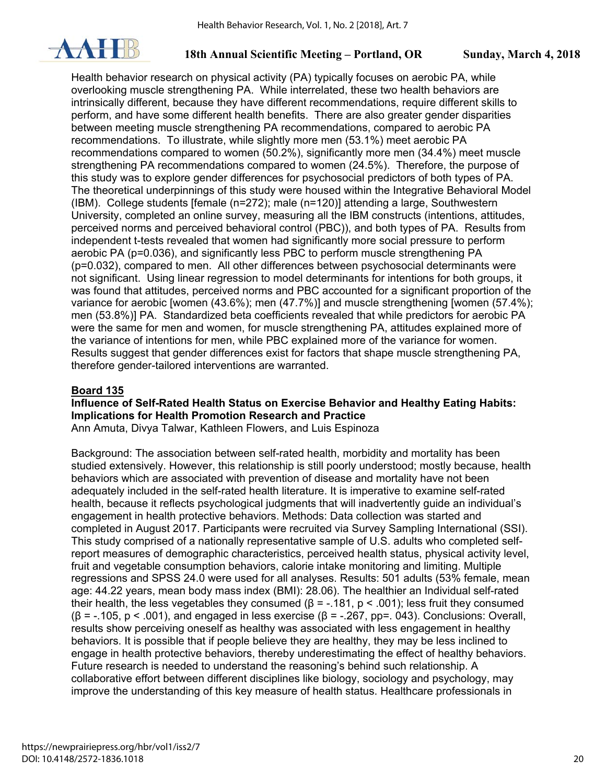

Health behavior research on physical activity (PA) typically focuses on aerobic PA, while overlooking muscle strengthening PA. While interrelated, these two health behaviors are intrinsically different, because they have different recommendations, require different skills to perform, and have some different health benefits. There are also greater gender disparities between meeting muscle strengthening PA recommendations, compared to aerobic PA recommendations. To illustrate, while slightly more men (53.1%) meet aerobic PA recommendations compared to women (50.2%), significantly more men (34.4%) meet muscle strengthening PA recommendations compared to women (24.5%). Therefore, the purpose of this study was to explore gender differences for psychosocial predictors of both types of PA. The theoretical underpinnings of this study were housed within the Integrative Behavioral Model (IBM). College students [female (n=272); male (n=120)] attending a large, Southwestern University, completed an online survey, measuring all the IBM constructs (intentions, attitudes, perceived norms and perceived behavioral control (PBC)), and both types of PA. Results from independent t-tests revealed that women had significantly more social pressure to perform aerobic PA (p=0.036), and significantly less PBC to perform muscle strengthening PA (p=0.032), compared to men. All other differences between psychosocial determinants were not significant. Using linear regression to model determinants for intentions for both groups, it was found that attitudes, perceived norms and PBC accounted for a significant proportion of the variance for aerobic [women (43.6%); men (47.7%)] and muscle strengthening [women (57.4%); men (53.8%)] PA. Standardized beta coefficients revealed that while predictors for aerobic PA were the same for men and women, for muscle strengthening PA, attitudes explained more of the variance of intentions for men, while PBC explained more of the variance for women. Results suggest that gender differences exist for factors that shape muscle strengthening PA, therefore gender-tailored interventions are warranted.

## **Board 135**

## **Influence of Self-Rated Health Status on Exercise Behavior and Healthy Eating Habits: Implications for Health Promotion Research and Practice**

Ann Amuta, Divya Talwar, Kathleen Flowers, and Luis Espinoza

Background: The association between self-rated health, morbidity and mortality has been studied extensively. However, this relationship is still poorly understood; mostly because, health behaviors which are associated with prevention of disease and mortality have not been adequately included in the self-rated health literature. It is imperative to examine self-rated health, because it reflects psychological judgments that will inadvertently guide an individual's engagement in health protective behaviors. Methods: Data collection was started and completed in August 2017. Participants were recruited via Survey Sampling International (SSI). This study comprised of a nationally representative sample of U.S. adults who completed selfreport measures of demographic characteristics, perceived health status, physical activity level, fruit and vegetable consumption behaviors, calorie intake monitoring and limiting. Multiple regressions and SPSS 24.0 were used for all analyses. Results: 501 adults (53% female, mean age: 44.22 years, mean body mass index (BMI): 28.06). The healthier an Individual self-rated their health, the less vegetables they consumed ( $β = -.181$ ,  $p < .001$ ); less fruit they consumed  $(\beta = -.105, p < .001)$ , and engaged in less exercise ( $\beta = -.267, pp = .043$ ). Conclusions: Overall, results show perceiving oneself as healthy was associated with less engagement in healthy behaviors. It is possible that if people believe they are healthy, they may be less inclined to engage in health protective behaviors, thereby underestimating the effect of healthy behaviors. Future research is needed to understand the reasoning's behind such relationship. A collaborative effort between different disciplines like biology, sociology and psychology, may improve the understanding of this key measure of health status. Healthcare professionals in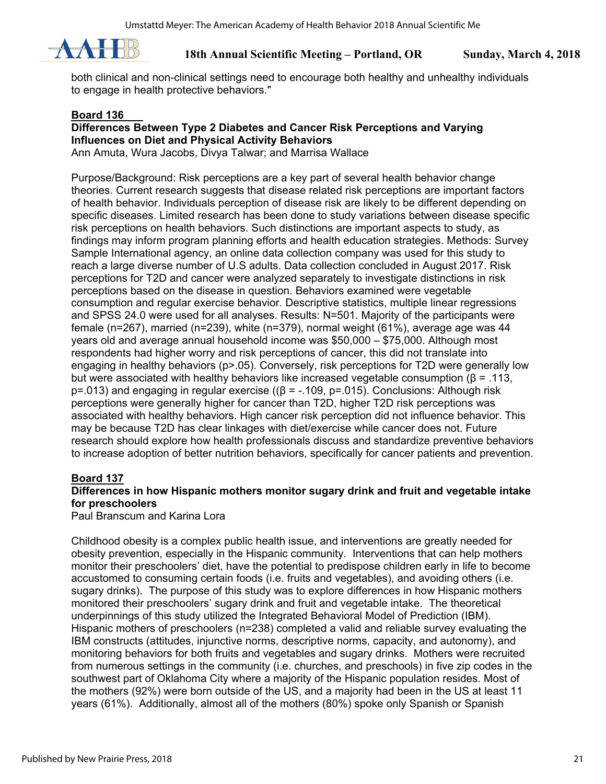

both clinical and non-clinical settings need to encourage both healthy and unhealthy individuals to engage in health protective behaviors."

#### **Board 136**

### **Differences Between Type 2 Diabetes and Cancer Risk Perceptions and Varying Influences on Diet and Physical Activity Behaviors**

Ann Amuta, Wura Jacobs, Divya Talwar; and Marrisa Wallace

Purpose/Background: Risk perceptions are a key part of several health behavior change theories. Current research suggests that disease related risk perceptions are important factors of health behavior. Individuals perception of disease risk are likely to be different depending on specific diseases. Limited research has been done to study variations between disease specific risk perceptions on health behaviors. Such distinctions are important aspects to study, as findings may inform program planning efforts and health education strategies. Methods: Survey Sample International agency, an online data collection company was used for this study to reach a large diverse number of U.S adults. Data collection concluded in August 2017. Risk perceptions for T2D and cancer were analyzed separately to investigate distinctions in risk perceptions based on the disease in question. Behaviors examined were vegetable consumption and regular exercise behavior. Descriptive statistics, multiple linear regressions and SPSS 24.0 were used for all analyses. Results: N=501. Majority of the participants were female (n=267), married (n=239), white (n=379), normal weight (61%), average age was 44 years old and average annual household income was \$50,000 – \$75,000. Although most respondents had higher worry and risk perceptions of cancer, this did not translate into engaging in healthy behaviors (p>.05). Conversely, risk perceptions for T2D were generally low but were associated with healthy behaviors like increased vegetable consumption ( $\beta = .113$ , p=.013) and engaging in regular exercise ((β = -.109, p=.015). Conclusions: Although risk perceptions were generally higher for cancer than T2D, higher T2D risk perceptions was associated with healthy behaviors. High cancer risk perception did not influence behavior. This may be because T2D has clear linkages with diet/exercise while cancer does not. Future research should explore how health professionals discuss and standardize preventive behaviors to increase adoption of better nutrition behaviors, specifically for cancer patients and prevention.

## **Board 137**

## **Differences in how Hispanic mothers monitor sugary drink and fruit and vegetable intake for preschoolers**

Paul Branscum and Karina Lora

Childhood obesity is a complex public health issue, and interventions are greatly needed for obesity prevention, especially in the Hispanic community. Interventions that can help mothers monitor their preschoolers' diet, have the potential to predispose children early in life to become accustomed to consuming certain foods (i.e. fruits and vegetables), and avoiding others (i.e. sugary drinks). The purpose of this study was to explore differences in how Hispanic mothers monitored their preschoolers' sugary drink and fruit and vegetable intake. The theoretical underpinnings of this study utilized the Integrated Behavioral Model of Prediction (IBM). Hispanic mothers of preschoolers (n=238) completed a valid and reliable survey evaluating the IBM constructs (attitudes, injunctive norms, descriptive norms, capacity, and autonomy), and monitoring behaviors for both fruits and vegetables and sugary drinks. Mothers were recruited from numerous settings in the community (i.e. churches, and preschools) in five zip codes in the southwest part of Oklahoma City where a majority of the Hispanic population resides. Most of the mothers (92%) were born outside of the US, and a majority had been in the US at least 11 years (61%). Additionally, almost all of the mothers (80%) spoke only Spanish or Spanish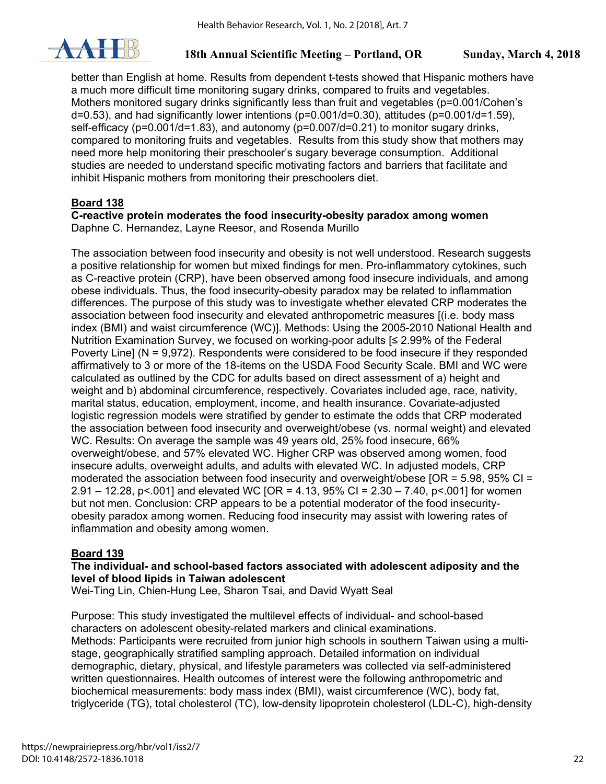

better than English at home. Results from dependent t-tests showed that Hispanic mothers have a much more difficult time monitoring sugary drinks, compared to fruits and vegetables. Mothers monitored sugary drinks significantly less than fruit and vegetables (p=0.001/Cohen's  $d=0.53$ ), and had significantly lower intentions ( $p=0.001/d=0.30$ ), attitudes ( $p=0.001/d=1.59$ ), self-efficacy ( $p=0.001/d=1.83$ ), and autonomy ( $p=0.007/d=0.21$ ) to monitor sugary drinks, compared to monitoring fruits and vegetables. Results from this study show that mothers may need more help monitoring their preschooler's sugary beverage consumption. Additional studies are needed to understand specific motivating factors and barriers that facilitate and inhibit Hispanic mothers from monitoring their preschoolers diet.

## **Board 138**

#### **C-reactive protein moderates the food insecurity-obesity paradox among women**  Daphne C. Hernandez, Layne Reesor, and Rosenda Murillo

The association between food insecurity and obesity is not well understood. Research suggests a positive relationship for women but mixed findings for men. Pro-inflammatory cytokines, such as C-reactive protein (CRP), have been observed among food insecure individuals, and among obese individuals. Thus, the food insecurity-obesity paradox may be related to inflammation differences. The purpose of this study was to investigate whether elevated CRP moderates the association between food insecurity and elevated anthropometric measures [(i.e. body mass index (BMI) and waist circumference (WC)]. Methods: Using the 2005-2010 National Health and Nutrition Examination Survey, we focused on working-poor adults [≤ 2.99% of the Federal Poverty Line] (N = 9,972). Respondents were considered to be food insecure if they responded affirmatively to 3 or more of the 18-items on the USDA Food Security Scale. BMI and WC were calculated as outlined by the CDC for adults based on direct assessment of a) height and weight and b) abdominal circumference, respectively. Covariates included age, race, nativity, marital status, education, employment, income, and health insurance. Covariate-adjusted logistic regression models were stratified by gender to estimate the odds that CRP moderated the association between food insecurity and overweight/obese (vs. normal weight) and elevated WC. Results: On average the sample was 49 years old, 25% food insecure, 66% overweight/obese, and 57% elevated WC. Higher CRP was observed among women, food insecure adults, overweight adults, and adults with elevated WC. In adjusted models, CRP moderated the association between food insecurity and overweight/obese  $[OR = 5.98, 95\% CI =$ 2.91 – 12.28, p<.001] and elevated WC [OR = 4.13, 95% CI =  $2.30 - 7.40$ , p<.001] for women but not men. Conclusion: CRP appears to be a potential moderator of the food insecurityobesity paradox among women. Reducing food insecurity may assist with lowering rates of inflammation and obesity among women.

## **Board 139**

## **The individual- and school-based factors associated with adolescent adiposity and the level of blood lipids in Taiwan adolescent**

Wei-Ting Lin, Chien-Hung Lee, Sharon Tsai, and David Wyatt Seal

Purpose: This study investigated the multilevel effects of individual- and school-based characters on adolescent obesity-related markers and clinical examinations. Methods: Participants were recruited from junior high schools in southern Taiwan using a multistage, geographically stratified sampling approach. Detailed information on individual demographic, dietary, physical, and lifestyle parameters was collected via self-administered written questionnaires. Health outcomes of interest were the following anthropometric and biochemical measurements: body mass index (BMI), waist circumference (WC), body fat, triglyceride (TG), total cholesterol (TC), low-density lipoprotein cholesterol (LDL-C), high-density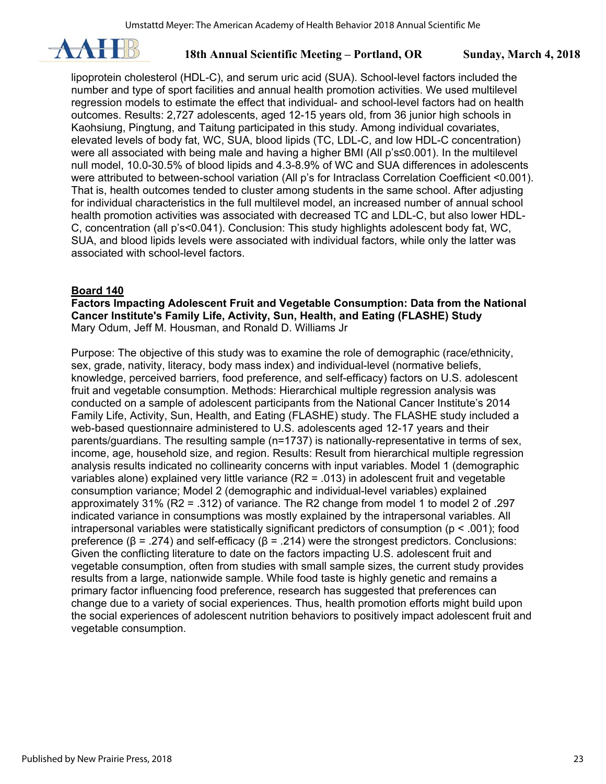

lipoprotein cholesterol (HDL-C), and serum uric acid (SUA). School-level factors included the number and type of sport facilities and annual health promotion activities. We used multilevel regression models to estimate the effect that individual- and school-level factors had on health outcomes. Results: 2,727 adolescents, aged 12-15 years old, from 36 junior high schools in Kaohsiung, Pingtung, and Taitung participated in this study. Among individual covariates, elevated levels of body fat, WC, SUA, blood lipids (TC, LDL-C, and low HDL-C concentration) were all associated with being male and having a higher BMI (All p's≤0.001). In the multilevel null model, 10.0-30.5% of blood lipids and 4.3-8.9% of WC and SUA differences in adolescents were attributed to between-school variation (All p's for Intraclass Correlation Coefficient <0.001). That is, health outcomes tended to cluster among students in the same school. After adjusting for individual characteristics in the full multilevel model, an increased number of annual school health promotion activities was associated with decreased TC and LDL-C, but also lower HDL-C, concentration (all p's<0.041). Conclusion: This study highlights adolescent body fat, WC, SUA, and blood lipids levels were associated with individual factors, while only the latter was associated with school-level factors.

#### **Board 140**

**Factors Impacting Adolescent Fruit and Vegetable Consumption: Data from the National Cancer Institute's Family Life, Activity, Sun, Health, and Eating (FLASHE) Study**  Mary Odum, Jeff M. Housman, and Ronald D. Williams Jr

Purpose: The objective of this study was to examine the role of demographic (race/ethnicity, sex, grade, nativity, literacy, body mass index) and individual-level (normative beliefs, knowledge, perceived barriers, food preference, and self-efficacy) factors on U.S. adolescent fruit and vegetable consumption. Methods: Hierarchical multiple regression analysis was conducted on a sample of adolescent participants from the National Cancer Institute's 2014 Family Life, Activity, Sun, Health, and Eating (FLASHE) study. The FLASHE study included a web-based questionnaire administered to U.S. adolescents aged 12-17 years and their parents/guardians. The resulting sample (n=1737) is nationally-representative in terms of sex, income, age, household size, and region. Results: Result from hierarchical multiple regression analysis results indicated no collinearity concerns with input variables. Model 1 (demographic variables alone) explained very little variance (R2 = .013) in adolescent fruit and vegetable consumption variance; Model 2 (demographic and individual-level variables) explained approximately 31% (R2 = .312) of variance. The R2 change from model 1 to model 2 of .297 indicated variance in consumptions was mostly explained by the intrapersonal variables. All intrapersonal variables were statistically significant predictors of consumption ( $p < .001$ ); food preference (β = .274) and self-efficacy (β = .214) were the strongest predictors. Conclusions: Given the conflicting literature to date on the factors impacting U.S. adolescent fruit and vegetable consumption, often from studies with small sample sizes, the current study provides results from a large, nationwide sample. While food taste is highly genetic and remains a primary factor influencing food preference, research has suggested that preferences can change due to a variety of social experiences. Thus, health promotion efforts might build upon the social experiences of adolescent nutrition behaviors to positively impact adolescent fruit and vegetable consumption.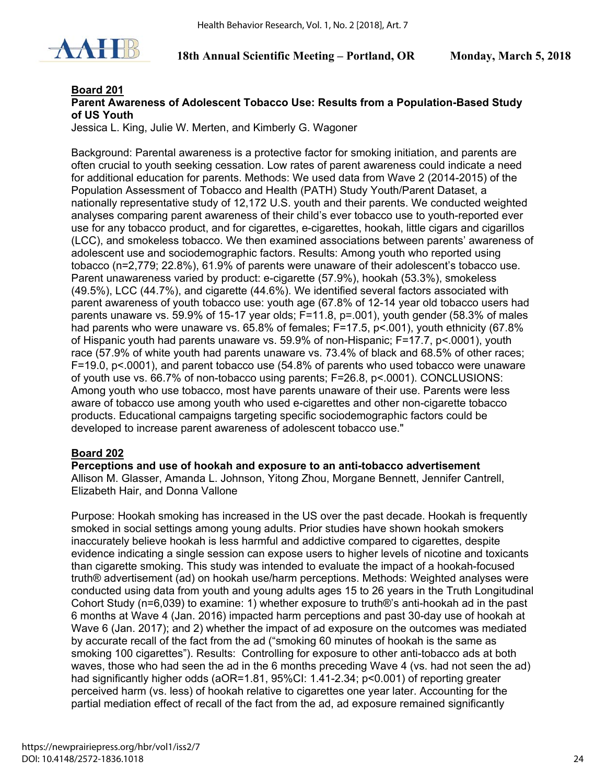

#### **Board 201**

#### **Parent Awareness of Adolescent Tobacco Use: Results from a Population-Based Study of US Youth**

Jessica L. King, Julie W. Merten, and Kimberly G. Wagoner

Background: Parental awareness is a protective factor for smoking initiation, and parents are often crucial to youth seeking cessation. Low rates of parent awareness could indicate a need for additional education for parents. Methods: We used data from Wave 2 (2014-2015) of the Population Assessment of Tobacco and Health (PATH) Study Youth/Parent Dataset, a nationally representative study of 12,172 U.S. youth and their parents. We conducted weighted analyses comparing parent awareness of their child's ever tobacco use to youth-reported ever use for any tobacco product, and for cigarettes, e-cigarettes, hookah, little cigars and cigarillos (LCC), and smokeless tobacco. We then examined associations between parents' awareness of adolescent use and sociodemographic factors. Results: Among youth who reported using tobacco (n=2,779; 22.8%), 61.9% of parents were unaware of their adolescent's tobacco use. Parent unawareness varied by product: e-cigarette (57.9%), hookah (53.3%), smokeless (49.5%), LCC (44.7%), and cigarette (44.6%). We identified several factors associated with parent awareness of youth tobacco use: youth age (67.8% of 12-14 year old tobacco users had parents unaware vs. 59.9% of 15-17 year olds; F=11.8, p=.001), youth gender (58.3% of males had parents who were unaware vs. 65.8% of females; F=17.5, p<.001), youth ethnicity (67.8% of Hispanic youth had parents unaware vs. 59.9% of non-Hispanic; F=17.7, p<.0001), youth race (57.9% of white youth had parents unaware vs. 73.4% of black and 68.5% of other races; F=19.0, p<.0001), and parent tobacco use (54.8% of parents who used tobacco were unaware of youth use vs. 66.7% of non-tobacco using parents; F=26.8, p<.0001). CONCLUSIONS: Among youth who use tobacco, most have parents unaware of their use. Parents were less aware of tobacco use among youth who used e-cigarettes and other non-cigarette tobacco products. Educational campaigns targeting specific sociodemographic factors could be developed to increase parent awareness of adolescent tobacco use."

#### **Board 202**

**Perceptions and use of hookah and exposure to an anti-tobacco advertisement**  Allison M. Glasser, Amanda L. Johnson, Yitong Zhou, Morgane Bennett, Jennifer Cantrell, Elizabeth Hair, and Donna Vallone

Purpose: Hookah smoking has increased in the US over the past decade. Hookah is frequently smoked in social settings among young adults. Prior studies have shown hookah smokers inaccurately believe hookah is less harmful and addictive compared to cigarettes, despite evidence indicating a single session can expose users to higher levels of nicotine and toxicants than cigarette smoking. This study was intended to evaluate the impact of a hookah-focused truth® advertisement (ad) on hookah use/harm perceptions. Methods: Weighted analyses were conducted using data from youth and young adults ages 15 to 26 years in the Truth Longitudinal Cohort Study (n=6,039) to examine: 1) whether exposure to truth®'s anti-hookah ad in the past 6 months at Wave 4 (Jan. 2016) impacted harm perceptions and past 30-day use of hookah at Wave 6 (Jan. 2017); and 2) whether the impact of ad exposure on the outcomes was mediated by accurate recall of the fact from the ad ("smoking 60 minutes of hookah is the same as smoking 100 cigarettes"). Results: Controlling for exposure to other anti-tobacco ads at both waves, those who had seen the ad in the 6 months preceding Wave 4 (vs. had not seen the ad) had significantly higher odds (aOR=1.81, 95%CI: 1.41-2.34; p<0.001) of reporting greater perceived harm (vs. less) of hookah relative to cigarettes one year later. Accounting for the partial mediation effect of recall of the fact from the ad, ad exposure remained significantly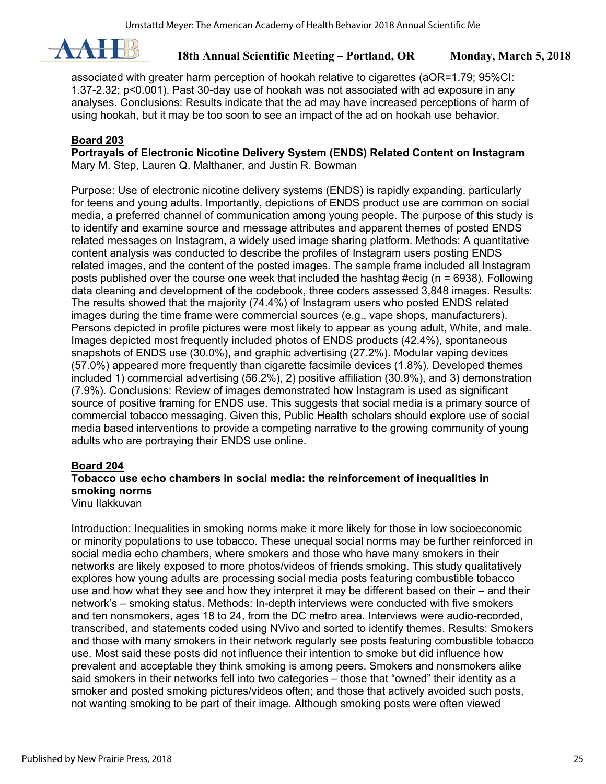

associated with greater harm perception of hookah relative to cigarettes (aOR=1.79; 95%CI: 1.37-2.32; p<0.001). Past 30-day use of hookah was not associated with ad exposure in any analyses. Conclusions: Results indicate that the ad may have increased perceptions of harm of using hookah, but it may be too soon to see an impact of the ad on hookah use behavior.

### **Board 203**

**Portrayals of Electronic Nicotine Delivery System (ENDS) Related Content on Instagram**  Mary M. Step, Lauren Q. Malthaner, and Justin R. Bowman

Purpose: Use of electronic nicotine delivery systems (ENDS) is rapidly expanding, particularly for teens and young adults. Importantly, depictions of ENDS product use are common on social media, a preferred channel of communication among young people. The purpose of this study is to identify and examine source and message attributes and apparent themes of posted ENDS related messages on Instagram, a widely used image sharing platform. Methods: A quantitative content analysis was conducted to describe the profiles of Instagram users posting ENDS related images, and the content of the posted images. The sample frame included all Instagram posts published over the course one week that included the hashtag #ecig (n = 6938). Following data cleaning and development of the codebook, three coders assessed 3,848 images. Results: The results showed that the majority (74.4%) of Instagram users who posted ENDS related images during the time frame were commercial sources (e.g., vape shops, manufacturers). Persons depicted in profile pictures were most likely to appear as young adult, White, and male. Images depicted most frequently included photos of ENDS products (42.4%), spontaneous snapshots of ENDS use (30.0%), and graphic advertising (27.2%). Modular vaping devices (57.0%) appeared more frequently than cigarette facsimile devices (1.8%). Developed themes included 1) commercial advertising (56.2%), 2) positive affiliation (30.9%), and 3) demonstration (7.9%). Conclusions: Review of images demonstrated how Instagram is used as significant source of positive framing for ENDS use. This suggests that social media is a primary source of commercial tobacco messaging. Given this, Public Health scholars should explore use of social media based interventions to provide a competing narrative to the growing community of young adults who are portraying their ENDS use online.

#### **Board 204**

## **Tobacco use echo chambers in social media: the reinforcement of inequalities in smoking norms**

Vinu Ilakkuvan

Introduction: Inequalities in smoking norms make it more likely for those in low socioeconomic or minority populations to use tobacco. These unequal social norms may be further reinforced in social media echo chambers, where smokers and those who have many smokers in their networks are likely exposed to more photos/videos of friends smoking. This study qualitatively explores how young adults are processing social media posts featuring combustible tobacco use and how what they see and how they interpret it may be different based on their – and their network's – smoking status. Methods: In-depth interviews were conducted with five smokers and ten nonsmokers, ages 18 to 24, from the DC metro area. Interviews were audio-recorded, transcribed, and statements coded using NVivo and sorted to identify themes. Results: Smokers and those with many smokers in their network regularly see posts featuring combustible tobacco use. Most said these posts did not influence their intention to smoke but did influence how prevalent and acceptable they think smoking is among peers. Smokers and nonsmokers alike said smokers in their networks fell into two categories – those that "owned" their identity as a smoker and posted smoking pictures/videos often; and those that actively avoided such posts, not wanting smoking to be part of their image. Although smoking posts were often viewed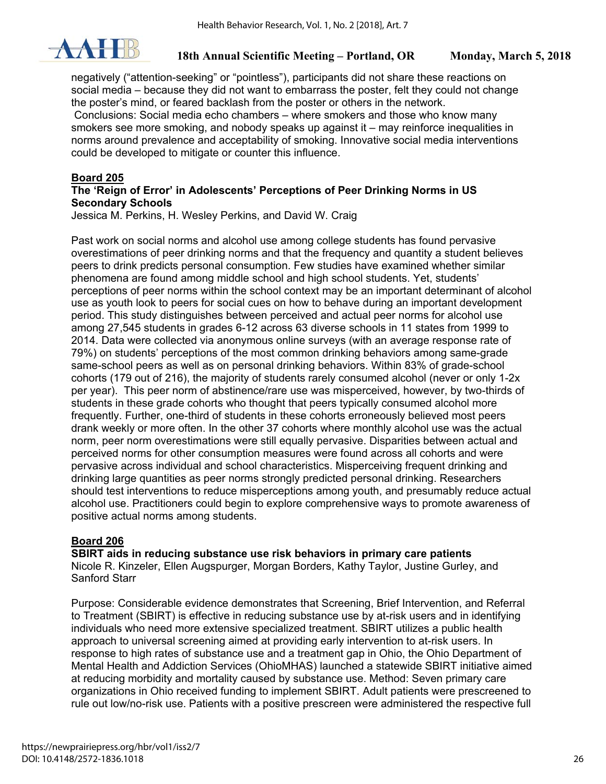

negatively ("attention-seeking" or "pointless"), participants did not share these reactions on social media – because they did not want to embarrass the poster, felt they could not change the poster's mind, or feared backlash from the poster or others in the network. Conclusions: Social media echo chambers – where smokers and those who know many smokers see more smoking, and nobody speaks up against it – may reinforce inequalities in norms around prevalence and acceptability of smoking. Innovative social media interventions could be developed to mitigate or counter this influence.

### **Board 205**

#### **The 'Reign of Error' in Adolescents' Perceptions of Peer Drinking Norms in US Secondary Schools**

Jessica M. Perkins, H. Wesley Perkins, and David W. Craig

Past work on social norms and alcohol use among college students has found pervasive overestimations of peer drinking norms and that the frequency and quantity a student believes peers to drink predicts personal consumption. Few studies have examined whether similar phenomena are found among middle school and high school students. Yet, students' perceptions of peer norms within the school context may be an important determinant of alcohol use as youth look to peers for social cues on how to behave during an important development period. This study distinguishes between perceived and actual peer norms for alcohol use among 27,545 students in grades 6-12 across 63 diverse schools in 11 states from 1999 to 2014. Data were collected via anonymous online surveys (with an average response rate of 79%) on students' perceptions of the most common drinking behaviors among same-grade same-school peers as well as on personal drinking behaviors. Within 83% of grade-school cohorts (179 out of 216), the majority of students rarely consumed alcohol (never or only 1-2x per year). This peer norm of abstinence/rare use was misperceived, however, by two-thirds of students in these grade cohorts who thought that peers typically consumed alcohol more frequently. Further, one-third of students in these cohorts erroneously believed most peers drank weekly or more often. In the other 37 cohorts where monthly alcohol use was the actual norm, peer norm overestimations were still equally pervasive. Disparities between actual and perceived norms for other consumption measures were found across all cohorts and were pervasive across individual and school characteristics. Misperceiving frequent drinking and drinking large quantities as peer norms strongly predicted personal drinking. Researchers should test interventions to reduce misperceptions among youth, and presumably reduce actual alcohol use. Practitioners could begin to explore comprehensive ways to promote awareness of positive actual norms among students.

## **Board 206**

**SBIRT aids in reducing substance use risk behaviors in primary care patients** 

Nicole R. Kinzeler, Ellen Augspurger, Morgan Borders, Kathy Taylor, Justine Gurley, and Sanford Starr

Purpose: Considerable evidence demonstrates that Screening, Brief Intervention, and Referral to Treatment (SBIRT) is effective in reducing substance use by at-risk users and in identifying individuals who need more extensive specialized treatment. SBIRT utilizes a public health approach to universal screening aimed at providing early intervention to at-risk users. In response to high rates of substance use and a treatment gap in Ohio, the Ohio Department of Mental Health and Addiction Services (OhioMHAS) launched a statewide SBIRT initiative aimed at reducing morbidity and mortality caused by substance use. Method: Seven primary care organizations in Ohio received funding to implement SBIRT. Adult patients were prescreened to rule out low/no-risk use. Patients with a positive prescreen were administered the respective full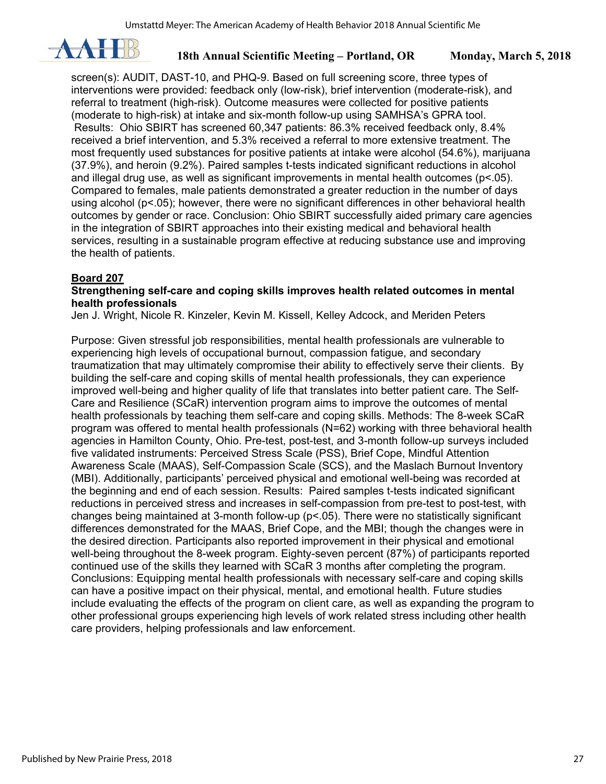

screen(s): AUDIT, DAST-10, and PHQ-9. Based on full screening score, three types of interventions were provided: feedback only (low-risk), brief intervention (moderate-risk), and referral to treatment (high-risk). Outcome measures were collected for positive patients (moderate to high-risk) at intake and six-month follow-up using SAMHSA's GPRA tool. Results: Ohio SBIRT has screened 60,347 patients: 86.3% received feedback only, 8.4% received a brief intervention, and 5.3% received a referral to more extensive treatment. The most frequently used substances for positive patients at intake were alcohol (54.6%), marijuana (37.9%), and heroin (9.2%). Paired samples t-tests indicated significant reductions in alcohol and illegal drug use, as well as significant improvements in mental health outcomes (p<.05). Compared to females, male patients demonstrated a greater reduction in the number of days using alcohol (p<.05); however, there were no significant differences in other behavioral health outcomes by gender or race. Conclusion: Ohio SBIRT successfully aided primary care agencies in the integration of SBIRT approaches into their existing medical and behavioral health services, resulting in a sustainable program effective at reducing substance use and improving the health of patients.

#### **Board 207**

#### **Strengthening self-care and coping skills improves health related outcomes in mental health professionals**

Jen J. Wright, Nicole R. Kinzeler, Kevin M. Kissell, Kelley Adcock, and Meriden Peters

Purpose: Given stressful job responsibilities, mental health professionals are vulnerable to experiencing high levels of occupational burnout, compassion fatigue, and secondary traumatization that may ultimately compromise their ability to effectively serve their clients. By building the self-care and coping skills of mental health professionals, they can experience improved well-being and higher quality of life that translates into better patient care. The Self-Care and Resilience (SCaR) intervention program aims to improve the outcomes of mental health professionals by teaching them self-care and coping skills. Methods: The 8-week SCaR program was offered to mental health professionals (N=62) working with three behavioral health agencies in Hamilton County, Ohio. Pre-test, post-test, and 3-month follow-up surveys included five validated instruments: Perceived Stress Scale (PSS), Brief Cope, Mindful Attention Awareness Scale (MAAS), Self-Compassion Scale (SCS), and the Maslach Burnout Inventory (MBI). Additionally, participants' perceived physical and emotional well-being was recorded at the beginning and end of each session. Results: Paired samples t-tests indicated significant reductions in perceived stress and increases in self-compassion from pre-test to post-test, with changes being maintained at 3-month follow-up (p<.05). There were no statistically significant differences demonstrated for the MAAS, Brief Cope, and the MBI; though the changes were in the desired direction. Participants also reported improvement in their physical and emotional well-being throughout the 8-week program. Eighty-seven percent (87%) of participants reported continued use of the skills they learned with SCaR 3 months after completing the program. Conclusions: Equipping mental health professionals with necessary self-care and coping skills can have a positive impact on their physical, mental, and emotional health. Future studies include evaluating the effects of the program on client care, as well as expanding the program to other professional groups experiencing high levels of work related stress including other health care providers, helping professionals and law enforcement.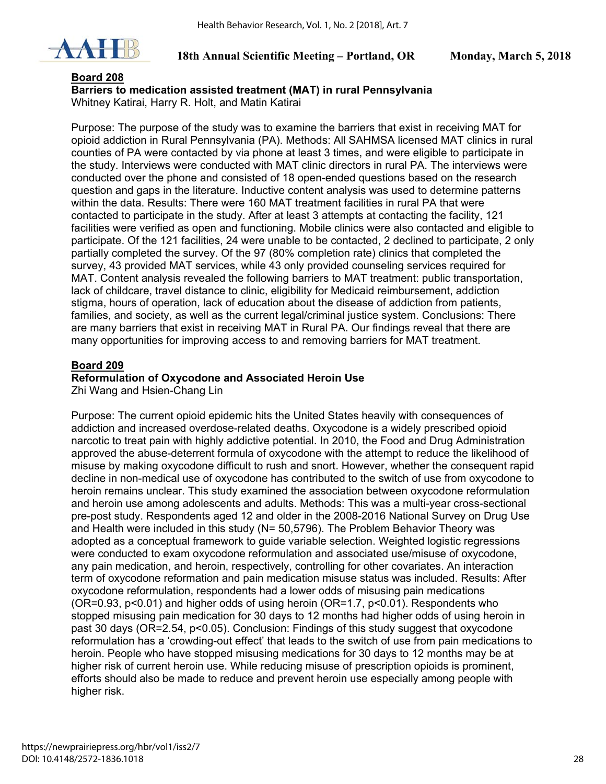

#### **Board 208**

**Barriers to medication assisted treatment (MAT) in rural Pennsylvania**  Whitney Katirai, Harry R. Holt, and Matin Katirai

Purpose: The purpose of the study was to examine the barriers that exist in receiving MAT for opioid addiction in Rural Pennsylvania (PA). Methods: All SAHMSA licensed MAT clinics in rural counties of PA were contacted by via phone at least 3 times, and were eligible to participate in the study. Interviews were conducted with MAT clinic directors in rural PA. The interviews were conducted over the phone and consisted of 18 open-ended questions based on the research question and gaps in the literature. Inductive content analysis was used to determine patterns within the data. Results: There were 160 MAT treatment facilities in rural PA that were contacted to participate in the study. After at least 3 attempts at contacting the facility, 121 facilities were verified as open and functioning. Mobile clinics were also contacted and eligible to participate. Of the 121 facilities, 24 were unable to be contacted, 2 declined to participate, 2 only partially completed the survey. Of the 97 (80% completion rate) clinics that completed the survey, 43 provided MAT services, while 43 only provided counseling services required for MAT. Content analysis revealed the following barriers to MAT treatment: public transportation, lack of childcare, travel distance to clinic, eligibility for Medicaid reimbursement, addiction stigma, hours of operation, lack of education about the disease of addiction from patients, families, and society, as well as the current legal/criminal justice system. Conclusions: There are many barriers that exist in receiving MAT in Rural PA. Our findings reveal that there are many opportunities for improving access to and removing barriers for MAT treatment.

### **Board 209**

#### **Reformulation of Oxycodone and Associated Heroin Use**

Zhi Wang and Hsien-Chang Lin

Purpose: The current opioid epidemic hits the United States heavily with consequences of addiction and increased overdose-related deaths. Oxycodone is a widely prescribed opioid narcotic to treat pain with highly addictive potential. In 2010, the Food and Drug Administration approved the abuse-deterrent formula of oxycodone with the attempt to reduce the likelihood of misuse by making oxycodone difficult to rush and snort. However, whether the consequent rapid decline in non-medical use of oxycodone has contributed to the switch of use from oxycodone to heroin remains unclear. This study examined the association between oxycodone reformulation and heroin use among adolescents and adults. Methods: This was a multi-year cross-sectional pre-post study. Respondents aged 12 and older in the 2008-2016 National Survey on Drug Use and Health were included in this study (N= 50,5796). The Problem Behavior Theory was adopted as a conceptual framework to guide variable selection. Weighted logistic regressions were conducted to exam oxycodone reformulation and associated use/misuse of oxycodone, any pain medication, and heroin, respectively, controlling for other covariates. An interaction term of oxycodone reformation and pain medication misuse status was included. Results: After oxycodone reformulation, respondents had a lower odds of misusing pain medications (OR=0.93, p<0.01) and higher odds of using heroin (OR=1.7, p<0.01). Respondents who stopped misusing pain medication for 30 days to 12 months had higher odds of using heroin in past 30 days (OR=2.54, p<0.05). Conclusion: Findings of this study suggest that oxycodone reformulation has a 'crowding-out effect' that leads to the switch of use from pain medications to heroin. People who have stopped misusing medications for 30 days to 12 months may be at higher risk of current heroin use. While reducing misuse of prescription opioids is prominent, efforts should also be made to reduce and prevent heroin use especially among people with higher risk.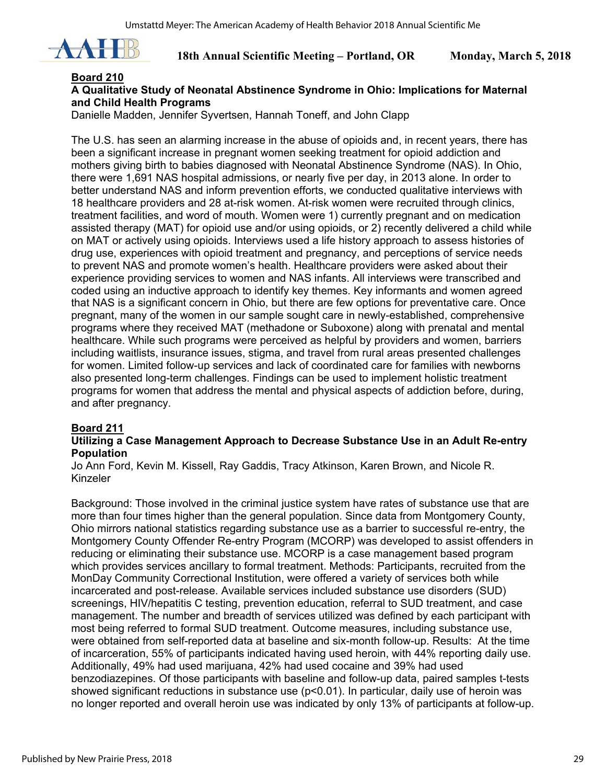

### **Board 210**

## **A Qualitative Study of Neonatal Abstinence Syndrome in Ohio: Implications for Maternal and Child Health Programs**

Danielle Madden, Jennifer Syvertsen, Hannah Toneff, and John Clapp

The U.S. has seen an alarming increase in the abuse of opioids and, in recent years, there has been a significant increase in pregnant women seeking treatment for opioid addiction and mothers giving birth to babies diagnosed with Neonatal Abstinence Syndrome (NAS). In Ohio, there were 1,691 NAS hospital admissions, or nearly five per day, in 2013 alone. In order to better understand NAS and inform prevention efforts, we conducted qualitative interviews with 18 healthcare providers and 28 at-risk women. At-risk women were recruited through clinics, treatment facilities, and word of mouth. Women were 1) currently pregnant and on medication assisted therapy (MAT) for opioid use and/or using opioids, or 2) recently delivered a child while on MAT or actively using opioids. Interviews used a life history approach to assess histories of drug use, experiences with opioid treatment and pregnancy, and perceptions of service needs to prevent NAS and promote women's health. Healthcare providers were asked about their experience providing services to women and NAS infants. All interviews were transcribed and coded using an inductive approach to identify key themes. Key informants and women agreed that NAS is a significant concern in Ohio, but there are few options for preventative care. Once pregnant, many of the women in our sample sought care in newly-established, comprehensive programs where they received MAT (methadone or Suboxone) along with prenatal and mental healthcare. While such programs were perceived as helpful by providers and women, barriers including waitlists, insurance issues, stigma, and travel from rural areas presented challenges for women. Limited follow-up services and lack of coordinated care for families with newborns also presented long-term challenges. Findings can be used to implement holistic treatment programs for women that address the mental and physical aspects of addiction before, during, and after pregnancy.

## **Board 211**

#### **Utilizing a Case Management Approach to Decrease Substance Use in an Adult Re-entry Population**

Jo Ann Ford, Kevin M. Kissell, Ray Gaddis, Tracy Atkinson, Karen Brown, and Nicole R. Kinzeler

Background: Those involved in the criminal justice system have rates of substance use that are more than four times higher than the general population. Since data from Montgomery County, Ohio mirrors national statistics regarding substance use as a barrier to successful re-entry, the Montgomery County Offender Re-entry Program (MCORP) was developed to assist offenders in reducing or eliminating their substance use. MCORP is a case management based program which provides services ancillary to formal treatment. Methods: Participants, recruited from the MonDay Community Correctional Institution, were offered a variety of services both while incarcerated and post-release. Available services included substance use disorders (SUD) screenings, HIV/hepatitis C testing, prevention education, referral to SUD treatment, and case management. The number and breadth of services utilized was defined by each participant with most being referred to formal SUD treatment. Outcome measures, including substance use, were obtained from self-reported data at baseline and six-month follow-up. Results: At the time of incarceration, 55% of participants indicated having used heroin, with 44% reporting daily use. Additionally, 49% had used marijuana, 42% had used cocaine and 39% had used benzodiazepines. Of those participants with baseline and follow-up data, paired samples t-tests showed significant reductions in substance use (p<0.01). In particular, daily use of heroin was no longer reported and overall heroin use was indicated by only 13% of participants at follow-up.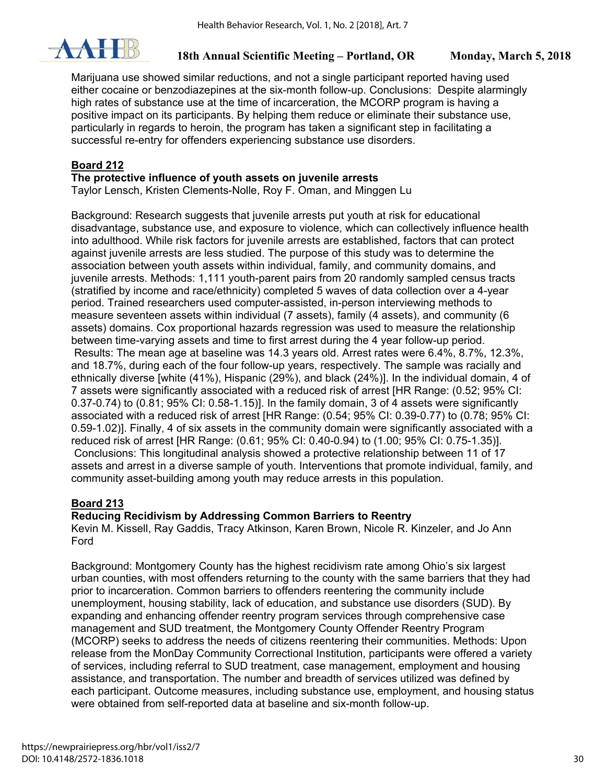

Marijuana use showed similar reductions, and not a single participant reported having used either cocaine or benzodiazepines at the six-month follow-up. Conclusions: Despite alarmingly high rates of substance use at the time of incarceration, the MCORP program is having a positive impact on its participants. By helping them reduce or eliminate their substance use, particularly in regards to heroin, the program has taken a significant step in facilitating a successful re-entry for offenders experiencing substance use disorders.

## **Board 212**

### **The protective influence of youth assets on juvenile arrests**

Taylor Lensch, Kristen Clements-Nolle, Roy F. Oman, and Minggen Lu

Background: Research suggests that juvenile arrests put youth at risk for educational disadvantage, substance use, and exposure to violence, which can collectively influence health into adulthood. While risk factors for juvenile arrests are established, factors that can protect against juvenile arrests are less studied. The purpose of this study was to determine the association between youth assets within individual, family, and community domains, and juvenile arrests. Methods: 1,111 youth-parent pairs from 20 randomly sampled census tracts (stratified by income and race/ethnicity) completed 5 waves of data collection over a 4-year period. Trained researchers used computer-assisted, in-person interviewing methods to measure seventeen assets within individual (7 assets), family (4 assets), and community (6 assets) domains. Cox proportional hazards regression was used to measure the relationship between time-varying assets and time to first arrest during the 4 year follow-up period. Results: The mean age at baseline was 14.3 years old. Arrest rates were 6.4%, 8.7%, 12.3%, and 18.7%, during each of the four follow-up years, respectively. The sample was racially and ethnically diverse [white (41%), Hispanic (29%), and black (24%)]. In the individual domain, 4 of 7 assets were significantly associated with a reduced risk of arrest [HR Range: (0.52; 95% CI: 0.37-0.74) to (0.81; 95% CI: 0.58-1.15)]. In the family domain, 3 of 4 assets were significantly associated with a reduced risk of arrest [HR Range: (0.54; 95% CI: 0.39-0.77) to (0.78; 95% CI: 0.59-1.02)]. Finally, 4 of six assets in the community domain were significantly associated with a reduced risk of arrest [HR Range: (0.61; 95% CI: 0.40-0.94) to (1.00; 95% CI: 0.75-1.35)]. Conclusions: This longitudinal analysis showed a protective relationship between 11 of 17 assets and arrest in a diverse sample of youth. Interventions that promote individual, family, and community asset-building among youth may reduce arrests in this population.

## **Board 213**

## **Reducing Recidivism by Addressing Common Barriers to Reentry**

Kevin M. Kissell, Ray Gaddis, Tracy Atkinson, Karen Brown, Nicole R. Kinzeler, and Jo Ann Ford

Background: Montgomery County has the highest recidivism rate among Ohio's six largest urban counties, with most offenders returning to the county with the same barriers that they had prior to incarceration. Common barriers to offenders reentering the community include unemployment, housing stability, lack of education, and substance use disorders (SUD). By expanding and enhancing offender reentry program services through comprehensive case management and SUD treatment, the Montgomery County Offender Reentry Program (MCORP) seeks to address the needs of citizens reentering their communities. Methods: Upon release from the MonDay Community Correctional Institution, participants were offered a variety of services, including referral to SUD treatment, case management, employment and housing assistance, and transportation. The number and breadth of services utilized was defined by each participant. Outcome measures, including substance use, employment, and housing status were obtained from self-reported data at baseline and six-month follow-up.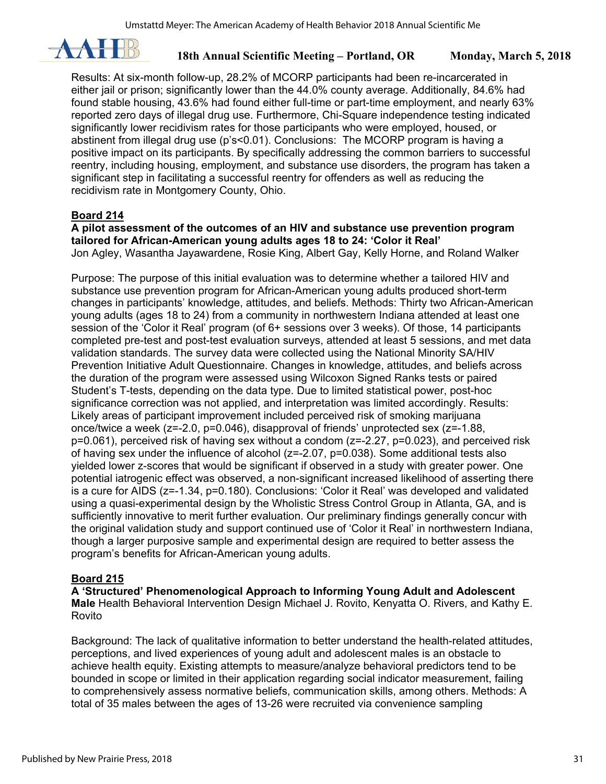

Results: At six-month follow-up, 28.2% of MCORP participants had been re-incarcerated in either jail or prison; significantly lower than the 44.0% county average. Additionally, 84.6% had found stable housing, 43.6% had found either full-time or part-time employment, and nearly 63% reported zero days of illegal drug use. Furthermore, Chi-Square independence testing indicated significantly lower recidivism rates for those participants who were employed, housed, or abstinent from illegal drug use (p's<0.01). Conclusions: The MCORP program is having a positive impact on its participants. By specifically addressing the common barriers to successful reentry, including housing, employment, and substance use disorders, the program has taken a significant step in facilitating a successful reentry for offenders as well as reducing the recidivism rate in Montgomery County, Ohio.

## **Board 214**

**A pilot assessment of the outcomes of an HIV and substance use prevention program tailored for African-American young adults ages 18 to 24: 'Color it Real'**  Jon Agley, Wasantha Jayawardene, Rosie King, Albert Gay, Kelly Horne, and Roland Walker

Purpose: The purpose of this initial evaluation was to determine whether a tailored HIV and substance use prevention program for African-American young adults produced short-term changes in participants' knowledge, attitudes, and beliefs. Methods: Thirty two African-American young adults (ages 18 to 24) from a community in northwestern Indiana attended at least one session of the 'Color it Real' program (of 6+ sessions over 3 weeks). Of those, 14 participants completed pre-test and post-test evaluation surveys, attended at least 5 sessions, and met data validation standards. The survey data were collected using the National Minority SA/HIV Prevention Initiative Adult Questionnaire. Changes in knowledge, attitudes, and beliefs across the duration of the program were assessed using Wilcoxon Signed Ranks tests or paired Student's T-tests, depending on the data type. Due to limited statistical power, post-hoc significance correction was not applied, and interpretation was limited accordingly. Results: Likely areas of participant improvement included perceived risk of smoking marijuana once/twice a week ( $z=-2.0$ ,  $p=0.046$ ), disapproval of friends' unprotected sex ( $z=-1.88$ ) p=0.061), perceived risk of having sex without a condom (z=-2.27, p=0.023), and perceived risk of having sex under the influence of alcohol (z=-2.07, p=0.038). Some additional tests also yielded lower z-scores that would be significant if observed in a study with greater power. One potential iatrogenic effect was observed, a non-significant increased likelihood of asserting there is a cure for AIDS (z=-1.34, p=0.180). Conclusions: 'Color it Real' was developed and validated using a quasi-experimental design by the Wholistic Stress Control Group in Atlanta, GA, and is sufficiently innovative to merit further evaluation. Our preliminary findings generally concur with the original validation study and support continued use of 'Color it Real' in northwestern Indiana, though a larger purposive sample and experimental design are required to better assess the program's benefits for African-American young adults.

## **Board 215**

**A 'Structured' Phenomenological Approach to Informing Young Adult and Adolescent Male** Health Behavioral Intervention Design Michael J. Rovito, Kenyatta O. Rivers, and Kathy E. Rovito

Background: The lack of qualitative information to better understand the health-related attitudes, perceptions, and lived experiences of young adult and adolescent males is an obstacle to achieve health equity. Existing attempts to measure/analyze behavioral predictors tend to be bounded in scope or limited in their application regarding social indicator measurement, failing to comprehensively assess normative beliefs, communication skills, among others. Methods: A total of 35 males between the ages of 13-26 were recruited via convenience sampling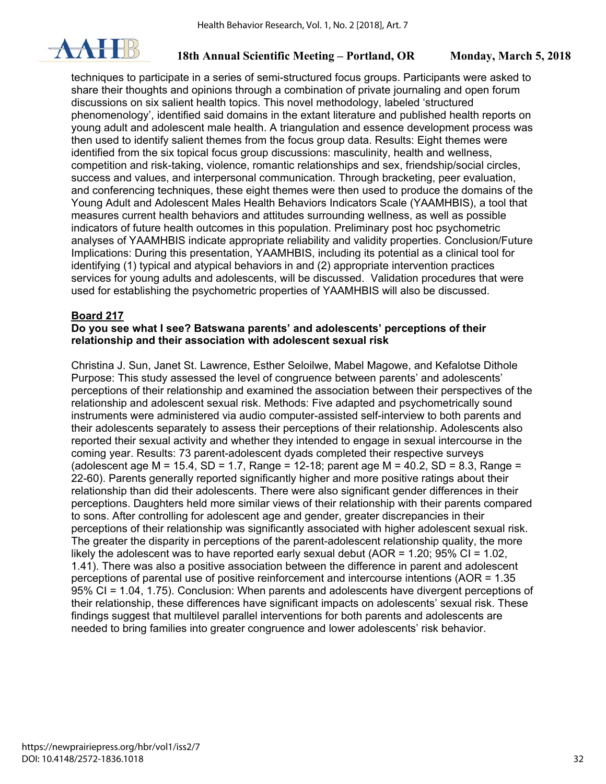

techniques to participate in a series of semi-structured focus groups. Participants were asked to share their thoughts and opinions through a combination of private journaling and open forum discussions on six salient health topics. This novel methodology, labeled 'structured phenomenology', identified said domains in the extant literature and published health reports on young adult and adolescent male health. A triangulation and essence development process was then used to identify salient themes from the focus group data. Results: Eight themes were identified from the six topical focus group discussions: masculinity, health and wellness, competition and risk-taking, violence, romantic relationships and sex, friendship/social circles, success and values, and interpersonal communication. Through bracketing, peer evaluation, and conferencing techniques, these eight themes were then used to produce the domains of the Young Adult and Adolescent Males Health Behaviors Indicators Scale (YAAMHBIS), a tool that measures current health behaviors and attitudes surrounding wellness, as well as possible indicators of future health outcomes in this population. Preliminary post hoc psychometric analyses of YAAMHBIS indicate appropriate reliability and validity properties. Conclusion/Future Implications: During this presentation, YAAMHBIS, including its potential as a clinical tool for identifying (1) typical and atypical behaviors in and (2) appropriate intervention practices services for young adults and adolescents, will be discussed. Validation procedures that were used for establishing the psychometric properties of YAAMHBIS will also be discussed.

## **Board 217**

#### **Do you see what I see? Batswana parents' and adolescents' perceptions of their relationship and their association with adolescent sexual risk**

Christina J. Sun, Janet St. Lawrence, Esther Seloilwe, Mabel Magowe, and Kefalotse Dithole Purpose: This study assessed the level of congruence between parents' and adolescents' perceptions of their relationship and examined the association between their perspectives of the relationship and adolescent sexual risk. Methods: Five adapted and psychometrically sound instruments were administered via audio computer-assisted self-interview to both parents and their adolescents separately to assess their perceptions of their relationship. Adolescents also reported their sexual activity and whether they intended to engage in sexual intercourse in the coming year. Results: 73 parent-adolescent dyads completed their respective surveys (adolescent age M = 15.4, SD = 1.7, Range = 12-18; parent age M = 40.2, SD = 8.3, Range = 22-60). Parents generally reported significantly higher and more positive ratings about their relationship than did their adolescents. There were also significant gender differences in their perceptions. Daughters held more similar views of their relationship with their parents compared to sons. After controlling for adolescent age and gender, greater discrepancies in their perceptions of their relationship was significantly associated with higher adolescent sexual risk. The greater the disparity in perceptions of the parent-adolescent relationship quality, the more likely the adolescent was to have reported early sexual debut ( $AOR = 1.20$ ; 95% CI = 1.02, 1.41). There was also a positive association between the difference in parent and adolescent perceptions of parental use of positive reinforcement and intercourse intentions (AOR = 1.35 95% CI = 1.04, 1.75). Conclusion: When parents and adolescents have divergent perceptions of their relationship, these differences have significant impacts on adolescents' sexual risk. These findings suggest that multilevel parallel interventions for both parents and adolescents are needed to bring families into greater congruence and lower adolescents' risk behavior.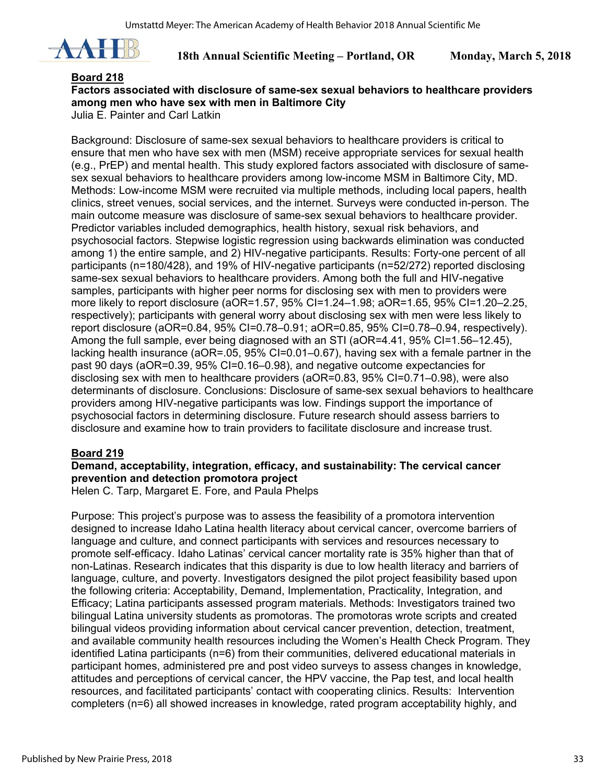

#### **Board 218**

## **Factors associated with disclosure of same-sex sexual behaviors to healthcare providers among men who have sex with men in Baltimore City**

Julia E. Painter and Carl Latkin

Background: Disclosure of same-sex sexual behaviors to healthcare providers is critical to ensure that men who have sex with men (MSM) receive appropriate services for sexual health (e.g., PrEP) and mental health. This study explored factors associated with disclosure of samesex sexual behaviors to healthcare providers among low-income MSM in Baltimore City, MD. Methods: Low-income MSM were recruited via multiple methods, including local papers, health clinics, street venues, social services, and the internet. Surveys were conducted in-person. The main outcome measure was disclosure of same-sex sexual behaviors to healthcare provider. Predictor variables included demographics, health history, sexual risk behaviors, and psychosocial factors. Stepwise logistic regression using backwards elimination was conducted among 1) the entire sample, and 2) HIV-negative participants. Results: Forty-one percent of all participants (n=180/428), and 19% of HIV-negative participants (n=52/272) reported disclosing same-sex sexual behaviors to healthcare providers. Among both the full and HIV-negative samples, participants with higher peer norms for disclosing sex with men to providers were more likely to report disclosure (aOR=1.57, 95% CI=1.24–1.98; aOR=1.65, 95% CI=1.20–2.25, respectively); participants with general worry about disclosing sex with men were less likely to report disclosure (aOR=0.84, 95% CI=0.78–0.91; aOR=0.85, 95% CI=0.78–0.94, respectively). Among the full sample, ever being diagnosed with an STI (aOR=4.41, 95% CI=1.56–12.45), lacking health insurance (aOR=.05, 95% CI=0.01–0.67), having sex with a female partner in the past 90 days (aOR=0.39, 95% CI=0.16–0.98), and negative outcome expectancies for disclosing sex with men to healthcare providers (aOR=0.83, 95% CI=0.71–0.98), were also determinants of disclosure. Conclusions: Disclosure of same-sex sexual behaviors to healthcare providers among HIV-negative participants was low. Findings support the importance of psychosocial factors in determining disclosure. Future research should assess barriers to disclosure and examine how to train providers to facilitate disclosure and increase trust.

## **Board 219**

## **Demand, acceptability, integration, efficacy, and sustainability: The cervical cancer prevention and detection promotora project**

Helen C. Tarp, Margaret E. Fore, and Paula Phelps

Purpose: This project's purpose was to assess the feasibility of a promotora intervention designed to increase Idaho Latina health literacy about cervical cancer, overcome barriers of language and culture, and connect participants with services and resources necessary to promote self-efficacy. Idaho Latinas' cervical cancer mortality rate is 35% higher than that of non-Latinas. Research indicates that this disparity is due to low health literacy and barriers of language, culture, and poverty. Investigators designed the pilot project feasibility based upon the following criteria: Acceptability, Demand, Implementation, Practicality, Integration, and Efficacy; Latina participants assessed program materials. Methods: Investigators trained two bilingual Latina university students as promotoras. The promotoras wrote scripts and created bilingual videos providing information about cervical cancer prevention, detection, treatment, and available community health resources including the Women's Health Check Program. They identified Latina participants (n=6) from their communities, delivered educational materials in participant homes, administered pre and post video surveys to assess changes in knowledge, attitudes and perceptions of cervical cancer, the HPV vaccine, the Pap test, and local health resources, and facilitated participants' contact with cooperating clinics. Results: Intervention completers (n=6) all showed increases in knowledge, rated program acceptability highly, and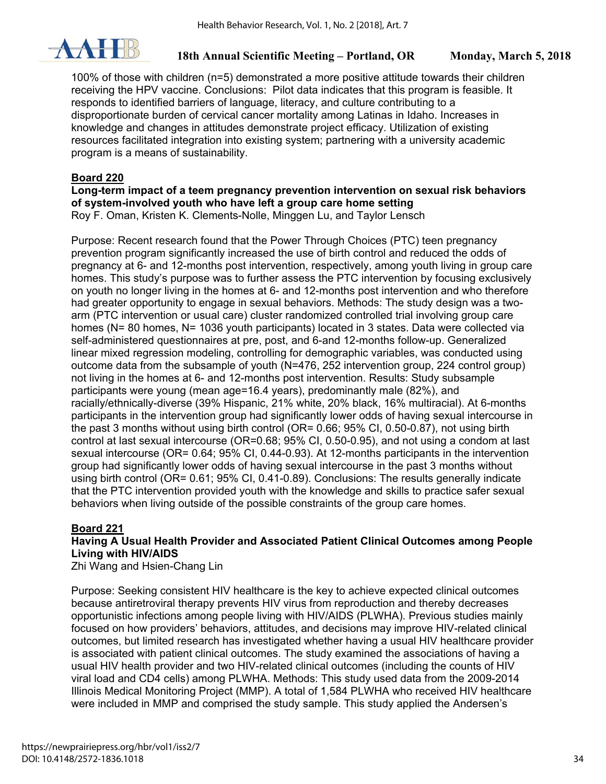

100% of those with children (n=5) demonstrated a more positive attitude towards their children receiving the HPV vaccine. Conclusions: Pilot data indicates that this program is feasible. It responds to identified barriers of language, literacy, and culture contributing to a disproportionate burden of cervical cancer mortality among Latinas in Idaho. Increases in knowledge and changes in attitudes demonstrate project efficacy. Utilization of existing resources facilitated integration into existing system; partnering with a university academic program is a means of sustainability.

## **Board 220**

**Long-term impact of a teem pregnancy prevention intervention on sexual risk behaviors of system-involved youth who have left a group care home setting** 

Roy F. Oman, Kristen K. Clements-Nolle, Minggen Lu, and Taylor Lensch

Purpose: Recent research found that the Power Through Choices (PTC) teen pregnancy prevention program significantly increased the use of birth control and reduced the odds of pregnancy at 6- and 12-months post intervention, respectively, among youth living in group care homes. This study's purpose was to further assess the PTC intervention by focusing exclusively on youth no longer living in the homes at 6- and 12-months post intervention and who therefore had greater opportunity to engage in sexual behaviors. Methods: The study design was a twoarm (PTC intervention or usual care) cluster randomized controlled trial involving group care homes (N= 80 homes, N= 1036 youth participants) located in 3 states. Data were collected via self-administered questionnaires at pre, post, and 6-and 12-months follow-up. Generalized linear mixed regression modeling, controlling for demographic variables, was conducted using outcome data from the subsample of youth (N=476, 252 intervention group, 224 control group) not living in the homes at 6- and 12-months post intervention. Results: Study subsample participants were young (mean age=16.4 years), predominantly male (82%), and racially/ethnically-diverse (39% Hispanic, 21% white, 20% black, 16% multiracial). At 6-months participants in the intervention group had significantly lower odds of having sexual intercourse in the past 3 months without using birth control (OR= 0.66; 95% CI, 0.50-0.87), not using birth control at last sexual intercourse (OR=0.68; 95% CI, 0.50-0.95), and not using a condom at last sexual intercourse (OR= 0.64; 95% CI, 0.44-0.93). At 12-months participants in the intervention group had significantly lower odds of having sexual intercourse in the past 3 months without using birth control (OR= 0.61; 95% CI, 0.41-0.89). Conclusions: The results generally indicate that the PTC intervention provided youth with the knowledge and skills to practice safer sexual behaviors when living outside of the possible constraints of the group care homes.

## **Board 221**

## **Having A Usual Health Provider and Associated Patient Clinical Outcomes among People Living with HIV/AIDS**

Zhi Wang and Hsien-Chang Lin

Purpose: Seeking consistent HIV healthcare is the key to achieve expected clinical outcomes because antiretroviral therapy prevents HIV virus from reproduction and thereby decreases opportunistic infections among people living with HIV/AIDS (PLWHA). Previous studies mainly focused on how providers' behaviors, attitudes, and decisions may improve HIV-related clinical outcomes, but limited research has investigated whether having a usual HIV healthcare provider is associated with patient clinical outcomes. The study examined the associations of having a usual HIV health provider and two HIV-related clinical outcomes (including the counts of HIV viral load and CD4 cells) among PLWHA. Methods: This study used data from the 2009-2014 Illinois Medical Monitoring Project (MMP). A total of 1,584 PLWHA who received HIV healthcare were included in MMP and comprised the study sample. This study applied the Andersen's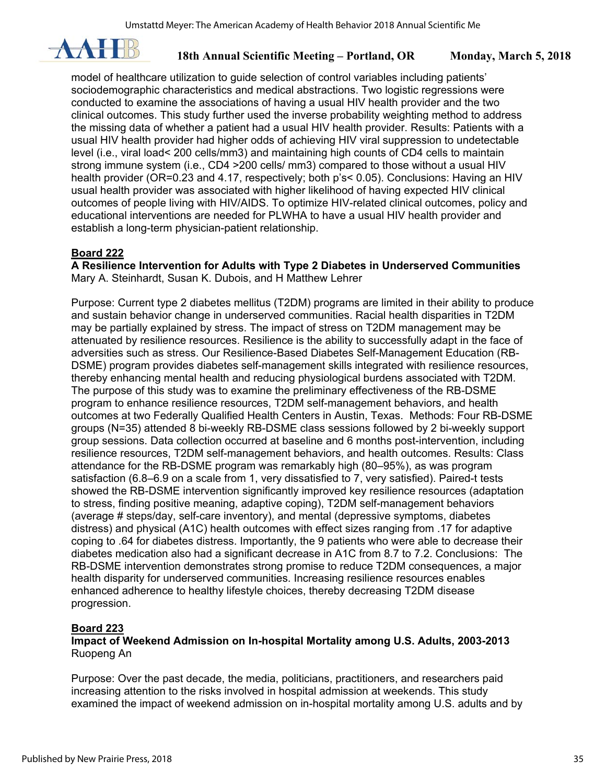

model of healthcare utilization to guide selection of control variables including patients' sociodemographic characteristics and medical abstractions. Two logistic regressions were conducted to examine the associations of having a usual HIV health provider and the two clinical outcomes. This study further used the inverse probability weighting method to address the missing data of whether a patient had a usual HIV health provider. Results: Patients with a usual HIV health provider had higher odds of achieving HIV viral suppression to undetectable level (i.e., viral load< 200 cells/mm3) and maintaining high counts of CD4 cells to maintain strong immune system (i.e., CD4 >200 cells/ mm3) compared to those without a usual HIV health provider (OR=0.23 and 4.17, respectively; both p's< 0.05). Conclusions: Having an HIV usual health provider was associated with higher likelihood of having expected HIV clinical outcomes of people living with HIV/AIDS. To optimize HIV-related clinical outcomes, policy and educational interventions are needed for PLWHA to have a usual HIV health provider and establish a long-term physician-patient relationship.

## **Board 222**

**A Resilience Intervention for Adults with Type 2 Diabetes in Underserved Communities**  Mary A. Steinhardt, Susan K. Dubois, and H Matthew Lehrer

Purpose: Current type 2 diabetes mellitus (T2DM) programs are limited in their ability to produce and sustain behavior change in underserved communities. Racial health disparities in T2DM may be partially explained by stress. The impact of stress on T2DM management may be attenuated by resilience resources. Resilience is the ability to successfully adapt in the face of adversities such as stress. Our Resilience-Based Diabetes Self-Management Education (RB-DSME) program provides diabetes self-management skills integrated with resilience resources, thereby enhancing mental health and reducing physiological burdens associated with T2DM. The purpose of this study was to examine the preliminary effectiveness of the RB-DSME program to enhance resilience resources, T2DM self-management behaviors, and health outcomes at two Federally Qualified Health Centers in Austin, Texas. Methods: Four RB-DSME groups (N=35) attended 8 bi-weekly RB-DSME class sessions followed by 2 bi-weekly support group sessions. Data collection occurred at baseline and 6 months post-intervention, including resilience resources, T2DM self-management behaviors, and health outcomes. Results: Class attendance for the RB-DSME program was remarkably high (80–95%), as was program satisfaction (6.8–6.9 on a scale from 1, very dissatisfied to 7, very satisfied). Paired-t tests showed the RB-DSME intervention significantly improved key resilience resources (adaptation to stress, finding positive meaning, adaptive coping), T2DM self-management behaviors (average # steps/day, self-care inventory), and mental (depressive symptoms, diabetes distress) and physical (A1C) health outcomes with effect sizes ranging from .17 for adaptive coping to .64 for diabetes distress. Importantly, the 9 patients who were able to decrease their diabetes medication also had a significant decrease in A1C from 8.7 to 7.2. Conclusions: The RB-DSME intervention demonstrates strong promise to reduce T2DM consequences, a major health disparity for underserved communities. Increasing resilience resources enables enhanced adherence to healthy lifestyle choices, thereby decreasing T2DM disease progression.

## **Board 223**

**Impact of Weekend Admission on In-hospital Mortality among U.S. Adults, 2003-2013**  Ruopeng An

Purpose: Over the past decade, the media, politicians, practitioners, and researchers paid increasing attention to the risks involved in hospital admission at weekends. This study examined the impact of weekend admission on in-hospital mortality among U.S. adults and by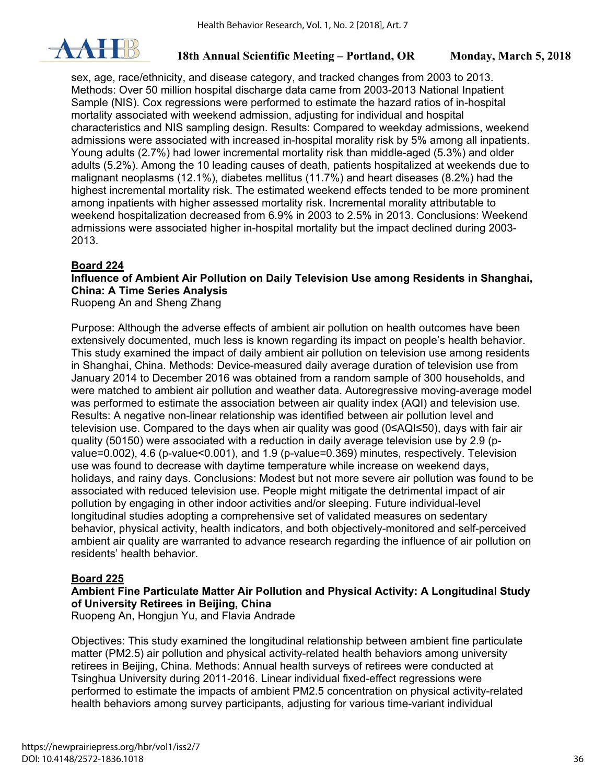

sex, age, race/ethnicity, and disease category, and tracked changes from 2003 to 2013. Methods: Over 50 million hospital discharge data came from 2003-2013 National Inpatient Sample (NIS). Cox regressions were performed to estimate the hazard ratios of in-hospital mortality associated with weekend admission, adjusting for individual and hospital characteristics and NIS sampling design. Results: Compared to weekday admissions, weekend admissions were associated with increased in-hospital morality risk by 5% among all inpatients. Young adults (2.7%) had lower incremental mortality risk than middle-aged (5.3%) and older adults (5.2%). Among the 10 leading causes of death, patients hospitalized at weekends due to malignant neoplasms (12.1%), diabetes mellitus (11.7%) and heart diseases (8.2%) had the highest incremental mortality risk. The estimated weekend effects tended to be more prominent among inpatients with higher assessed mortality risk. Incremental morality attributable to weekend hospitalization decreased from 6.9% in 2003 to 2.5% in 2013. Conclusions: Weekend admissions were associated higher in-hospital mortality but the impact declined during 2003- 2013.

## **Board 224**

## **Influence of Ambient Air Pollution on Daily Television Use among Residents in Shanghai, China: A Time Series Analysis**

Ruopeng An and Sheng Zhang

Purpose: Although the adverse effects of ambient air pollution on health outcomes have been extensively documented, much less is known regarding its impact on people's health behavior. This study examined the impact of daily ambient air pollution on television use among residents in Shanghai, China. Methods: Device-measured daily average duration of television use from January 2014 to December 2016 was obtained from a random sample of 300 households, and were matched to ambient air pollution and weather data. Autoregressive moving-average model was performed to estimate the association between air quality index (AQI) and television use. Results: A negative non-linear relationship was identified between air pollution level and television use. Compared to the days when air quality was good (0≤AQI≤50), days with fair air quality (50150) were associated with a reduction in daily average television use by 2.9 (pvalue=0.002), 4.6 (p-value<0.001), and 1.9 (p-value=0.369) minutes, respectively. Television use was found to decrease with daytime temperature while increase on weekend days, holidays, and rainy days. Conclusions: Modest but not more severe air pollution was found to be associated with reduced television use. People might mitigate the detrimental impact of air pollution by engaging in other indoor activities and/or sleeping. Future individual-level longitudinal studies adopting a comprehensive set of validated measures on sedentary behavior, physical activity, health indicators, and both objectively-monitored and self-perceived ambient air quality are warranted to advance research regarding the influence of air pollution on residents' health behavior.

## **Board 225**

## **Ambient Fine Particulate Matter Air Pollution and Physical Activity: A Longitudinal Study of University Retirees in Beijing, China**

Ruopeng An, Hongjun Yu, and Flavia Andrade

Objectives: This study examined the longitudinal relationship between ambient fine particulate matter (PM2.5) air pollution and physical activity-related health behaviors among university retirees in Beijing, China. Methods: Annual health surveys of retirees were conducted at Tsinghua University during 2011-2016. Linear individual fixed-effect regressions were performed to estimate the impacts of ambient PM2.5 concentration on physical activity-related health behaviors among survey participants, adjusting for various time-variant individual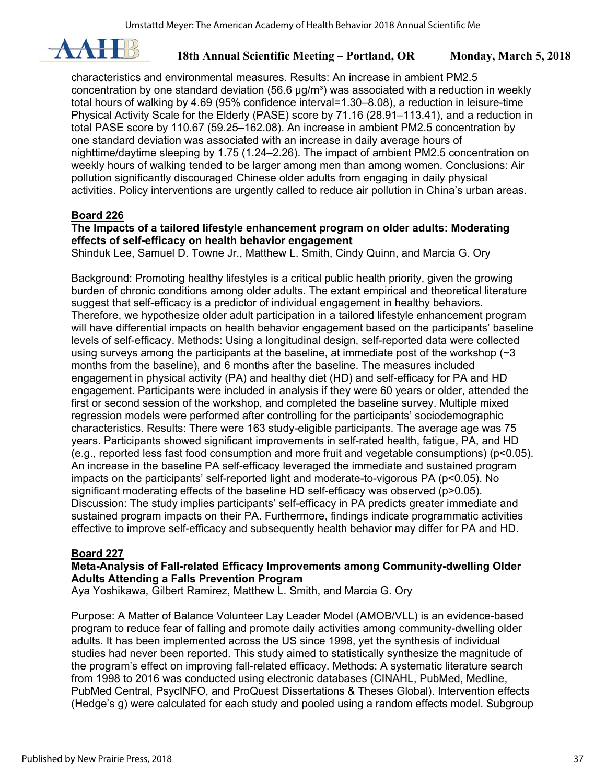

characteristics and environmental measures. Results: An increase in ambient PM2.5 concentration by one standard deviation  $(56.6 \text{ µg/m}^3)$  was associated with a reduction in weekly total hours of walking by 4.69 (95% confidence interval=1.30–8.08), a reduction in leisure-time Physical Activity Scale for the Elderly (PASE) score by 71.16 (28.91–113.41), and a reduction in total PASE score by 110.67 (59.25–162.08). An increase in ambient PM2.5 concentration by one standard deviation was associated with an increase in daily average hours of nighttime/daytime sleeping by 1.75 (1.24–2.26). The impact of ambient PM2.5 concentration on weekly hours of walking tended to be larger among men than among women. Conclusions: Air pollution significantly discouraged Chinese older adults from engaging in daily physical activities. Policy interventions are urgently called to reduce air pollution in China's urban areas.

## **Board 226**

### **The Impacts of a tailored lifestyle enhancement program on older adults: Moderating effects of self-efficacy on health behavior engagement**

Shinduk Lee, Samuel D. Towne Jr., Matthew L. Smith, Cindy Quinn, and Marcia G. Ory

Background: Promoting healthy lifestyles is a critical public health priority, given the growing burden of chronic conditions among older adults. The extant empirical and theoretical literature suggest that self-efficacy is a predictor of individual engagement in healthy behaviors. Therefore, we hypothesize older adult participation in a tailored lifestyle enhancement program will have differential impacts on health behavior engagement based on the participants' baseline levels of self-efficacy. Methods: Using a longitudinal design, self-reported data were collected using surveys among the participants at the baseline, at immediate post of the workshop  $(\sim 3)$ months from the baseline), and 6 months after the baseline. The measures included engagement in physical activity (PA) and healthy diet (HD) and self-efficacy for PA and HD engagement. Participants were included in analysis if they were 60 years or older, attended the first or second session of the workshop, and completed the baseline survey. Multiple mixed regression models were performed after controlling for the participants' sociodemographic characteristics. Results: There were 163 study-eligible participants. The average age was 75 years. Participants showed significant improvements in self-rated health, fatigue, PA, and HD (e.g., reported less fast food consumption and more fruit and vegetable consumptions) (p<0.05). An increase in the baseline PA self-efficacy leveraged the immediate and sustained program impacts on the participants' self-reported light and moderate-to-vigorous PA (p<0.05). No significant moderating effects of the baseline HD self-efficacy was observed (p>0.05). Discussion: The study implies participants' self-efficacy in PA predicts greater immediate and sustained program impacts on their PA. Furthermore, findings indicate programmatic activities effective to improve self-efficacy and subsequently health behavior may differ for PA and HD.

## **Board 227**

## **Meta-Analysis of Fall-related Efficacy Improvements among Community-dwelling Older Adults Attending a Falls Prevention Program**

Aya Yoshikawa, Gilbert Ramirez, Matthew L. Smith, and Marcia G. Ory

Purpose: A Matter of Balance Volunteer Lay Leader Model (AMOB/VLL) is an evidence-based program to reduce fear of falling and promote daily activities among community-dwelling older adults. It has been implemented across the US since 1998, yet the synthesis of individual studies had never been reported. This study aimed to statistically synthesize the magnitude of the program's effect on improving fall-related efficacy. Methods: A systematic literature search from 1998 to 2016 was conducted using electronic databases (CINAHL, PubMed, Medline, PubMed Central, PsycINFO, and ProQuest Dissertations & Theses Global). Intervention effects (Hedge's g) were calculated for each study and pooled using a random effects model. Subgroup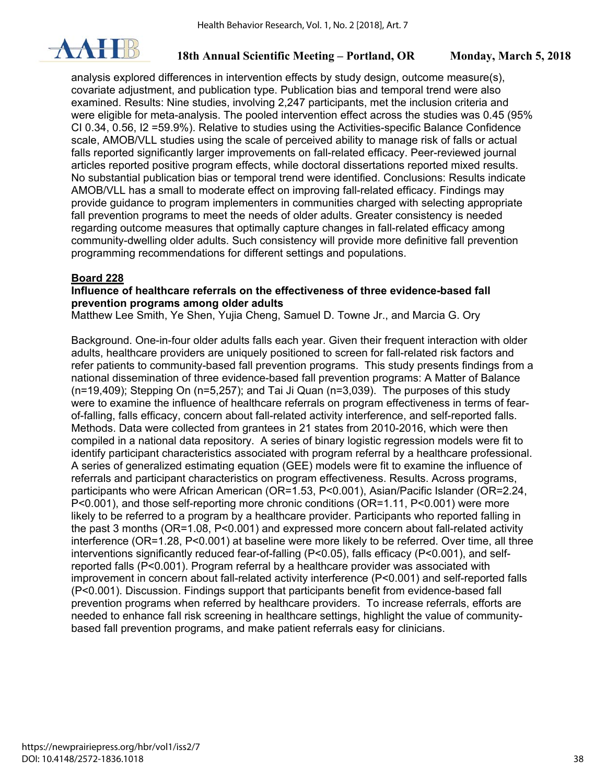

analysis explored differences in intervention effects by study design, outcome measure(s), covariate adjustment, and publication type. Publication bias and temporal trend were also examined. Results: Nine studies, involving 2,247 participants, met the inclusion criteria and were eligible for meta-analysis. The pooled intervention effect across the studies was 0.45 (95% CI 0.34, 0.56, I2 =59.9%). Relative to studies using the Activities-specific Balance Confidence scale, AMOB/VLL studies using the scale of perceived ability to manage risk of falls or actual falls reported significantly larger improvements on fall-related efficacy. Peer-reviewed journal articles reported positive program effects, while doctoral dissertations reported mixed results. No substantial publication bias or temporal trend were identified. Conclusions: Results indicate AMOB/VLL has a small to moderate effect on improving fall-related efficacy. Findings may provide guidance to program implementers in communities charged with selecting appropriate fall prevention programs to meet the needs of older adults. Greater consistency is needed regarding outcome measures that optimally capture changes in fall-related efficacy among community-dwelling older adults. Such consistency will provide more definitive fall prevention programming recommendations for different settings and populations.

#### **Board 228**

#### **Influence of healthcare referrals on the effectiveness of three evidence-based fall prevention programs among older adults**

Matthew Lee Smith, Ye Shen, Yujia Cheng, Samuel D. Towne Jr., and Marcia G. Ory

Background. One-in-four older adults falls each year. Given their frequent interaction with older adults, healthcare providers are uniquely positioned to screen for fall-related risk factors and refer patients to community-based fall prevention programs. This study presents findings from a national dissemination of three evidence-based fall prevention programs: A Matter of Balance (n=19,409); Stepping On (n=5,257); and Tai Ji Quan (n=3,039). The purposes of this study were to examine the influence of healthcare referrals on program effectiveness in terms of fearof-falling, falls efficacy, concern about fall-related activity interference, and self-reported falls. Methods. Data were collected from grantees in 21 states from 2010-2016, which were then compiled in a national data repository. A series of binary logistic regression models were fit to identify participant characteristics associated with program referral by a healthcare professional. A series of generalized estimating equation (GEE) models were fit to examine the influence of referrals and participant characteristics on program effectiveness. Results. Across programs, participants who were African American (OR=1.53, P<0.001), Asian/Pacific Islander (OR=2.24, P<0.001), and those self-reporting more chronic conditions (OR=1.11, P<0.001) were more likely to be referred to a program by a healthcare provider. Participants who reported falling in the past 3 months (OR=1.08, P<0.001) and expressed more concern about fall-related activity interference (OR=1.28, P<0.001) at baseline were more likely to be referred. Over time, all three interventions significantly reduced fear-of-falling (P<0.05), falls efficacy (P<0.001), and selfreported falls (P<0.001). Program referral by a healthcare provider was associated with improvement in concern about fall-related activity interference (P<0.001) and self-reported falls (P<0.001). Discussion. Findings support that participants benefit from evidence-based fall prevention programs when referred by healthcare providers. To increase referrals, efforts are needed to enhance fall risk screening in healthcare settings, highlight the value of communitybased fall prevention programs, and make patient referrals easy for clinicians.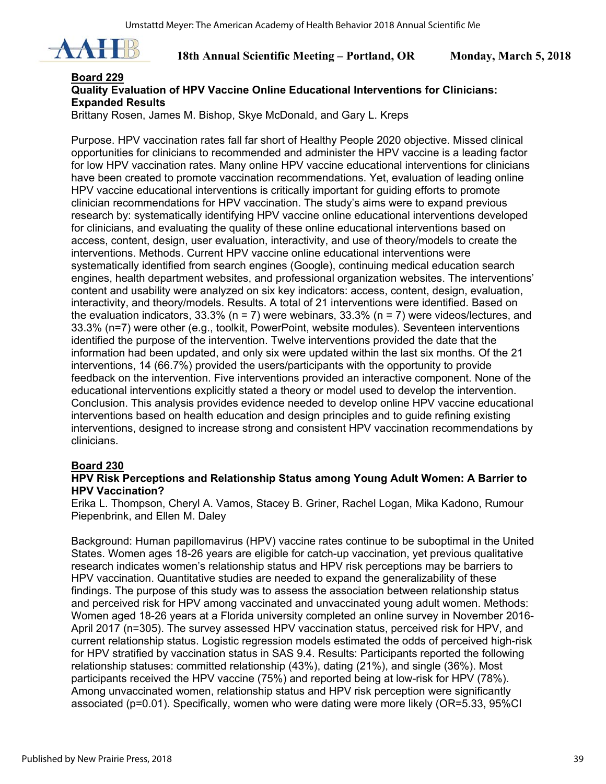

#### **Board 229 Quality Evaluation of HPV Vaccine Online Educational Interventions for Clinicians: Expanded Results**

Brittany Rosen, James M. Bishop, Skye McDonald, and Gary L. Kreps

Purpose. HPV vaccination rates fall far short of Healthy People 2020 objective. Missed clinical opportunities for clinicians to recommended and administer the HPV vaccine is a leading factor for low HPV vaccination rates. Many online HPV vaccine educational interventions for clinicians have been created to promote vaccination recommendations. Yet, evaluation of leading online HPV vaccine educational interventions is critically important for guiding efforts to promote clinician recommendations for HPV vaccination. The study's aims were to expand previous research by: systematically identifying HPV vaccine online educational interventions developed for clinicians, and evaluating the quality of these online educational interventions based on access, content, design, user evaluation, interactivity, and use of theory/models to create the interventions. Methods. Current HPV vaccine online educational interventions were systematically identified from search engines (Google), continuing medical education search engines, health department websites, and professional organization websites. The interventions' content and usability were analyzed on six key indicators: access, content, design, evaluation, interactivity, and theory/models. Results. A total of 21 interventions were identified. Based on the evaluation indicators, 33.3% ( $n = 7$ ) were webinars, 33.3% ( $n = 7$ ) were videos/lectures, and 33.3% (n=7) were other (e.g., toolkit, PowerPoint, website modules). Seventeen interventions identified the purpose of the intervention. Twelve interventions provided the date that the information had been updated, and only six were updated within the last six months. Of the 21 interventions, 14 (66.7%) provided the users/participants with the opportunity to provide feedback on the intervention. Five interventions provided an interactive component. None of the educational interventions explicitly stated a theory or model used to develop the intervention. Conclusion. This analysis provides evidence needed to develop online HPV vaccine educational interventions based on health education and design principles and to guide refining existing interventions, designed to increase strong and consistent HPV vaccination recommendations by clinicians.

#### **Board 230**

#### **HPV Risk Perceptions and Relationship Status among Young Adult Women: A Barrier to HPV Vaccination?**

Erika L. Thompson, Cheryl A. Vamos, Stacey B. Griner, Rachel Logan, Mika Kadono, Rumour Piepenbrink, and Ellen M. Daley

Background: Human papillomavirus (HPV) vaccine rates continue to be suboptimal in the United States. Women ages 18-26 years are eligible for catch-up vaccination, yet previous qualitative research indicates women's relationship status and HPV risk perceptions may be barriers to HPV vaccination. Quantitative studies are needed to expand the generalizability of these findings. The purpose of this study was to assess the association between relationship status and perceived risk for HPV among vaccinated and unvaccinated young adult women. Methods: Women aged 18-26 years at a Florida university completed an online survey in November 2016- April 2017 (n=305). The survey assessed HPV vaccination status, perceived risk for HPV, and current relationship status. Logistic regression models estimated the odds of perceived high-risk for HPV stratified by vaccination status in SAS 9.4. Results: Participants reported the following relationship statuses: committed relationship (43%), dating (21%), and single (36%). Most participants received the HPV vaccine (75%) and reported being at low-risk for HPV (78%). Among unvaccinated women, relationship status and HPV risk perception were significantly associated (p=0.01). Specifically, women who were dating were more likely (OR=5.33, 95%CI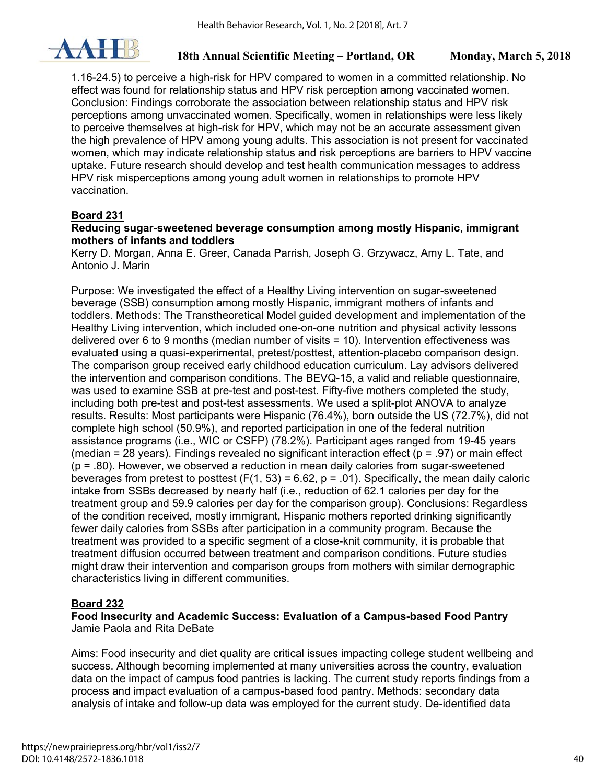

1.16-24.5) to perceive a high-risk for HPV compared to women in a committed relationship. No effect was found for relationship status and HPV risk perception among vaccinated women. Conclusion: Findings corroborate the association between relationship status and HPV risk perceptions among unvaccinated women. Specifically, women in relationships were less likely to perceive themselves at high-risk for HPV, which may not be an accurate assessment given the high prevalence of HPV among young adults. This association is not present for vaccinated women, which may indicate relationship status and risk perceptions are barriers to HPV vaccine uptake. Future research should develop and test health communication messages to address HPV risk misperceptions among young adult women in relationships to promote HPV vaccination.

## **Board 231**

### **Reducing sugar-sweetened beverage consumption among mostly Hispanic, immigrant mothers of infants and toddlers**

Kerry D. Morgan, Anna E. Greer, Canada Parrish, Joseph G. Grzywacz, Amy L. Tate, and Antonio J. Marin

Purpose: We investigated the effect of a Healthy Living intervention on sugar-sweetened beverage (SSB) consumption among mostly Hispanic, immigrant mothers of infants and toddlers. Methods: The Transtheoretical Model guided development and implementation of the Healthy Living intervention, which included one-on-one nutrition and physical activity lessons delivered over 6 to 9 months (median number of visits = 10). Intervention effectiveness was evaluated using a quasi-experimental, pretest/posttest, attention-placebo comparison design. The comparison group received early childhood education curriculum. Lay advisors delivered the intervention and comparison conditions. The BEVQ-15, a valid and reliable questionnaire, was used to examine SSB at pre-test and post-test. Fifty-five mothers completed the study, including both pre-test and post-test assessments. We used a split-plot ANOVA to analyze results. Results: Most participants were Hispanic (76.4%), born outside the US (72.7%), did not complete high school (50.9%), and reported participation in one of the federal nutrition assistance programs (i.e., WIC or CSFP) (78.2%). Participant ages ranged from 19-45 years (median = 28 years). Findings revealed no significant interaction effect ( $p = .97$ ) or main effect  $(p = .80)$ . However, we observed a reduction in mean daily calories from sugar-sweetened beverages from pretest to posttest (F(1, 53) = 6.62,  $p = .01$ ). Specifically, the mean daily caloric intake from SSBs decreased by nearly half (i.e., reduction of 62.1 calories per day for the treatment group and 59.9 calories per day for the comparison group). Conclusions: Regardless of the condition received, mostly immigrant, Hispanic mothers reported drinking significantly fewer daily calories from SSBs after participation in a community program. Because the treatment was provided to a specific segment of a close-knit community, it is probable that treatment diffusion occurred between treatment and comparison conditions. Future studies might draw their intervention and comparison groups from mothers with similar demographic characteristics living in different communities.

## **Board 232**

**Food Insecurity and Academic Success: Evaluation of a Campus-based Food Pantry**  Jamie Paola and Rita DeBate

Aims: Food insecurity and diet quality are critical issues impacting college student wellbeing and success. Although becoming implemented at many universities across the country, evaluation data on the impact of campus food pantries is lacking. The current study reports findings from a process and impact evaluation of a campus-based food pantry. Methods: secondary data analysis of intake and follow-up data was employed for the current study. De-identified data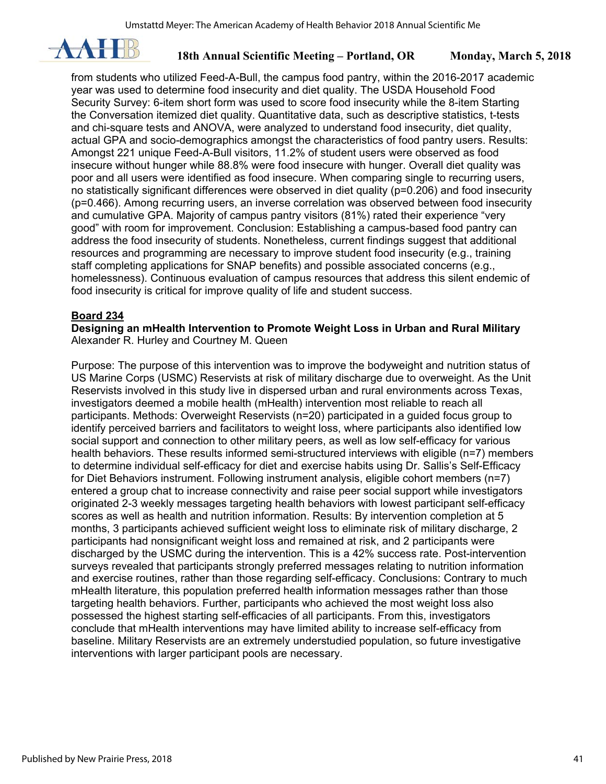

from students who utilized Feed-A-Bull, the campus food pantry, within the 2016-2017 academic year was used to determine food insecurity and diet quality. The USDA Household Food Security Survey: 6-item short form was used to score food insecurity while the 8-item Starting the Conversation itemized diet quality. Quantitative data, such as descriptive statistics, t-tests and chi-square tests and ANOVA, were analyzed to understand food insecurity, diet quality, actual GPA and socio-demographics amongst the characteristics of food pantry users. Results: Amongst 221 unique Feed-A-Bull visitors, 11.2% of student users were observed as food insecure without hunger while 88.8% were food insecure with hunger. Overall diet quality was poor and all users were identified as food insecure. When comparing single to recurring users, no statistically significant differences were observed in diet quality (p=0.206) and food insecurity (p=0.466). Among recurring users, an inverse correlation was observed between food insecurity and cumulative GPA. Majority of campus pantry visitors (81%) rated their experience "very good" with room for improvement. Conclusion: Establishing a campus-based food pantry can address the food insecurity of students. Nonetheless, current findings suggest that additional resources and programming are necessary to improve student food insecurity (e.g., training staff completing applications for SNAP benefits) and possible associated concerns (e.g., homelessness). Continuous evaluation of campus resources that address this silent endemic of food insecurity is critical for improve quality of life and student success.

#### **Board 234**

**Designing an mHealth Intervention to Promote Weight Loss in Urban and Rural Military**  Alexander R. Hurley and Courtney M. Queen

Purpose: The purpose of this intervention was to improve the bodyweight and nutrition status of US Marine Corps (USMC) Reservists at risk of military discharge due to overweight. As the Unit Reservists involved in this study live in dispersed urban and rural environments across Texas, investigators deemed a mobile health (mHealth) intervention most reliable to reach all participants. Methods: Overweight Reservists (n=20) participated in a guided focus group to identify perceived barriers and facilitators to weight loss, where participants also identified low social support and connection to other military peers, as well as low self-efficacy for various health behaviors. These results informed semi-structured interviews with eligible (n=7) members to determine individual self-efficacy for diet and exercise habits using Dr. Sallis's Self-Efficacy for Diet Behaviors instrument. Following instrument analysis, eligible cohort members (n=7) entered a group chat to increase connectivity and raise peer social support while investigators originated 2-3 weekly messages targeting health behaviors with lowest participant self-efficacy scores as well as health and nutrition information. Results: By intervention completion at 5 months, 3 participants achieved sufficient weight loss to eliminate risk of military discharge, 2 participants had nonsignificant weight loss and remained at risk, and 2 participants were discharged by the USMC during the intervention. This is a 42% success rate. Post-intervention surveys revealed that participants strongly preferred messages relating to nutrition information and exercise routines, rather than those regarding self-efficacy. Conclusions: Contrary to much mHealth literature, this population preferred health information messages rather than those targeting health behaviors. Further, participants who achieved the most weight loss also possessed the highest starting self-efficacies of all participants. From this, investigators conclude that mHealth interventions may have limited ability to increase self-efficacy from baseline. Military Reservists are an extremely understudied population, so future investigative interventions with larger participant pools are necessary.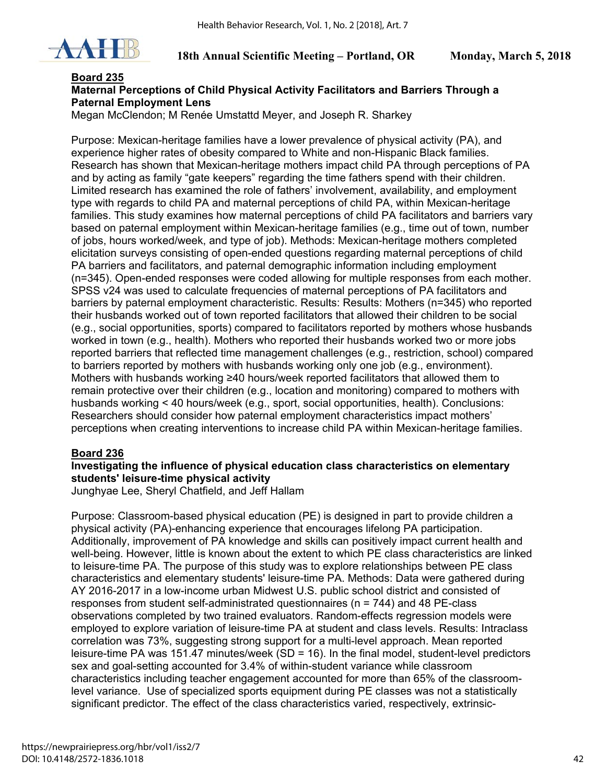

### **Board 235 Maternal Perceptions of Child Physical Activity Facilitators and Barriers Through a Paternal Employment Lens**

Megan McClendon; M Renée Umstattd Meyer, and Joseph R. Sharkey

Purpose: Mexican-heritage families have a lower prevalence of physical activity (PA), and experience higher rates of obesity compared to White and non-Hispanic Black families. Research has shown that Mexican-heritage mothers impact child PA through perceptions of PA and by acting as family "gate keepers" regarding the time fathers spend with their children. Limited research has examined the role of fathers' involvement, availability, and employment type with regards to child PA and maternal perceptions of child PA, within Mexican-heritage families. This study examines how maternal perceptions of child PA facilitators and barriers vary based on paternal employment within Mexican-heritage families (e.g., time out of town, number of jobs, hours worked/week, and type of job). Methods: Mexican-heritage mothers completed elicitation surveys consisting of open-ended questions regarding maternal perceptions of child PA barriers and facilitators, and paternal demographic information including employment (n=345). Open-ended responses were coded allowing for multiple responses from each mother. SPSS v24 was used to calculate frequencies of maternal perceptions of PA facilitators and barriers by paternal employment characteristic. Results: Results: Mothers (n=345) who reported their husbands worked out of town reported facilitators that allowed their children to be social (e.g., social opportunities, sports) compared to facilitators reported by mothers whose husbands worked in town (e.g., health). Mothers who reported their husbands worked two or more jobs reported barriers that reflected time management challenges (e.g., restriction, school) compared to barriers reported by mothers with husbands working only one job (e.g., environment). Mothers with husbands working ≥40 hours/week reported facilitators that allowed them to remain protective over their children (e.g., location and monitoring) compared to mothers with husbands working < 40 hours/week (e.g., sport, social opportunities, health). Conclusions: Researchers should consider how paternal employment characteristics impact mothers' perceptions when creating interventions to increase child PA within Mexican-heritage families.

#### **Board 236**

## **Investigating the influence of physical education class characteristics on elementary students' leisure-time physical activity**

Junghyae Lee, Sheryl Chatfield, and Jeff Hallam

Purpose: Classroom-based physical education (PE) is designed in part to provide children a physical activity (PA)-enhancing experience that encourages lifelong PA participation. Additionally, improvement of PA knowledge and skills can positively impact current health and well-being. However, little is known about the extent to which PE class characteristics are linked to leisure-time PA. The purpose of this study was to explore relationships between PE class characteristics and elementary students' leisure-time PA. Methods: Data were gathered during AY 2016-2017 in a low-income urban Midwest U.S. public school district and consisted of responses from student self-administrated questionnaires (n = 744) and 48 PE-class observations completed by two trained evaluators. Random-effects regression models were employed to explore variation of leisure-time PA at student and class levels. Results: Intraclass correlation was 73%, suggesting strong support for a multi-level approach. Mean reported leisure-time PA was 151.47 minutes/week (SD = 16). In the final model, student-level predictors sex and goal-setting accounted for 3.4% of within-student variance while classroom characteristics including teacher engagement accounted for more than 65% of the classroomlevel variance. Use of specialized sports equipment during PE classes was not a statistically significant predictor. The effect of the class characteristics varied, respectively, extrinsic-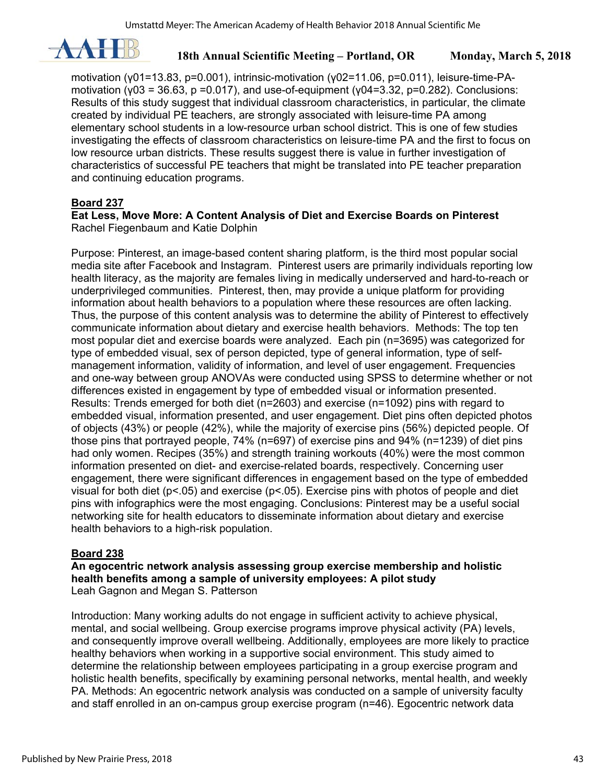

motivation (γ01=13.83, p=0.001), intrinsic-motivation (γ02=11.06, p=0.011), leisure-time-PAmotivation (γ03 = 36.63, p = 0.017), and use-of-equipment (γ04=3.32, p=0.282). Conclusions: Results of this study suggest that individual classroom characteristics, in particular, the climate created by individual PE teachers, are strongly associated with leisure-time PA among elementary school students in a low-resource urban school district. This is one of few studies investigating the effects of classroom characteristics on leisure-time PA and the first to focus on low resource urban districts. These results suggest there is value in further investigation of characteristics of successful PE teachers that might be translated into PE teacher preparation and continuing education programs.

### **Board 237**

#### **Eat Less, Move More: A Content Analysis of Diet and Exercise Boards on Pinterest**  Rachel Fiegenbaum and Katie Dolphin

Purpose: Pinterest, an image-based content sharing platform, is the third most popular social media site after Facebook and Instagram. Pinterest users are primarily individuals reporting low health literacy, as the majority are females living in medically underserved and hard-to-reach or underprivileged communities. Pinterest, then, may provide a unique platform for providing information about health behaviors to a population where these resources are often lacking. Thus, the purpose of this content analysis was to determine the ability of Pinterest to effectively communicate information about dietary and exercise health behaviors. Methods: The top ten most popular diet and exercise boards were analyzed. Each pin (n=3695) was categorized for type of embedded visual, sex of person depicted, type of general information, type of selfmanagement information, validity of information, and level of user engagement. Frequencies and one-way between group ANOVAs were conducted using SPSS to determine whether or not differences existed in engagement by type of embedded visual or information presented. Results: Trends emerged for both diet (n=2603) and exercise (n=1092) pins with regard to embedded visual, information presented, and user engagement. Diet pins often depicted photos of objects (43%) or people (42%), while the majority of exercise pins (56%) depicted people. Of those pins that portrayed people, 74% (n=697) of exercise pins and 94% (n=1239) of diet pins had only women. Recipes (35%) and strength training workouts (40%) were the most common information presented on diet- and exercise-related boards, respectively. Concerning user engagement, there were significant differences in engagement based on the type of embedded visual for both diet ( $p$ <.05) and exercise ( $p$ <.05). Exercise pins with photos of people and diet pins with infographics were the most engaging. Conclusions: Pinterest may be a useful social networking site for health educators to disseminate information about dietary and exercise health behaviors to a high-risk population.

#### **Board 238**

**An egocentric network analysis assessing group exercise membership and holistic health benefits among a sample of university employees: A pilot study**  Leah Gagnon and Megan S. Patterson

Introduction: Many working adults do not engage in sufficient activity to achieve physical, mental, and social wellbeing. Group exercise programs improve physical activity (PA) levels, and consequently improve overall wellbeing. Additionally, employees are more likely to practice healthy behaviors when working in a supportive social environment. This study aimed to determine the relationship between employees participating in a group exercise program and holistic health benefits, specifically by examining personal networks, mental health, and weekly PA. Methods: An egocentric network analysis was conducted on a sample of university faculty and staff enrolled in an on-campus group exercise program (n=46). Egocentric network data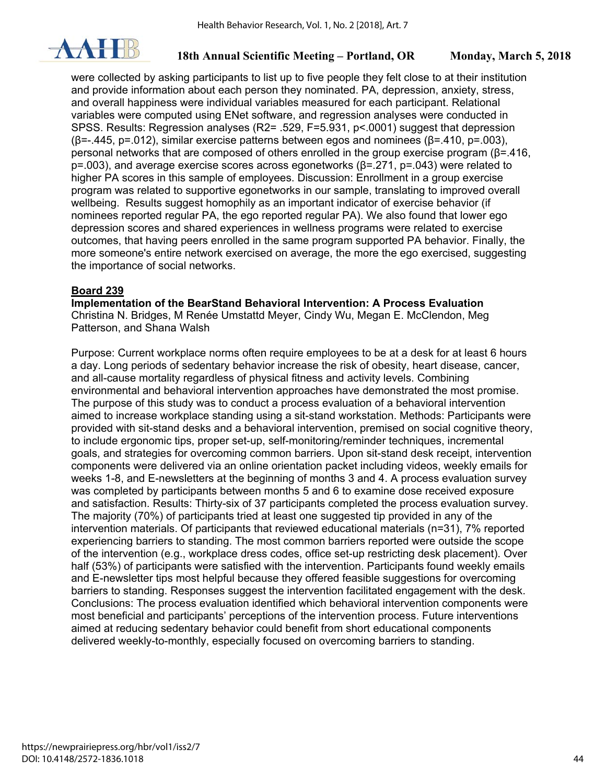

were collected by asking participants to list up to five people they felt close to at their institution and provide information about each person they nominated. PA, depression, anxiety, stress, and overall happiness were individual variables measured for each participant. Relational variables were computed using ENet software, and regression analyses were conducted in SPSS. Results: Regression analyses (R2= .529, F=5.931, p<.0001) suggest that depression ( $\beta$ =-.445, p=.012), similar exercise patterns between egos and nominees ( $\beta$ =.410, p=.003), personal networks that are composed of others enrolled in the group exercise program (β=.416, p=.003), and average exercise scores across egonetworks (β=.271, p=.043) were related to higher PA scores in this sample of employees. Discussion: Enrollment in a group exercise program was related to supportive egonetworks in our sample, translating to improved overall wellbeing. Results suggest homophily as an important indicator of exercise behavior (if nominees reported regular PA, the ego reported regular PA). We also found that lower ego depression scores and shared experiences in wellness programs were related to exercise outcomes, that having peers enrolled in the same program supported PA behavior. Finally, the more someone's entire network exercised on average, the more the ego exercised, suggesting the importance of social networks.

#### **Board 239**

**Implementation of the BearStand Behavioral Intervention: A Process Evaluation** 

Christina N. Bridges, M Renée Umstattd Meyer, Cindy Wu, Megan E. McClendon, Meg Patterson, and Shana Walsh

Purpose: Current workplace norms often require employees to be at a desk for at least 6 hours a day. Long periods of sedentary behavior increase the risk of obesity, heart disease, cancer, and all-cause mortality regardless of physical fitness and activity levels. Combining environmental and behavioral intervention approaches have demonstrated the most promise. The purpose of this study was to conduct a process evaluation of a behavioral intervention aimed to increase workplace standing using a sit-stand workstation. Methods: Participants were provided with sit-stand desks and a behavioral intervention, premised on social cognitive theory, to include ergonomic tips, proper set-up, self-monitoring/reminder techniques, incremental goals, and strategies for overcoming common barriers. Upon sit-stand desk receipt, intervention components were delivered via an online orientation packet including videos, weekly emails for weeks 1-8, and E-newsletters at the beginning of months 3 and 4. A process evaluation survey was completed by participants between months 5 and 6 to examine dose received exposure and satisfaction. Results: Thirty-six of 37 participants completed the process evaluation survey. The majority (70%) of participants tried at least one suggested tip provided in any of the intervention materials. Of participants that reviewed educational materials (n=31), 7% reported experiencing barriers to standing. The most common barriers reported were outside the scope of the intervention (e.g., workplace dress codes, office set-up restricting desk placement). Over half (53%) of participants were satisfied with the intervention. Participants found weekly emails and E-newsletter tips most helpful because they offered feasible suggestions for overcoming barriers to standing. Responses suggest the intervention facilitated engagement with the desk. Conclusions: The process evaluation identified which behavioral intervention components were most beneficial and participants' perceptions of the intervention process. Future interventions aimed at reducing sedentary behavior could benefit from short educational components delivered weekly-to-monthly, especially focused on overcoming barriers to standing.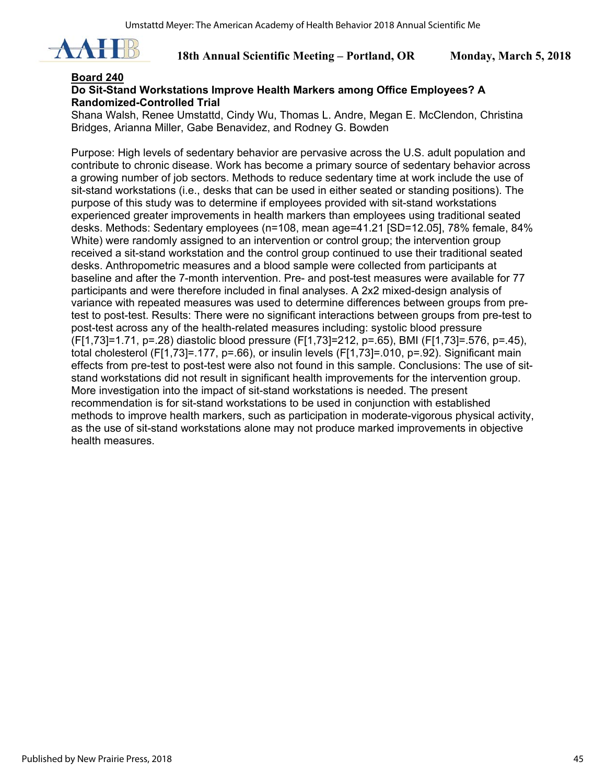

#### **Board 240**

## **Do Sit-Stand Workstations Improve Health Markers among Office Employees? A Randomized-Controlled Trial**

Shana Walsh, Renee Umstattd, Cindy Wu, Thomas L. Andre, Megan E. McClendon, Christina Bridges, Arianna Miller, Gabe Benavidez, and Rodney G. Bowden

Purpose: High levels of sedentary behavior are pervasive across the U.S. adult population and contribute to chronic disease. Work has become a primary source of sedentary behavior across a growing number of job sectors. Methods to reduce sedentary time at work include the use of sit-stand workstations (i.e., desks that can be used in either seated or standing positions). The purpose of this study was to determine if employees provided with sit-stand workstations experienced greater improvements in health markers than employees using traditional seated desks. Methods: Sedentary employees (n=108, mean age=41.21 [SD=12.05], 78% female, 84% White) were randomly assigned to an intervention or control group; the intervention group received a sit-stand workstation and the control group continued to use their traditional seated desks. Anthropometric measures and a blood sample were collected from participants at baseline and after the 7-month intervention. Pre- and post-test measures were available for 77 participants and were therefore included in final analyses. A 2x2 mixed-design analysis of variance with repeated measures was used to determine differences between groups from pretest to post-test. Results: There were no significant interactions between groups from pre-test to post-test across any of the health-related measures including: systolic blood pressure (F[1,73]=1.71, p=.28) diastolic blood pressure (F[1,73]=212, p=.65), BMI (F[1,73]=.576, p=.45), total cholesterol (F[1,73]=.177, p=.66), or insulin levels (F[1,73]=.010, p=.92). Significant main effects from pre-test to post-test were also not found in this sample. Conclusions: The use of sitstand workstations did not result in significant health improvements for the intervention group. More investigation into the impact of sit-stand workstations is needed. The present recommendation is for sit-stand workstations to be used in conjunction with established methods to improve health markers, such as participation in moderate-vigorous physical activity, as the use of sit-stand workstations alone may not produce marked improvements in objective health measures.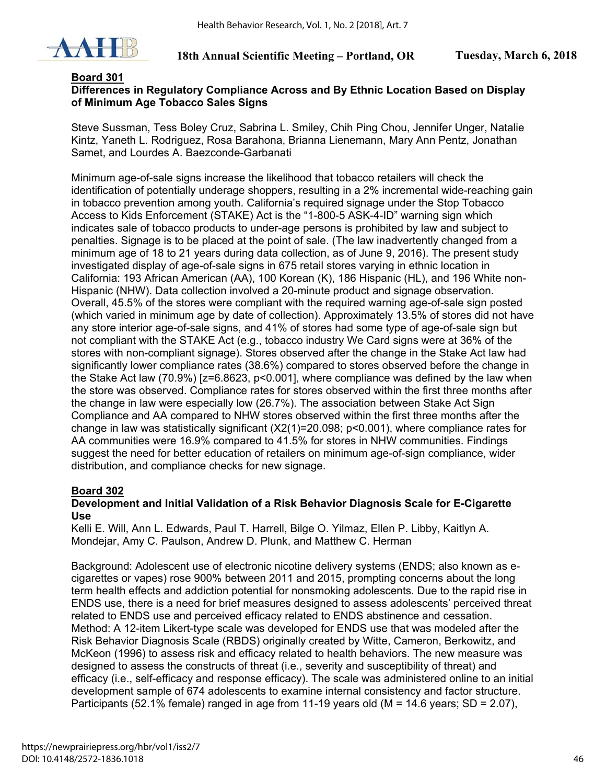

### **Board 301**

## **Differences in Regulatory Compliance Across and By Ethnic Location Based on Display of Minimum Age Tobacco Sales Signs**

Steve Sussman, Tess Boley Cruz, Sabrina L. Smiley, Chih Ping Chou, Jennifer Unger, Natalie Kintz, Yaneth L. Rodriguez, Rosa Barahona, Brianna Lienemann, Mary Ann Pentz, Jonathan Samet, and Lourdes A. Baezconde-Garbanati

Minimum age-of-sale signs increase the likelihood that tobacco retailers will check the identification of potentially underage shoppers, resulting in a 2% incremental wide-reaching gain in tobacco prevention among youth. California's required signage under the Stop Tobacco Access to Kids Enforcement (STAKE) Act is the "1-800-5 ASK-4-ID" warning sign which indicates sale of tobacco products to under-age persons is prohibited by law and subject to penalties. Signage is to be placed at the point of sale. (The law inadvertently changed from a minimum age of 18 to 21 years during data collection, as of June 9, 2016). The present study investigated display of age-of-sale signs in 675 retail stores varying in ethnic location in California: 193 African American (AA), 100 Korean (K), 186 Hispanic (HL), and 196 White non-Hispanic (NHW). Data collection involved a 20-minute product and signage observation. Overall, 45.5% of the stores were compliant with the required warning age-of-sale sign posted (which varied in minimum age by date of collection). Approximately 13.5% of stores did not have any store interior age-of-sale signs, and 41% of stores had some type of age-of-sale sign but not compliant with the STAKE Act (e.g., tobacco industry We Card signs were at 36% of the stores with non-compliant signage). Stores observed after the change in the Stake Act law had significantly lower compliance rates (38.6%) compared to stores observed before the change in the Stake Act law (70.9%) [z=6.8623, p<0.001], where compliance was defined by the law when the store was observed. Compliance rates for stores observed within the first three months after the change in law were especially low (26.7%). The association between Stake Act Sign Compliance and AA compared to NHW stores observed within the first three months after the change in law was statistically significant (Χ2(1)=20.098; p<0.001), where compliance rates for AA communities were 16.9% compared to 41.5% for stores in NHW communities. Findings suggest the need for better education of retailers on minimum age-of-sign compliance, wider distribution, and compliance checks for new signage.

## **Board 302**

#### **Development and Initial Validation of a Risk Behavior Diagnosis Scale for E-Cigarette Use**

Kelli E. Will, Ann L. Edwards, Paul T. Harrell, Bilge O. Yilmaz, Ellen P. Libby, Kaitlyn A. Mondejar, Amy C. Paulson, Andrew D. Plunk, and Matthew C. Herman

Background: Adolescent use of electronic nicotine delivery systems (ENDS; also known as ecigarettes or vapes) rose 900% between 2011 and 2015, prompting concerns about the long term health effects and addiction potential for nonsmoking adolescents. Due to the rapid rise in ENDS use, there is a need for brief measures designed to assess adolescents' perceived threat related to ENDS use and perceived efficacy related to ENDS abstinence and cessation. Method: A 12-item Likert-type scale was developed for ENDS use that was modeled after the Risk Behavior Diagnosis Scale (RBDS) originally created by Witte, Cameron, Berkowitz, and McKeon (1996) to assess risk and efficacy related to health behaviors. The new measure was designed to assess the constructs of threat (i.e., severity and susceptibility of threat) and efficacy (i.e., self-efficacy and response efficacy). The scale was administered online to an initial development sample of 674 adolescents to examine internal consistency and factor structure. Participants (52.1% female) ranged in age from 11-19 years old ( $M = 14.6$  years; SD = 2.07),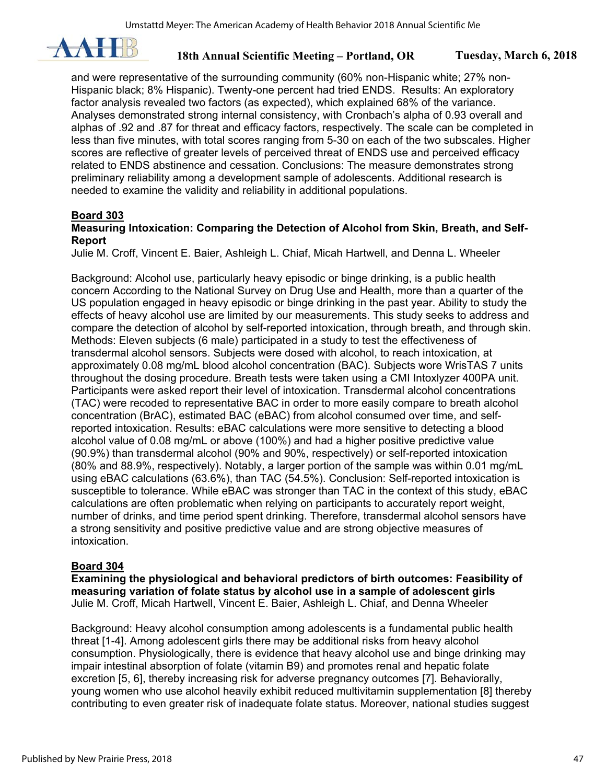

and were representative of the surrounding community (60% non-Hispanic white; 27% non-Hispanic black; 8% Hispanic). Twenty-one percent had tried ENDS. Results: An exploratory factor analysis revealed two factors (as expected), which explained 68% of the variance. Analyses demonstrated strong internal consistency, with Cronbach's alpha of 0.93 overall and alphas of .92 and .87 for threat and efficacy factors, respectively. The scale can be completed in less than five minutes, with total scores ranging from 5-30 on each of the two subscales. Higher scores are reflective of greater levels of perceived threat of ENDS use and perceived efficacy related to ENDS abstinence and cessation. Conclusions: The measure demonstrates strong preliminary reliability among a development sample of adolescents. Additional research is needed to examine the validity and reliability in additional populations.

## **Board 303**

### **Measuring Intoxication: Comparing the Detection of Alcohol from Skin, Breath, and Self-Report**

Julie M. Croff, Vincent E. Baier, Ashleigh L. Chiaf, Micah Hartwell, and Denna L. Wheeler

Background: Alcohol use, particularly heavy episodic or binge drinking, is a public health concern According to the National Survey on Drug Use and Health, more than a quarter of the US population engaged in heavy episodic or binge drinking in the past year. Ability to study the effects of heavy alcohol use are limited by our measurements. This study seeks to address and compare the detection of alcohol by self-reported intoxication, through breath, and through skin. Methods: Eleven subjects (6 male) participated in a study to test the effectiveness of transdermal alcohol sensors. Subjects were dosed with alcohol, to reach intoxication, at approximately 0.08 mg/mL blood alcohol concentration (BAC). Subjects wore WrisTAS 7 units throughout the dosing procedure. Breath tests were taken using a CMI Intoxlyzer 400PA unit. Participants were asked report their level of intoxication. Transdermal alcohol concentrations (TAC) were recoded to representative BAC in order to more easily compare to breath alcohol concentration (BrAC), estimated BAC (eBAC) from alcohol consumed over time, and selfreported intoxication. Results: eBAC calculations were more sensitive to detecting a blood alcohol value of 0.08 mg/mL or above (100%) and had a higher positive predictive value (90.9%) than transdermal alcohol (90% and 90%, respectively) or self-reported intoxication (80% and 88.9%, respectively). Notably, a larger portion of the sample was within 0.01 mg/mL using eBAC calculations (63.6%), than TAC (54.5%). Conclusion: Self-reported intoxication is susceptible to tolerance. While eBAC was stronger than TAC in the context of this study, eBAC calculations are often problematic when relying on participants to accurately report weight, number of drinks, and time period spent drinking. Therefore, transdermal alcohol sensors have a strong sensitivity and positive predictive value and are strong objective measures of intoxication.

## **Board 304**

**Examining the physiological and behavioral predictors of birth outcomes: Feasibility of measuring variation of folate status by alcohol use in a sample of adolescent girls** Julie M. Croff, Micah Hartwell, Vincent E. Baier, Ashleigh L. Chiaf, and Denna Wheeler

Background: Heavy alcohol consumption among adolescents is a fundamental public health threat [1-4]. Among adolescent girls there may be additional risks from heavy alcohol consumption. Physiologically, there is evidence that heavy alcohol use and binge drinking may impair intestinal absorption of folate (vitamin B9) and promotes renal and hepatic folate excretion [5, 6], thereby increasing risk for adverse pregnancy outcomes [7]. Behaviorally, young women who use alcohol heavily exhibit reduced multivitamin supplementation [8] thereby contributing to even greater risk of inadequate folate status. Moreover, national studies suggest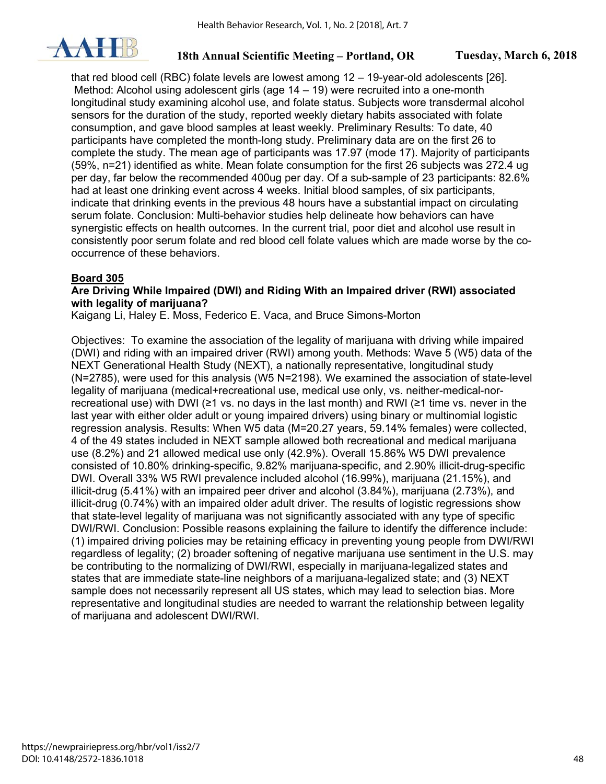

that red blood cell (RBC) folate levels are lowest among 12 – 19-year-old adolescents [26]. Method: Alcohol using adolescent girls (age  $14 - 19$ ) were recruited into a one-month longitudinal study examining alcohol use, and folate status. Subjects wore transdermal alcohol sensors for the duration of the study, reported weekly dietary habits associated with folate consumption, and gave blood samples at least weekly. Preliminary Results: To date, 40 participants have completed the month-long study. Preliminary data are on the first 26 to complete the study. The mean age of participants was 17.97 (mode 17). Majority of participants (59%, n=21) identified as white. Mean folate consumption for the first 26 subjects was 272.4 ug per day, far below the recommended 400ug per day. Of a sub-sample of 23 participants: 82.6% had at least one drinking event across 4 weeks. Initial blood samples, of six participants, indicate that drinking events in the previous 48 hours have a substantial impact on circulating serum folate. Conclusion: Multi-behavior studies help delineate how behaviors can have synergistic effects on health outcomes. In the current trial, poor diet and alcohol use result in consistently poor serum folate and red blood cell folate values which are made worse by the cooccurrence of these behaviors.

## **Board 305**

### **Are Driving While Impaired (DWI) and Riding With an Impaired driver (RWI) associated with legality of marijuana?**

Kaigang Li, Haley E. Moss, Federico E. Vaca, and Bruce Simons-Morton

Objectives: To examine the association of the legality of marijuana with driving while impaired (DWI) and riding with an impaired driver (RWI) among youth. Methods: Wave 5 (W5) data of the NEXT Generational Health Study (NEXT), a nationally representative, longitudinal study (N=2785), were used for this analysis (W5 N=2198). We examined the association of state-level legality of marijuana (medical+recreational use, medical use only, vs. neither-medical-norrecreational use) with DWI (≥1 vs. no days in the last month) and RWI (≥1 time vs. never in the last year with either older adult or young impaired drivers) using binary or multinomial logistic regression analysis. Results: When W5 data (M=20.27 years, 59.14% females) were collected, 4 of the 49 states included in NEXT sample allowed both recreational and medical marijuana use (8.2%) and 21 allowed medical use only (42.9%). Overall 15.86% W5 DWI prevalence consisted of 10.80% drinking-specific, 9.82% marijuana-specific, and 2.90% illicit-drug-specific DWI. Overall 33% W5 RWI prevalence included alcohol (16.99%), marijuana (21.15%), and illicit-drug (5.41%) with an impaired peer driver and alcohol (3.84%), marijuana (2.73%), and illicit-drug (0.74%) with an impaired older adult driver. The results of logistic regressions show that state-level legality of marijuana was not significantly associated with any type of specific DWI/RWI. Conclusion: Possible reasons explaining the failure to identify the difference include: (1) impaired driving policies may be retaining efficacy in preventing young people from DWI/RWI regardless of legality; (2) broader softening of negative marijuana use sentiment in the U.S. may be contributing to the normalizing of DWI/RWI, especially in marijuana-legalized states and states that are immediate state-line neighbors of a marijuana-legalized state; and (3) NEXT sample does not necessarily represent all US states, which may lead to selection bias. More representative and longitudinal studies are needed to warrant the relationship between legality of marijuana and adolescent DWI/RWI.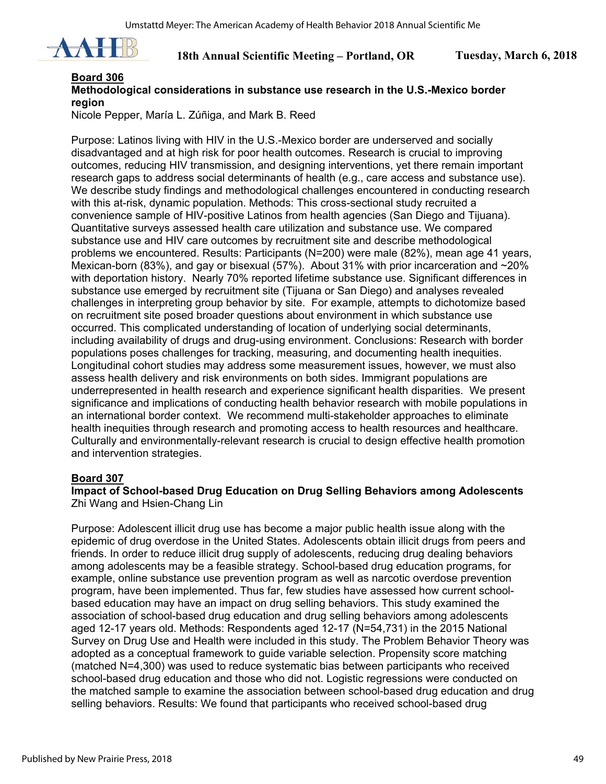

## **Board 306**

## **Methodological considerations in substance use research in the U.S.-Mexico border region**

Nicole Pepper, María L. Zúñiga, and Mark B. Reed

Purpose: Latinos living with HIV in the U.S.-Mexico border are underserved and socially disadvantaged and at high risk for poor health outcomes. Research is crucial to improving outcomes, reducing HIV transmission, and designing interventions, yet there remain important research gaps to address social determinants of health (e.g., care access and substance use). We describe study findings and methodological challenges encountered in conducting research with this at-risk, dynamic population. Methods: This cross-sectional study recruited a convenience sample of HIV-positive Latinos from health agencies (San Diego and Tijuana). Quantitative surveys assessed health care utilization and substance use. We compared substance use and HIV care outcomes by recruitment site and describe methodological problems we encountered. Results: Participants (N=200) were male (82%), mean age 41 years, Mexican-born (83%), and gay or bisexual (57%). About 31% with prior incarceration and  $\sim$ 20% with deportation history. Nearly 70% reported lifetime substance use. Significant differences in substance use emerged by recruitment site (Tijuana or San Diego) and analyses revealed challenges in interpreting group behavior by site. For example, attempts to dichotomize based on recruitment site posed broader questions about environment in which substance use occurred. This complicated understanding of location of underlying social determinants, including availability of drugs and drug-using environment. Conclusions: Research with border populations poses challenges for tracking, measuring, and documenting health inequities. Longitudinal cohort studies may address some measurement issues, however, we must also assess health delivery and risk environments on both sides. Immigrant populations are underrepresented in health research and experience significant health disparities. We present significance and implications of conducting health behavior research with mobile populations in an international border context. We recommend multi-stakeholder approaches to eliminate health inequities through research and promoting access to health resources and healthcare. Culturally and environmentally-relevant research is crucial to design effective health promotion and intervention strategies.

#### **Board 307**

#### **Impact of School-based Drug Education on Drug Selling Behaviors among Adolescents**  Zhi Wang and Hsien-Chang Lin

Purpose: Adolescent illicit drug use has become a major public health issue along with the epidemic of drug overdose in the United States. Adolescents obtain illicit drugs from peers and friends. In order to reduce illicit drug supply of adolescents, reducing drug dealing behaviors among adolescents may be a feasible strategy. School-based drug education programs, for example, online substance use prevention program as well as narcotic overdose prevention program, have been implemented. Thus far, few studies have assessed how current schoolbased education may have an impact on drug selling behaviors. This study examined the association of school-based drug education and drug selling behaviors among adolescents aged 12-17 years old. Methods: Respondents aged 12-17 (N=54,731) in the 2015 National Survey on Drug Use and Health were included in this study. The Problem Behavior Theory was adopted as a conceptual framework to guide variable selection. Propensity score matching (matched N=4,300) was used to reduce systematic bias between participants who received school-based drug education and those who did not. Logistic regressions were conducted on the matched sample to examine the association between school-based drug education and drug selling behaviors. Results: We found that participants who received school-based drug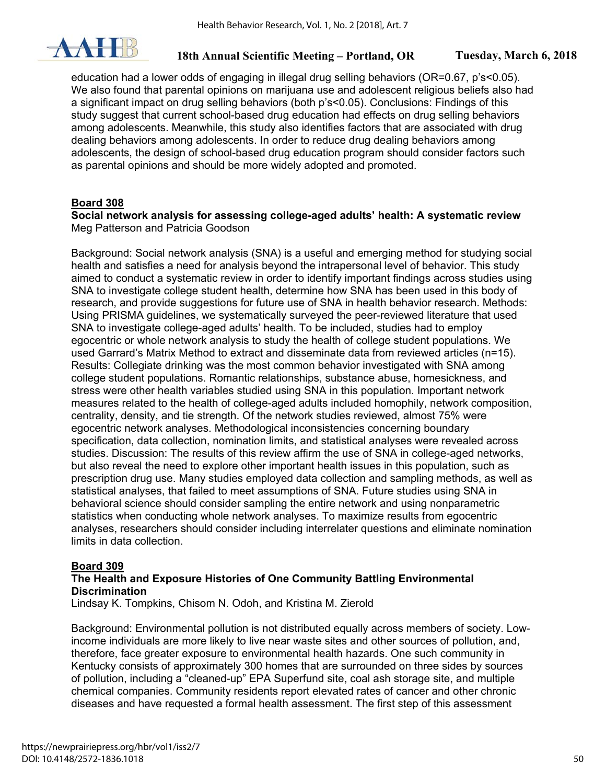

education had a lower odds of engaging in illegal drug selling behaviors (OR=0.67, p's<0.05). We also found that parental opinions on marijuana use and adolescent religious beliefs also had a significant impact on drug selling behaviors (both p's<0.05). Conclusions: Findings of this study suggest that current school-based drug education had effects on drug selling behaviors among adolescents. Meanwhile, this study also identifies factors that are associated with drug dealing behaviors among adolescents. In order to reduce drug dealing behaviors among adolescents, the design of school-based drug education program should consider factors such as parental opinions and should be more widely adopted and promoted.

## **Board 308**

#### **Social network analysis for assessing college-aged adults' health: A systematic review**  Meg Patterson and Patricia Goodson

Background: Social network analysis (SNA) is a useful and emerging method for studying social health and satisfies a need for analysis beyond the intrapersonal level of behavior. This study aimed to conduct a systematic review in order to identify important findings across studies using SNA to investigate college student health, determine how SNA has been used in this body of research, and provide suggestions for future use of SNA in health behavior research. Methods: Using PRISMA guidelines, we systematically surveyed the peer-reviewed literature that used SNA to investigate college-aged adults' health. To be included, studies had to employ egocentric or whole network analysis to study the health of college student populations. We used Garrard's Matrix Method to extract and disseminate data from reviewed articles (n=15). Results: Collegiate drinking was the most common behavior investigated with SNA among college student populations. Romantic relationships, substance abuse, homesickness, and stress were other health variables studied using SNA in this population. Important network measures related to the health of college-aged adults included homophily, network composition, centrality, density, and tie strength. Of the network studies reviewed, almost 75% were egocentric network analyses. Methodological inconsistencies concerning boundary specification, data collection, nomination limits, and statistical analyses were revealed across studies. Discussion: The results of this review affirm the use of SNA in college-aged networks, but also reveal the need to explore other important health issues in this population, such as prescription drug use. Many studies employed data collection and sampling methods, as well as statistical analyses, that failed to meet assumptions of SNA. Future studies using SNA in behavioral science should consider sampling the entire network and using nonparametric statistics when conducting whole network analyses. To maximize results from egocentric analyses, researchers should consider including interrelater questions and eliminate nomination limits in data collection.

## **Board 309**

#### **The Health and Exposure Histories of One Community Battling Environmental Discrimination**

Lindsay K. Tompkins, Chisom N. Odoh, and Kristina M. Zierold

Background: Environmental pollution is not distributed equally across members of society. Lowincome individuals are more likely to live near waste sites and other sources of pollution, and, therefore, face greater exposure to environmental health hazards. One such community in Kentucky consists of approximately 300 homes that are surrounded on three sides by sources of pollution, including a "cleaned-up" EPA Superfund site, coal ash storage site, and multiple chemical companies. Community residents report elevated rates of cancer and other chronic diseases and have requested a formal health assessment. The first step of this assessment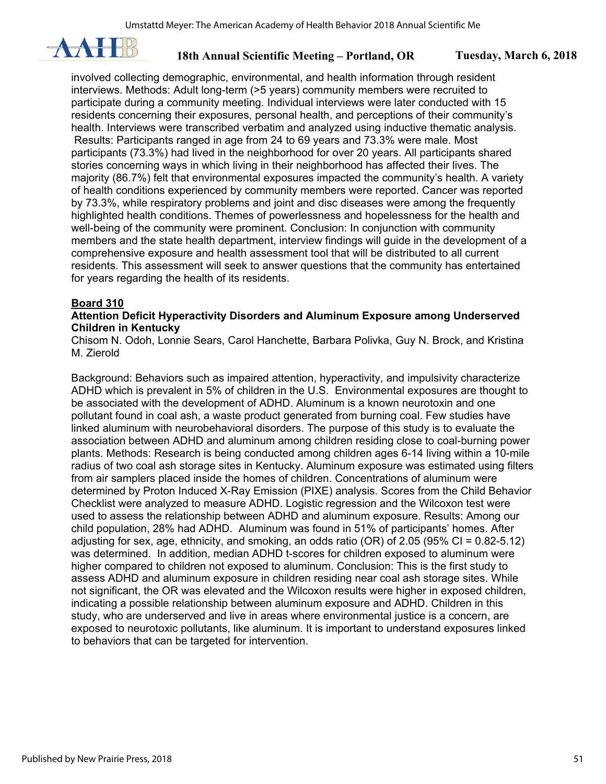

involved collecting demographic, environmental, and health information through resident interviews. Methods: Adult long-term (>5 years) community members were recruited to participate during a community meeting. Individual interviews were later conducted with 15 residents concerning their exposures, personal health, and perceptions of their community's health. Interviews were transcribed verbatim and analyzed using inductive thematic analysis. Results: Participants ranged in age from 24 to 69 years and 73.3% were male. Most participants (73.3%) had lived in the neighborhood for over 20 years. All participants shared stories concerning ways in which living in their neighborhood has affected their lives. The majority (86.7%) felt that environmental exposures impacted the community's health. A variety of health conditions experienced by community members were reported. Cancer was reported by 73.3%, while respiratory problems and joint and disc diseases were among the frequently highlighted health conditions. Themes of powerlessness and hopelessness for the health and well-being of the community were prominent. Conclusion: In conjunction with community members and the state health department, interview findings will guide in the development of a comprehensive exposure and health assessment tool that will be distributed to all current residents. This assessment will seek to answer questions that the community has entertained for years regarding the health of its residents.

## **Board 310**

#### **Attention Deficit Hyperactivity Disorders and Aluminum Exposure among Underserved Children in Kentucky**

Chisom N. Odoh, Lonnie Sears, Carol Hanchette, Barbara Polivka, Guy N. Brock, and Kristina M. Zierold

Background: Behaviors such as impaired attention, hyperactivity, and impulsivity characterize ADHD which is prevalent in 5% of children in the U.S. Environmental exposures are thought to be associated with the development of ADHD. Aluminum is a known neurotoxin and one pollutant found in coal ash, a waste product generated from burning coal. Few studies have linked aluminum with neurobehavioral disorders. The purpose of this study is to evaluate the association between ADHD and aluminum among children residing close to coal-burning power plants. Methods: Research is being conducted among children ages 6-14 living within a 10-mile radius of two coal ash storage sites in Kentucky. Aluminum exposure was estimated using filters from air samplers placed inside the homes of children. Concentrations of aluminum were determined by Proton Induced X-Ray Emission (PIXE) analysis. Scores from the Child Behavior Checklist were analyzed to measure ADHD. Logistic regression and the Wilcoxon test were used to assess the relationship between ADHD and aluminum exposure. Results: Among our child population, 28% had ADHD. Aluminum was found in 51% of participants' homes. After adjusting for sex, age, ethnicity, and smoking, an odds ratio (OR) of 2.05 (95% CI = 0.82-5.12) was determined. In addition, median ADHD t-scores for children exposed to aluminum were higher compared to children not exposed to aluminum. Conclusion: This is the first study to assess ADHD and aluminum exposure in children residing near coal ash storage sites. While not significant, the OR was elevated and the Wilcoxon results were higher in exposed children, indicating a possible relationship between aluminum exposure and ADHD. Children in this study, who are underserved and live in areas where environmental justice is a concern, are exposed to neurotoxic pollutants, like aluminum. It is important to understand exposures linked to behaviors that can be targeted for intervention.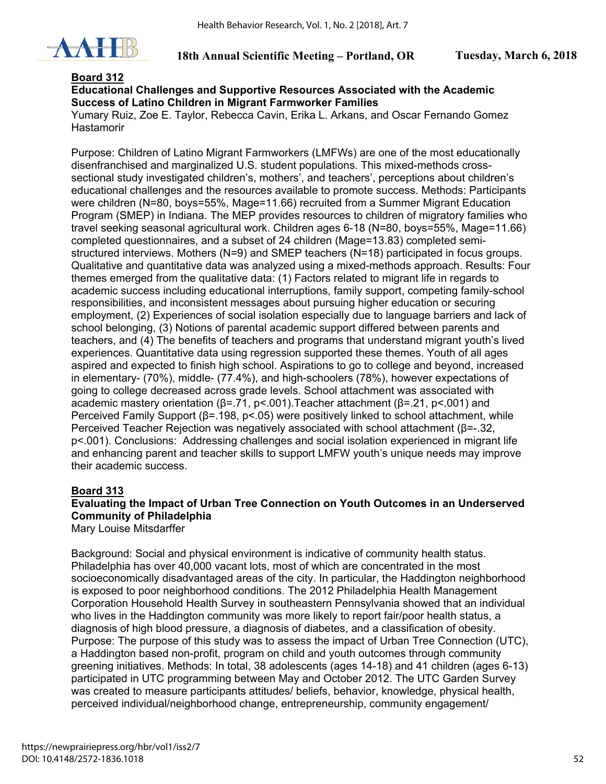

#### **Board 312**

#### **Educational Challenges and Supportive Resources Associated with the Academic Success of Latino Children in Migrant Farmworker Families**

Yumary Ruiz, Zoe E. Taylor, Rebecca Cavin, Erika L. Arkans, and Oscar Fernando Gomez Hastamorir

Purpose: Children of Latino Migrant Farmworkers (LMFWs) are one of the most educationally disenfranchised and marginalized U.S. student populations. This mixed-methods crosssectional study investigated children's, mothers', and teachers', perceptions about children's educational challenges and the resources available to promote success. Methods: Participants were children (N=80, boys=55%, Mage=11.66) recruited from a Summer Migrant Education Program (SMEP) in Indiana. The MEP provides resources to children of migratory families who travel seeking seasonal agricultural work. Children ages 6-18 (N=80, boys=55%, Mage=11.66) completed questionnaires, and a subset of 24 children (Mage=13.83) completed semistructured interviews. Mothers (N=9) and SMEP teachers (N=18) participated in focus groups. Qualitative and quantitative data was analyzed using a mixed-methods approach. Results: Four themes emerged from the qualitative data: (1) Factors related to migrant life in regards to academic success including educational interruptions, family support, competing family-school responsibilities, and inconsistent messages about pursuing higher education or securing employment, (2) Experiences of social isolation especially due to language barriers and lack of school belonging, (3) Notions of parental academic support differed between parents and teachers, and (4) The benefits of teachers and programs that understand migrant youth's lived experiences. Quantitative data using regression supported these themes. Youth of all ages aspired and expected to finish high school. Aspirations to go to college and beyond, increased in elementary- (70%), middle- (77.4%), and high-schoolers (78%), however expectations of going to college decreased across grade levels. School attachment was associated with academic mastery orientation (β=.71, p<.001).Teacher attachment (β=.21, p<.001) and Perceived Family Support (β=.198, p<.05) were positively linked to school attachment, while Perceived Teacher Rejection was negatively associated with school attachment (β=-.32, p<.001). Conclusions: Addressing challenges and social isolation experienced in migrant life and enhancing parent and teacher skills to support LMFW youth's unique needs may improve their academic success.

## **Board 313**

## **Evaluating the Impact of Urban Tree Connection on Youth Outcomes in an Underserved Community of Philadelphia**

Mary Louise Mitsdarffer

Background: Social and physical environment is indicative of community health status. Philadelphia has over 40,000 vacant lots, most of which are concentrated in the most socioeconomically disadvantaged areas of the city. In particular, the Haddington neighborhood is exposed to poor neighborhood conditions. The 2012 Philadelphia Health Management Corporation Household Health Survey in southeastern Pennsylvania showed that an individual who lives in the Haddington community was more likely to report fair/poor health status, a diagnosis of high blood pressure, a diagnosis of diabetes, and a classification of obesity. Purpose: The purpose of this study was to assess the impact of Urban Tree Connection (UTC), a Haddington based non-profit, program on child and youth outcomes through community greening initiatives. Methods: In total, 38 adolescents (ages 14-18) and 41 children (ages 6-13) participated in UTC programming between May and October 2012. The UTC Garden Survey was created to measure participants attitudes/ beliefs, behavior, knowledge, physical health, perceived individual/neighborhood change, entrepreneurship, community engagement/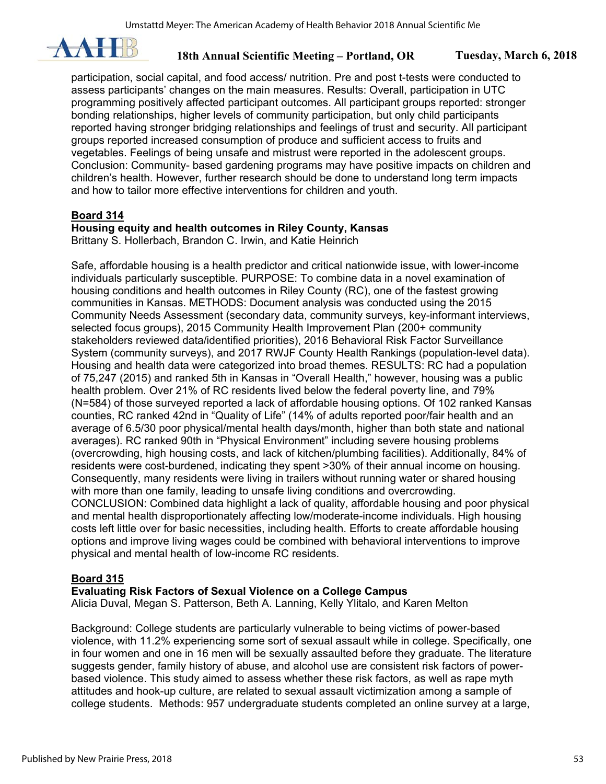

participation, social capital, and food access/ nutrition. Pre and post t-tests were conducted to assess participants' changes on the main measures. Results: Overall, participation in UTC programming positively affected participant outcomes. All participant groups reported: stronger bonding relationships, higher levels of community participation, but only child participants reported having stronger bridging relationships and feelings of trust and security. All participant groups reported increased consumption of produce and sufficient access to fruits and vegetables. Feelings of being unsafe and mistrust were reported in the adolescent groups. Conclusion: Community- based gardening programs may have positive impacts on children and children's health. However, further research should be done to understand long term impacts and how to tailor more effective interventions for children and youth.

## **Board 314**

## **Housing equity and health outcomes in Riley County, Kansas**

Brittany S. Hollerbach, Brandon C. Irwin, and Katie Heinrich

Safe, affordable housing is a health predictor and critical nationwide issue, with lower-income individuals particularly susceptible. PURPOSE: To combine data in a novel examination of housing conditions and health outcomes in Riley County (RC), one of the fastest growing communities in Kansas. METHODS: Document analysis was conducted using the 2015 Community Needs Assessment (secondary data, community surveys, key-informant interviews, selected focus groups), 2015 Community Health Improvement Plan (200+ community stakeholders reviewed data/identified priorities), 2016 Behavioral Risk Factor Surveillance System (community surveys), and 2017 RWJF County Health Rankings (population-level data). Housing and health data were categorized into broad themes. RESULTS: RC had a population of 75,247 (2015) and ranked 5th in Kansas in "Overall Health," however, housing was a public health problem. Over 21% of RC residents lived below the federal poverty line, and 79% (N=584) of those surveyed reported a lack of affordable housing options. Of 102 ranked Kansas counties, RC ranked 42nd in "Quality of Life" (14% of adults reported poor/fair health and an average of 6.5/30 poor physical/mental health days/month, higher than both state and national averages). RC ranked 90th in "Physical Environment" including severe housing problems (overcrowding, high housing costs, and lack of kitchen/plumbing facilities). Additionally, 84% of residents were cost-burdened, indicating they spent >30% of their annual income on housing. Consequently, many residents were living in trailers without running water or shared housing with more than one family, leading to unsafe living conditions and overcrowding. CONCLUSION: Combined data highlight a lack of quality, affordable housing and poor physical and mental health disproportionately affecting low/moderate-income individuals. High housing costs left little over for basic necessities, including health. Efforts to create affordable housing options and improve living wages could be combined with behavioral interventions to improve physical and mental health of low-income RC residents.

## **Board 315**

## **Evaluating Risk Factors of Sexual Violence on a College Campus**

Alicia Duval, Megan S. Patterson, Beth A. Lanning, Kelly Ylitalo, and Karen Melton

Background: College students are particularly vulnerable to being victims of power-based violence, with 11.2% experiencing some sort of sexual assault while in college. Specifically, one in four women and one in 16 men will be sexually assaulted before they graduate. The literature suggests gender, family history of abuse, and alcohol use are consistent risk factors of powerbased violence. This study aimed to assess whether these risk factors, as well as rape myth attitudes and hook-up culture, are related to sexual assault victimization among a sample of college students. Methods: 957 undergraduate students completed an online survey at a large,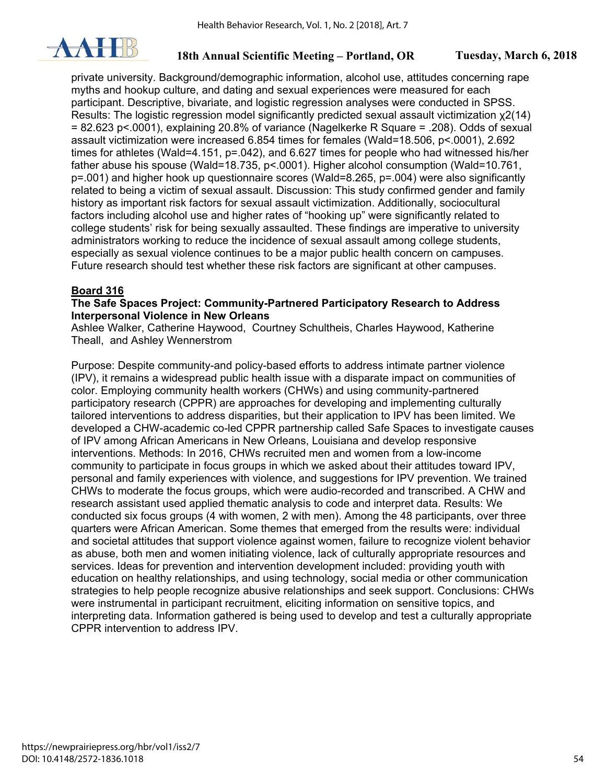

private university. Background/demographic information, alcohol use, attitudes concerning rape myths and hookup culture, and dating and sexual experiences were measured for each participant. Descriptive, bivariate, and logistic regression analyses were conducted in SPSS. Results: The logistic regression model significantly predicted sexual assault victimization χ2(14)  $= 82.623$  p<.0001), explaining 20.8% of variance (Nagelkerke R Square = .208). Odds of sexual assault victimization were increased 6.854 times for females (Wald=18.506, p<.0001), 2.692 times for athletes (Wald=4.151, p=.042), and 6.627 times for people who had witnessed his/her father abuse his spouse (Wald=18.735, p<.0001). Higher alcohol consumption (Wald=10.761, p=.001) and higher hook up questionnaire scores (Wald=8.265, p=.004) were also significantly related to being a victim of sexual assault. Discussion: This study confirmed gender and family history as important risk factors for sexual assault victimization. Additionally, sociocultural factors including alcohol use and higher rates of "hooking up" were significantly related to college students' risk for being sexually assaulted. These findings are imperative to university administrators working to reduce the incidence of sexual assault among college students, especially as sexual violence continues to be a major public health concern on campuses. Future research should test whether these risk factors are significant at other campuses.

## **Board 316**

#### **The Safe Spaces Project: Community-Partnered Participatory Research to Address Interpersonal Violence in New Orleans**

Ashlee Walker, Catherine Haywood, Courtney Schultheis, Charles Haywood, Katherine Theall, and Ashley Wennerstrom

Purpose: Despite community-and policy-based efforts to address intimate partner violence (IPV), it remains a widespread public health issue with a disparate impact on communities of color. Employing community health workers (CHWs) and using community-partnered participatory research (CPPR) are approaches for developing and implementing culturally tailored interventions to address disparities, but their application to IPV has been limited. We developed a CHW-academic co-led CPPR partnership called Safe Spaces to investigate causes of IPV among African Americans in New Orleans, Louisiana and develop responsive interventions. Methods: In 2016, CHWs recruited men and women from a low-income community to participate in focus groups in which we asked about their attitudes toward IPV, personal and family experiences with violence, and suggestions for IPV prevention. We trained CHWs to moderate the focus groups, which were audio-recorded and transcribed. A CHW and research assistant used applied thematic analysis to code and interpret data. Results: We conducted six focus groups (4 with women, 2 with men). Among the 48 participants, over three quarters were African American. Some themes that emerged from the results were: individual and societal attitudes that support violence against women, failure to recognize violent behavior as abuse, both men and women initiating violence, lack of culturally appropriate resources and services. Ideas for prevention and intervention development included: providing youth with education on healthy relationships, and using technology, social media or other communication strategies to help people recognize abusive relationships and seek support. Conclusions: CHWs were instrumental in participant recruitment, eliciting information on sensitive topics, and interpreting data. Information gathered is being used to develop and test a culturally appropriate CPPR intervention to address IPV.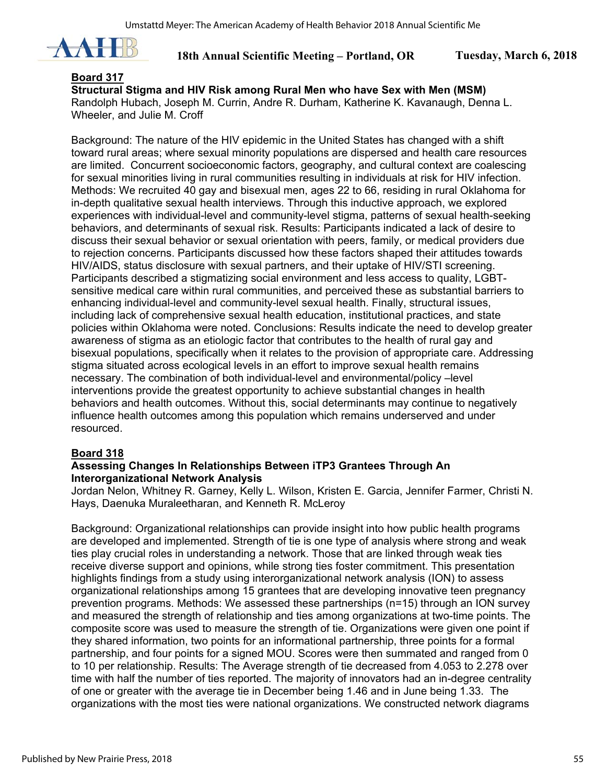

#### **Board 317**

**Structural Stigma and HIV Risk among Rural Men who have Sex with Men (MSM)**  Randolph Hubach, Joseph M. Currin, Andre R. Durham, Katherine K. Kavanaugh, Denna L. Wheeler, and Julie M. Croff

Background: The nature of the HIV epidemic in the United States has changed with a shift toward rural areas; where sexual minority populations are dispersed and health care resources are limited. Concurrent socioeconomic factors, geography, and cultural context are coalescing for sexual minorities living in rural communities resulting in individuals at risk for HIV infection. Methods: We recruited 40 gay and bisexual men, ages 22 to 66, residing in rural Oklahoma for in-depth qualitative sexual health interviews. Through this inductive approach, we explored experiences with individual-level and community-level stigma, patterns of sexual health-seeking behaviors, and determinants of sexual risk. Results: Participants indicated a lack of desire to discuss their sexual behavior or sexual orientation with peers, family, or medical providers due to rejection concerns. Participants discussed how these factors shaped their attitudes towards HIV/AIDS, status disclosure with sexual partners, and their uptake of HIV/STI screening. Participants described a stigmatizing social environment and less access to quality, LGBTsensitive medical care within rural communities, and perceived these as substantial barriers to enhancing individual-level and community-level sexual health. Finally, structural issues, including lack of comprehensive sexual health education, institutional practices, and state policies within Oklahoma were noted. Conclusions: Results indicate the need to develop greater awareness of stigma as an etiologic factor that contributes to the health of rural gay and bisexual populations, specifically when it relates to the provision of appropriate care. Addressing stigma situated across ecological levels in an effort to improve sexual health remains necessary. The combination of both individual-level and environmental/policy –level interventions provide the greatest opportunity to achieve substantial changes in health behaviors and health outcomes. Without this, social determinants may continue to negatively influence health outcomes among this population which remains underserved and under resourced.

#### **Board 318**

#### **Assessing Changes In Relationships Between iTP3 Grantees Through An Interorganizational Network Analysis**

Jordan Nelon, Whitney R. Garney, Kelly L. Wilson, Kristen E. Garcia, Jennifer Farmer, Christi N. Hays, Daenuka Muraleetharan, and Kenneth R. McLeroy

Background: Organizational relationships can provide insight into how public health programs are developed and implemented. Strength of tie is one type of analysis where strong and weak ties play crucial roles in understanding a network. Those that are linked through weak ties receive diverse support and opinions, while strong ties foster commitment. This presentation highlights findings from a study using interorganizational network analysis (ION) to assess organizational relationships among 15 grantees that are developing innovative teen pregnancy prevention programs. Methods: We assessed these partnerships (n=15) through an ION survey and measured the strength of relationship and ties among organizations at two-time points. The composite score was used to measure the strength of tie. Organizations were given one point if they shared information, two points for an informational partnership, three points for a formal partnership, and four points for a signed MOU. Scores were then summated and ranged from 0 to 10 per relationship. Results: The Average strength of tie decreased from 4.053 to 2.278 over time with half the number of ties reported. The majority of innovators had an in-degree centrality of one or greater with the average tie in December being 1.46 and in June being 1.33. The organizations with the most ties were national organizations. We constructed network diagrams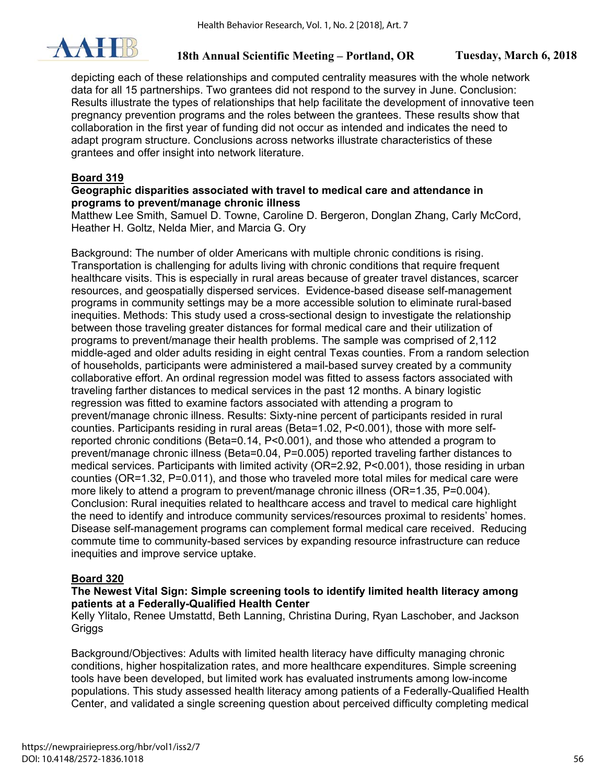

depicting each of these relationships and computed centrality measures with the whole network data for all 15 partnerships. Two grantees did not respond to the survey in June. Conclusion: Results illustrate the types of relationships that help facilitate the development of innovative teen pregnancy prevention programs and the roles between the grantees. These results show that collaboration in the first year of funding did not occur as intended and indicates the need to adapt program structure. Conclusions across networks illustrate characteristics of these grantees and offer insight into network literature.

## **Board 319**

#### **Geographic disparities associated with travel to medical care and attendance in programs to prevent/manage chronic illness**

Matthew Lee Smith, Samuel D. Towne, Caroline D. Bergeron, Donglan Zhang, Carly McCord, Heather H. Goltz, Nelda Mier, and Marcia G. Ory

Background: The number of older Americans with multiple chronic conditions is rising. Transportation is challenging for adults living with chronic conditions that require frequent healthcare visits. This is especially in rural areas because of greater travel distances, scarcer resources, and geospatially dispersed services. Evidence-based disease self-management programs in community settings may be a more accessible solution to eliminate rural-based inequities. Methods: This study used a cross-sectional design to investigate the relationship between those traveling greater distances for formal medical care and their utilization of programs to prevent/manage their health problems. The sample was comprised of 2,112 middle-aged and older adults residing in eight central Texas counties. From a random selection of households, participants were administered a mail-based survey created by a community collaborative effort. An ordinal regression model was fitted to assess factors associated with traveling farther distances to medical services in the past 12 months. A binary logistic regression was fitted to examine factors associated with attending a program to prevent/manage chronic illness. Results: Sixty-nine percent of participants resided in rural counties. Participants residing in rural areas (Beta=1.02, P<0.001), those with more selfreported chronic conditions (Beta=0.14, P<0.001), and those who attended a program to prevent/manage chronic illness (Beta=0.04, P=0.005) reported traveling farther distances to medical services. Participants with limited activity (OR=2.92, P<0.001), those residing in urban counties (OR=1.32, P=0.011), and those who traveled more total miles for medical care were more likely to attend a program to prevent/manage chronic illness (OR=1.35, P=0.004). Conclusion: Rural inequities related to healthcare access and travel to medical care highlight the need to identify and introduce community services/resources proximal to residents' homes. Disease self-management programs can complement formal medical care received. Reducing commute time to community-based services by expanding resource infrastructure can reduce inequities and improve service uptake.

## **Board 320**

## **The Newest Vital Sign: Simple screening tools to identify limited health literacy among patients at a Federally-Qualified Health Center**

Kelly Ylitalo, Renee Umstattd, Beth Lanning, Christina During, Ryan Laschober, and Jackson **Griggs** 

Background/Objectives: Adults with limited health literacy have difficulty managing chronic conditions, higher hospitalization rates, and more healthcare expenditures. Simple screening tools have been developed, but limited work has evaluated instruments among low-income populations. This study assessed health literacy among patients of a Federally-Qualified Health Center, and validated a single screening question about perceived difficulty completing medical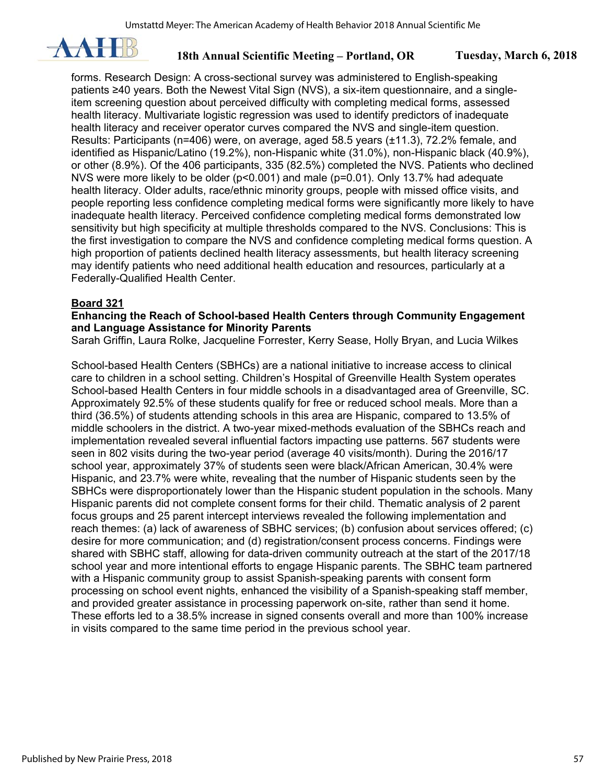

forms. Research Design: A cross-sectional survey was administered to English-speaking patients ≥40 years. Both the Newest Vital Sign (NVS), a six-item questionnaire, and a singleitem screening question about perceived difficulty with completing medical forms, assessed health literacy. Multivariate logistic regression was used to identify predictors of inadequate health literacy and receiver operator curves compared the NVS and single-item question. Results: Participants (n=406) were, on average, aged 58.5 years (±11.3), 72.2% female, and identified as Hispanic/Latino (19.2%), non-Hispanic white (31.0%), non-Hispanic black (40.9%), or other (8.9%). Of the 406 participants, 335 (82.5%) completed the NVS. Patients who declined NVS were more likely to be older (p<0.001) and male (p=0.01). Only 13.7% had adequate health literacy. Older adults, race/ethnic minority groups, people with missed office visits, and people reporting less confidence completing medical forms were significantly more likely to have inadequate health literacy. Perceived confidence completing medical forms demonstrated low sensitivity but high specificity at multiple thresholds compared to the NVS. Conclusions: This is the first investigation to compare the NVS and confidence completing medical forms question. A high proportion of patients declined health literacy assessments, but health literacy screening may identify patients who need additional health education and resources, particularly at a Federally-Qualified Health Center.

### **Board 321**

## **Enhancing the Reach of School-based Health Centers through Community Engagement and Language Assistance for Minority Parents**

Sarah Griffin, Laura Rolke, Jacqueline Forrester, Kerry Sease, Holly Bryan, and Lucia Wilkes

School-based Health Centers (SBHCs) are a national initiative to increase access to clinical care to children in a school setting. Children's Hospital of Greenville Health System operates School-based Health Centers in four middle schools in a disadvantaged area of Greenville, SC. Approximately 92.5% of these students qualify for free or reduced school meals. More than a third (36.5%) of students attending schools in this area are Hispanic, compared to 13.5% of middle schoolers in the district. A two-year mixed-methods evaluation of the SBHCs reach and implementation revealed several influential factors impacting use patterns. 567 students were seen in 802 visits during the two-year period (average 40 visits/month). During the 2016/17 school year, approximately 37% of students seen were black/African American, 30.4% were Hispanic, and 23.7% were white, revealing that the number of Hispanic students seen by the SBHCs were disproportionately lower than the Hispanic student population in the schools. Many Hispanic parents did not complete consent forms for their child. Thematic analysis of 2 parent focus groups and 25 parent intercept interviews revealed the following implementation and reach themes: (a) lack of awareness of SBHC services; (b) confusion about services offered; (c) desire for more communication; and (d) registration/consent process concerns. Findings were shared with SBHC staff, allowing for data-driven community outreach at the start of the 2017/18 school year and more intentional efforts to engage Hispanic parents. The SBHC team partnered with a Hispanic community group to assist Spanish-speaking parents with consent form processing on school event nights, enhanced the visibility of a Spanish-speaking staff member, and provided greater assistance in processing paperwork on-site, rather than send it home. These efforts led to a 38.5% increase in signed consents overall and more than 100% increase in visits compared to the same time period in the previous school year.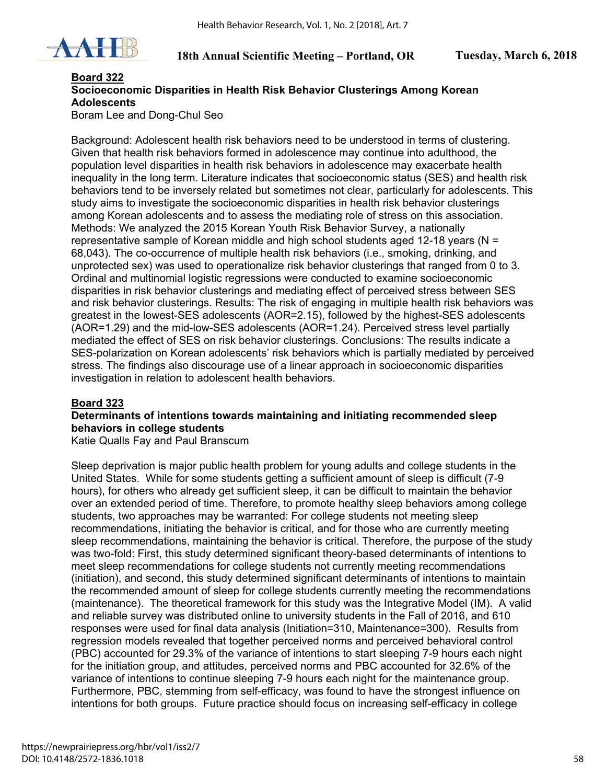

## **Board 322 Socioeconomic Disparities in Health Risk Behavior Clusterings Among Korean Adolescents**

Boram Lee and Dong-Chul Seo

Background: Adolescent health risk behaviors need to be understood in terms of clustering. Given that health risk behaviors formed in adolescence may continue into adulthood, the population level disparities in health risk behaviors in adolescence may exacerbate health inequality in the long term. Literature indicates that socioeconomic status (SES) and health risk behaviors tend to be inversely related but sometimes not clear, particularly for adolescents. This study aims to investigate the socioeconomic disparities in health risk behavior clusterings among Korean adolescents and to assess the mediating role of stress on this association. Methods: We analyzed the 2015 Korean Youth Risk Behavior Survey, a nationally representative sample of Korean middle and high school students aged 12-18 years (N = 68,043). The co-occurrence of multiple health risk behaviors (i.e., smoking, drinking, and unprotected sex) was used to operationalize risk behavior clusterings that ranged from 0 to 3. Ordinal and multinomial logistic regressions were conducted to examine socioeconomic disparities in risk behavior clusterings and mediating effect of perceived stress between SES and risk behavior clusterings. Results: The risk of engaging in multiple health risk behaviors was greatest in the lowest-SES adolescents (AOR=2.15), followed by the highest-SES adolescents (AOR=1.29) and the mid-low-SES adolescents (AOR=1.24). Perceived stress level partially mediated the effect of SES on risk behavior clusterings. Conclusions: The results indicate a SES-polarization on Korean adolescents' risk behaviors which is partially mediated by perceived stress. The findings also discourage use of a linear approach in socioeconomic disparities investigation in relation to adolescent health behaviors.

## **Board 323**

#### **Determinants of intentions towards maintaining and initiating recommended sleep behaviors in college students**

Katie Qualls Fay and Paul Branscum

Sleep deprivation is major public health problem for young adults and college students in the United States. While for some students getting a sufficient amount of sleep is difficult (7-9 hours), for others who already get sufficient sleep, it can be difficult to maintain the behavior over an extended period of time. Therefore, to promote healthy sleep behaviors among college students, two approaches may be warranted: For college students not meeting sleep recommendations, initiating the behavior is critical, and for those who are currently meeting sleep recommendations, maintaining the behavior is critical. Therefore, the purpose of the study was two-fold: First, this study determined significant theory-based determinants of intentions to meet sleep recommendations for college students not currently meeting recommendations (initiation), and second, this study determined significant determinants of intentions to maintain the recommended amount of sleep for college students currently meeting the recommendations (maintenance). The theoretical framework for this study was the Integrative Model (IM). A valid and reliable survey was distributed online to university students in the Fall of 2016, and 610 responses were used for final data analysis (Initiation=310, Maintenance=300). Results from regression models revealed that together perceived norms and perceived behavioral control (PBC) accounted for 29.3% of the variance of intentions to start sleeping 7-9 hours each night for the initiation group, and attitudes, perceived norms and PBC accounted for 32.6% of the variance of intentions to continue sleeping 7-9 hours each night for the maintenance group. Furthermore, PBC, stemming from self-efficacy, was found to have the strongest influence on intentions for both groups. Future practice should focus on increasing self-efficacy in college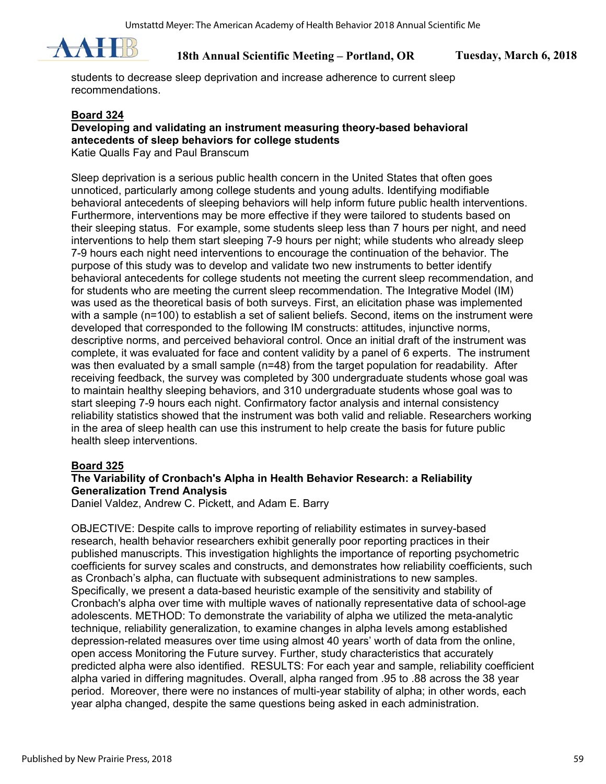

students to decrease sleep deprivation and increase adherence to current sleep recommendations.

#### **Board 324**

## **Developing and validating an instrument measuring theory-based behavioral antecedents of sleep behaviors for college students**

Katie Qualls Fay and Paul Branscum

Sleep deprivation is a serious public health concern in the United States that often goes unnoticed, particularly among college students and young adults. Identifying modifiable behavioral antecedents of sleeping behaviors will help inform future public health interventions. Furthermore, interventions may be more effective if they were tailored to students based on their sleeping status. For example, some students sleep less than 7 hours per night, and need interventions to help them start sleeping 7-9 hours per night; while students who already sleep 7-9 hours each night need interventions to encourage the continuation of the behavior. The purpose of this study was to develop and validate two new instruments to better identify behavioral antecedents for college students not meeting the current sleep recommendation, and for students who are meeting the current sleep recommendation. The Integrative Model (IM) was used as the theoretical basis of both surveys. First, an elicitation phase was implemented with a sample (n=100) to establish a set of salient beliefs. Second, items on the instrument were developed that corresponded to the following IM constructs: attitudes, injunctive norms, descriptive norms, and perceived behavioral control. Once an initial draft of the instrument was complete, it was evaluated for face and content validity by a panel of 6 experts. The instrument was then evaluated by a small sample (n=48) from the target population for readability. After receiving feedback, the survey was completed by 300 undergraduate students whose goal was to maintain healthy sleeping behaviors, and 310 undergraduate students whose goal was to start sleeping 7-9 hours each night. Confirmatory factor analysis and internal consistency reliability statistics showed that the instrument was both valid and reliable. Researchers working in the area of sleep health can use this instrument to help create the basis for future public health sleep interventions.

#### **Board 325**

## **The Variability of Cronbach's Alpha in Health Behavior Research: a Reliability Generalization Trend Analysis**

Daniel Valdez, Andrew C. Pickett, and Adam E. Barry

OBJECTIVE: Despite calls to improve reporting of reliability estimates in survey-based research, health behavior researchers exhibit generally poor reporting practices in their published manuscripts. This investigation highlights the importance of reporting psychometric coefficients for survey scales and constructs, and demonstrates how reliability coefficients, such as Cronbach's alpha, can fluctuate with subsequent administrations to new samples. Specifically, we present a data-based heuristic example of the sensitivity and stability of Cronbach's alpha over time with multiple waves of nationally representative data of school-age adolescents. METHOD: To demonstrate the variability of alpha we utilized the meta-analytic technique, reliability generalization, to examine changes in alpha levels among established depression-related measures over time using almost 40 years' worth of data from the online, open access Monitoring the Future survey. Further, study characteristics that accurately predicted alpha were also identified. RESULTS: For each year and sample, reliability coefficient alpha varied in differing magnitudes. Overall, alpha ranged from .95 to .88 across the 38 year period. Moreover, there were no instances of multi-year stability of alpha; in other words, each year alpha changed, despite the same questions being asked in each administration.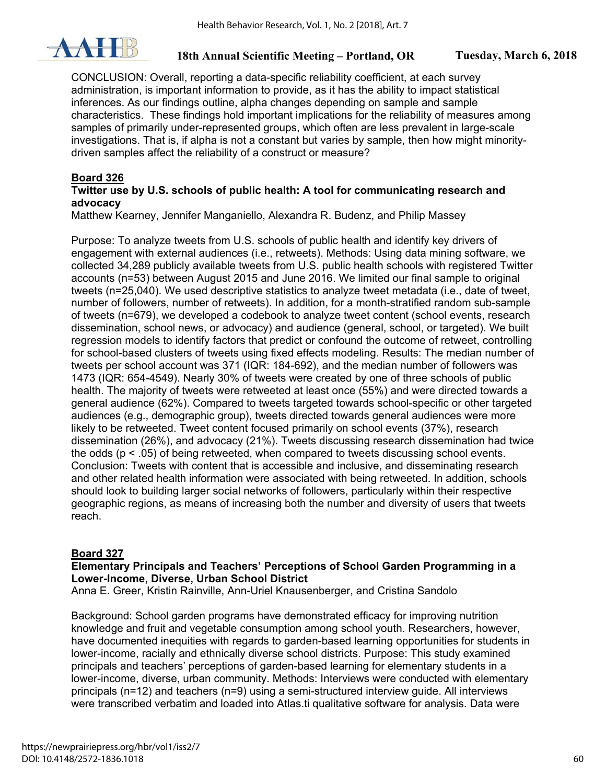

CONCLUSION: Overall, reporting a data-specific reliability coefficient, at each survey administration, is important information to provide, as it has the ability to impact statistical inferences. As our findings outline, alpha changes depending on sample and sample characteristics. These findings hold important implications for the reliability of measures among samples of primarily under-represented groups, which often are less prevalent in large-scale investigations. That is, if alpha is not a constant but varies by sample, then how might minoritydriven samples affect the reliability of a construct or measure?

## **Board 326**

### **Twitter use by U.S. schools of public health: A tool for communicating research and advocacy**

Matthew Kearney, Jennifer Manganiello, Alexandra R. Budenz, and Philip Massey

Purpose: To analyze tweets from U.S. schools of public health and identify key drivers of engagement with external audiences (i.e., retweets). Methods: Using data mining software, we collected 34,289 publicly available tweets from U.S. public health schools with registered Twitter accounts (n=53) between August 2015 and June 2016. We limited our final sample to original tweets (n=25,040). We used descriptive statistics to analyze tweet metadata (i.e., date of tweet, number of followers, number of retweets). In addition, for a month-stratified random sub-sample of tweets (n=679), we developed a codebook to analyze tweet content (school events, research dissemination, school news, or advocacy) and audience (general, school, or targeted). We built regression models to identify factors that predict or confound the outcome of retweet, controlling for school-based clusters of tweets using fixed effects modeling. Results: The median number of tweets per school account was 371 (IQR: 184-692), and the median number of followers was 1473 (IQR: 654-4549). Nearly 30% of tweets were created by one of three schools of public health. The majority of tweets were retweeted at least once (55%) and were directed towards a general audience (62%). Compared to tweets targeted towards school-specific or other targeted audiences (e.g., demographic group), tweets directed towards general audiences were more likely to be retweeted. Tweet content focused primarily on school events (37%), research dissemination (26%), and advocacy (21%). Tweets discussing research dissemination had twice the odds  $(p < .05)$  of being retweeted, when compared to tweets discussing school events. Conclusion: Tweets with content that is accessible and inclusive, and disseminating research and other related health information were associated with being retweeted. In addition, schools should look to building larger social networks of followers, particularly within their respective geographic regions, as means of increasing both the number and diversity of users that tweets reach.

## **Board 327**

## **Elementary Principals and Teachers' Perceptions of School Garden Programming in a Lower-Income, Diverse, Urban School District**

Anna E. Greer, Kristin Rainville, Ann-Uriel Knausenberger, and Cristina Sandolo

Background: School garden programs have demonstrated efficacy for improving nutrition knowledge and fruit and vegetable consumption among school youth. Researchers, however, have documented inequities with regards to garden-based learning opportunities for students in lower-income, racially and ethnically diverse school districts. Purpose: This study examined principals and teachers' perceptions of garden-based learning for elementary students in a lower-income, diverse, urban community. Methods: Interviews were conducted with elementary principals (n=12) and teachers (n=9) using a semi-structured interview guide. All interviews were transcribed verbatim and loaded into Atlas.ti qualitative software for analysis. Data were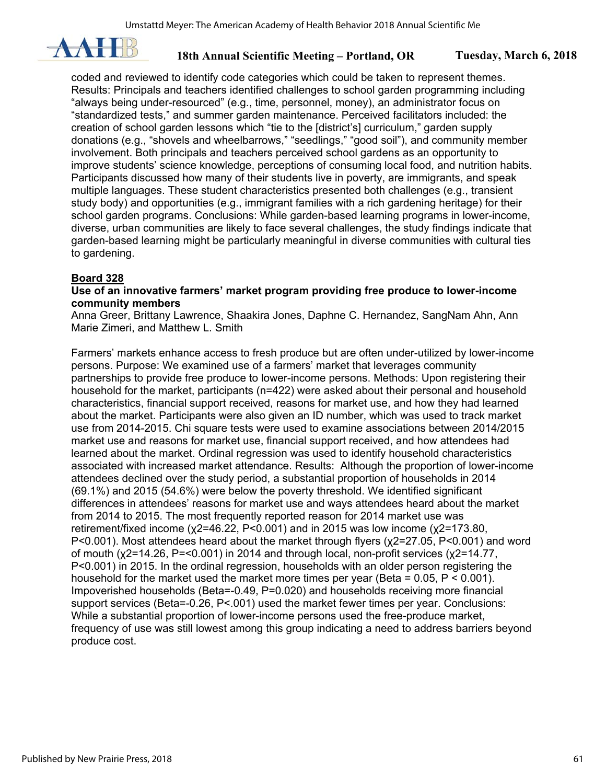

coded and reviewed to identify code categories which could be taken to represent themes. Results: Principals and teachers identified challenges to school garden programming including "always being under-resourced" (e.g., time, personnel, money), an administrator focus on "standardized tests," and summer garden maintenance. Perceived facilitators included: the creation of school garden lessons which "tie to the [district's] curriculum," garden supply donations (e.g., "shovels and wheelbarrows," "seedlings," "good soil"), and community member involvement. Both principals and teachers perceived school gardens as an opportunity to improve students' science knowledge, perceptions of consuming local food, and nutrition habits. Participants discussed how many of their students live in poverty, are immigrants, and speak multiple languages. These student characteristics presented both challenges (e.g., transient study body) and opportunities (e.g., immigrant families with a rich gardening heritage) for their school garden programs. Conclusions: While garden-based learning programs in lower-income, diverse, urban communities are likely to face several challenges, the study findings indicate that garden-based learning might be particularly meaningful in diverse communities with cultural ties to gardening.

## **Board 328**

#### **Use of an innovative farmers' market program providing free produce to lower-income community members**

Anna Greer, Brittany Lawrence, Shaakira Jones, Daphne C. Hernandez, SangNam Ahn, Ann Marie Zimeri, and Matthew L. Smith

Farmers' markets enhance access to fresh produce but are often under-utilized by lower-income persons. Purpose: We examined use of a farmers' market that leverages community partnerships to provide free produce to lower-income persons. Methods: Upon registering their household for the market, participants (n=422) were asked about their personal and household characteristics, financial support received, reasons for market use, and how they had learned about the market. Participants were also given an ID number, which was used to track market use from 2014-2015. Chi square tests were used to examine associations between 2014/2015 market use and reasons for market use, financial support received, and how attendees had learned about the market. Ordinal regression was used to identify household characteristics associated with increased market attendance. Results: Although the proportion of lower-income attendees declined over the study period, a substantial proportion of households in 2014 (69.1%) and 2015 (54.6%) were below the poverty threshold. We identified significant differences in attendees' reasons for market use and ways attendees heard about the market from 2014 to 2015. The most frequently reported reason for 2014 market use was retirement/fixed income (χ2=46.22, P<0.001) and in 2015 was low income (χ2=173.80, P<0.001). Most attendees heard about the market through flyers (χ2=27.05, P<0.001) and word of mouth (χ2=14.26, P=<0.001) in 2014 and through local, non-profit services (χ2=14.77, P<0.001) in 2015. In the ordinal regression, households with an older person registering the household for the market used the market more times per year (Beta =  $0.05$ ,  $P < 0.001$ ). Impoverished households (Beta=-0.49, P=0.020) and households receiving more financial support services (Beta=-0.26, P<.001) used the market fewer times per year. Conclusions: While a substantial proportion of lower-income persons used the free-produce market, frequency of use was still lowest among this group indicating a need to address barriers beyond produce cost.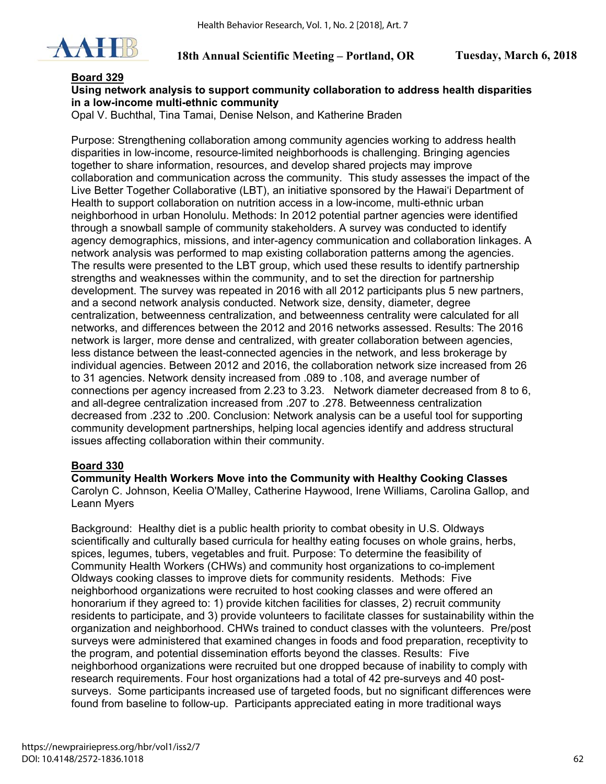

#### **Board 329**

### **Using network analysis to support community collaboration to address health disparities in a low-income multi-ethnic community**

Opal V. Buchthal, Tina Tamai, Denise Nelson, and Katherine Braden

Purpose: Strengthening collaboration among community agencies working to address health disparities in low-income, resource-limited neighborhoods is challenging. Bringing agencies together to share information, resources, and develop shared projects may improve collaboration and communication across the community. This study assesses the impact of the Live Better Together Collaborative (LBT), an initiative sponsored by the Hawai'i Department of Health to support collaboration on nutrition access in a low-income, multi-ethnic urban neighborhood in urban Honolulu. Methods: In 2012 potential partner agencies were identified through a snowball sample of community stakeholders. A survey was conducted to identify agency demographics, missions, and inter-agency communication and collaboration linkages. A network analysis was performed to map existing collaboration patterns among the agencies. The results were presented to the LBT group, which used these results to identify partnership strengths and weaknesses within the community, and to set the direction for partnership development. The survey was repeated in 2016 with all 2012 participants plus 5 new partners, and a second network analysis conducted. Network size, density, diameter, degree centralization, betweenness centralization, and betweenness centrality were calculated for all networks, and differences between the 2012 and 2016 networks assessed. Results: The 2016 network is larger, more dense and centralized, with greater collaboration between agencies, less distance between the least-connected agencies in the network, and less brokerage by individual agencies. Between 2012 and 2016, the collaboration network size increased from 26 to 31 agencies. Network density increased from .089 to .108, and average number of connections per agency increased from 2.23 to 3.23. Network diameter decreased from 8 to 6, and all-degree centralization increased from .207 to .278. Betweenness centralization decreased from .232 to .200. Conclusion: Network analysis can be a useful tool for supporting community development partnerships, helping local agencies identify and address structural issues affecting collaboration within their community.

#### **Board 330**

**Community Health Workers Move into the Community with Healthy Cooking Classes**  Carolyn C. Johnson, Keelia O'Malley, Catherine Haywood, Irene Williams, Carolina Gallop, and Leann Myers

Background: Healthy diet is a public health priority to combat obesity in U.S. Oldways scientifically and culturally based curricula for healthy eating focuses on whole grains, herbs, spices, legumes, tubers, vegetables and fruit. Purpose: To determine the feasibility of Community Health Workers (CHWs) and community host organizations to co-implement Oldways cooking classes to improve diets for community residents. Methods: Five neighborhood organizations were recruited to host cooking classes and were offered an honorarium if they agreed to: 1) provide kitchen facilities for classes, 2) recruit community residents to participate, and 3) provide volunteers to facilitate classes for sustainability within the organization and neighborhood. CHWs trained to conduct classes with the volunteers. Pre/post surveys were administered that examined changes in foods and food preparation, receptivity to the program, and potential dissemination efforts beyond the classes. Results: Five neighborhood organizations were recruited but one dropped because of inability to comply with research requirements. Four host organizations had a total of 42 pre-surveys and 40 postsurveys. Some participants increased use of targeted foods, but no significant differences were found from baseline to follow-up. Participants appreciated eating in more traditional ways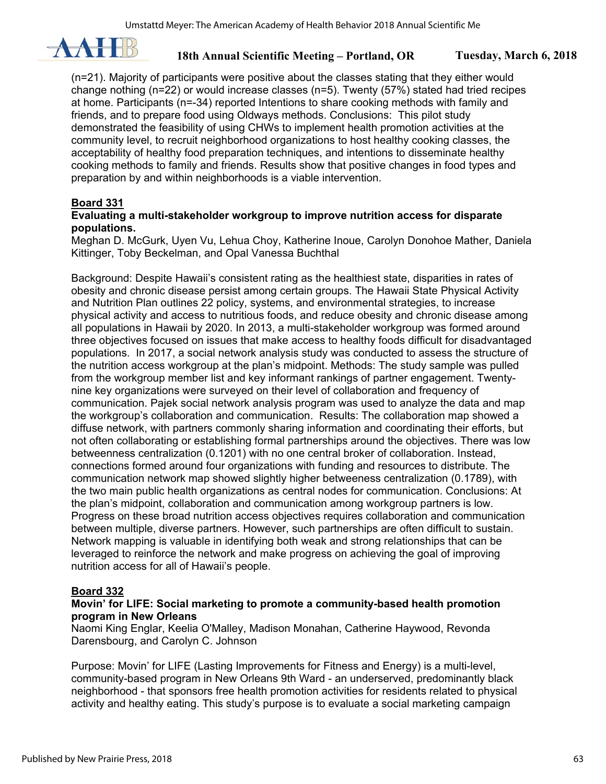

(n=21). Majority of participants were positive about the classes stating that they either would change nothing (n=22) or would increase classes (n=5). Twenty (57%) stated had tried recipes at home. Participants (n=-34) reported Intentions to share cooking methods with family and friends, and to prepare food using Oldways methods. Conclusions: This pilot study demonstrated the feasibility of using CHWs to implement health promotion activities at the community level, to recruit neighborhood organizations to host healthy cooking classes, the acceptability of healthy food preparation techniques, and intentions to disseminate healthy cooking methods to family and friends. Results show that positive changes in food types and preparation by and within neighborhoods is a viable intervention.

## **Board 331**

#### **Evaluating a multi-stakeholder workgroup to improve nutrition access for disparate populations.**

Meghan D. McGurk, Uyen Vu, Lehua Choy, Katherine Inoue, Carolyn Donohoe Mather, Daniela Kittinger, Toby Beckelman, and Opal Vanessa Buchthal

Background: Despite Hawaii's consistent rating as the healthiest state, disparities in rates of obesity and chronic disease persist among certain groups. The Hawaii State Physical Activity and Nutrition Plan outlines 22 policy, systems, and environmental strategies, to increase physical activity and access to nutritious foods, and reduce obesity and chronic disease among all populations in Hawaii by 2020. In 2013, a multi-stakeholder workgroup was formed around three objectives focused on issues that make access to healthy foods difficult for disadvantaged populations. In 2017, a social network analysis study was conducted to assess the structure of the nutrition access workgroup at the plan's midpoint. Methods: The study sample was pulled from the workgroup member list and key informant rankings of partner engagement. Twentynine key organizations were surveyed on their level of collaboration and frequency of communication. Pajek social network analysis program was used to analyze the data and map the workgroup's collaboration and communication. Results: The collaboration map showed a diffuse network, with partners commonly sharing information and coordinating their efforts, but not often collaborating or establishing formal partnerships around the objectives. There was low betweenness centralization (0.1201) with no one central broker of collaboration. Instead, connections formed around four organizations with funding and resources to distribute. The communication network map showed slightly higher betweeness centralization (0.1789), with the two main public health organizations as central nodes for communication. Conclusions: At the plan's midpoint, collaboration and communication among workgroup partners is low. Progress on these broad nutrition access objectives requires collaboration and communication between multiple, diverse partners. However, such partnerships are often difficult to sustain. Network mapping is valuable in identifying both weak and strong relationships that can be leveraged to reinforce the network and make progress on achieving the goal of improving nutrition access for all of Hawaii's people.

#### **Board 332**

#### **Movin' for LIFE: Social marketing to promote a community-based health promotion program in New Orleans**

Naomi King Englar, Keelia O'Malley, Madison Monahan, Catherine Haywood, Revonda Darensbourg, and Carolyn C. Johnson

Purpose: Movin' for LIFE (Lasting Improvements for Fitness and Energy) is a multi-level, community-based program in New Orleans 9th Ward - an underserved, predominantly black neighborhood - that sponsors free health promotion activities for residents related to physical activity and healthy eating. This study's purpose is to evaluate a social marketing campaign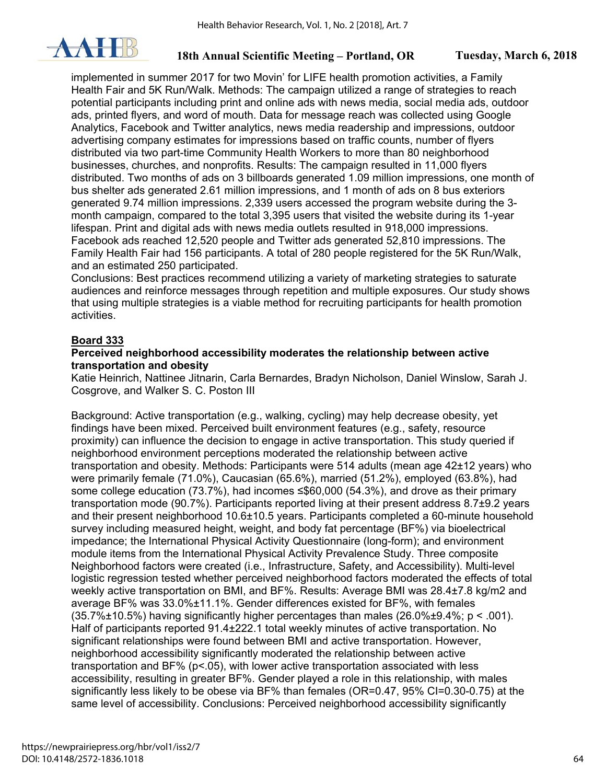

implemented in summer 2017 for two Movin' for LIFE health promotion activities, a Family Health Fair and 5K Run/Walk. Methods: The campaign utilized a range of strategies to reach potential participants including print and online ads with news media, social media ads, outdoor ads, printed flyers, and word of mouth. Data for message reach was collected using Google Analytics, Facebook and Twitter analytics, news media readership and impressions, outdoor advertising company estimates for impressions based on traffic counts, number of flyers distributed via two part-time Community Health Workers to more than 80 neighborhood businesses, churches, and nonprofits. Results: The campaign resulted in 11,000 flyers distributed. Two months of ads on 3 billboards generated 1.09 million impressions, one month of bus shelter ads generated 2.61 million impressions, and 1 month of ads on 8 bus exteriors generated 9.74 million impressions. 2,339 users accessed the program website during the 3 month campaign, compared to the total 3,395 users that visited the website during its 1-year lifespan. Print and digital ads with news media outlets resulted in 918,000 impressions. Facebook ads reached 12,520 people and Twitter ads generated 52,810 impressions. The Family Health Fair had 156 participants. A total of 280 people registered for the 5K Run/Walk, and an estimated 250 participated.

Conclusions: Best practices recommend utilizing a variety of marketing strategies to saturate audiences and reinforce messages through repetition and multiple exposures. Our study shows that using multiple strategies is a viable method for recruiting participants for health promotion activities.

## **Board 333**

#### **Perceived neighborhood accessibility moderates the relationship between active transportation and obesity**

Katie Heinrich, Nattinee Jitnarin, Carla Bernardes, Bradyn Nicholson, Daniel Winslow, Sarah J. Cosgrove, and Walker S. C. Poston III

Background: Active transportation (e.g., walking, cycling) may help decrease obesity, yet findings have been mixed. Perceived built environment features (e.g., safety, resource proximity) can influence the decision to engage in active transportation. This study queried if neighborhood environment perceptions moderated the relationship between active transportation and obesity. Methods: Participants were 514 adults (mean age 42±12 years) who were primarily female (71.0%), Caucasian (65.6%), married (51.2%), employed (63.8%), had some college education (73.7%), had incomes ≤\$60,000 (54.3%), and drove as their primary transportation mode (90.7%). Participants reported living at their present address 8.7±9.2 years and their present neighborhood 10.6±10.5 years. Participants completed a 60-minute household survey including measured height, weight, and body fat percentage (BF%) via bioelectrical impedance; the International Physical Activity Questionnaire (long-form); and environment module items from the International Physical Activity Prevalence Study. Three composite Neighborhood factors were created (i.e., Infrastructure, Safety, and Accessibility). Multi-level logistic regression tested whether perceived neighborhood factors moderated the effects of total weekly active transportation on BMI, and BF%. Results: Average BMI was 28.4±7.8 kg/m2 and average BF% was 33.0%±11.1%. Gender differences existed for BF%, with females  $(35.7\% \pm 10.5\%)$  having significantly higher percentages than males  $(26.0\% \pm 9.4\%; p < .001)$ . Half of participants reported 91.4±222.1 total weekly minutes of active transportation. No significant relationships were found between BMI and active transportation. However, neighborhood accessibility significantly moderated the relationship between active transportation and BF% (p<.05), with lower active transportation associated with less accessibility, resulting in greater BF%. Gender played a role in this relationship, with males significantly less likely to be obese via BF% than females (OR=0.47, 95% CI=0.30-0.75) at the same level of accessibility. Conclusions: Perceived neighborhood accessibility significantly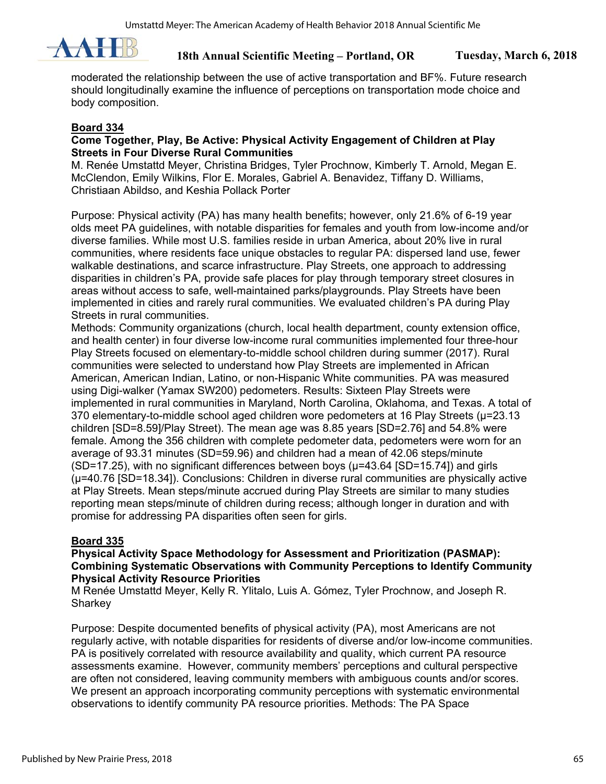

moderated the relationship between the use of active transportation and BF%. Future research should longitudinally examine the influence of perceptions on transportation mode choice and body composition.

#### **Board 334**

### **Come Together, Play, Be Active: Physical Activity Engagement of Children at Play Streets in Four Diverse Rural Communities**

M. Renée Umstattd Meyer, Christina Bridges, Tyler Prochnow, Kimberly T. Arnold, Megan E. McClendon, Emily Wilkins, Flor E. Morales, Gabriel A. Benavidez, Tiffany D. Williams, Christiaan Abildso, and Keshia Pollack Porter

Purpose: Physical activity (PA) has many health benefits; however, only 21.6% of 6-19 year olds meet PA guidelines, with notable disparities for females and youth from low-income and/or diverse families. While most U.S. families reside in urban America, about 20% live in rural communities, where residents face unique obstacles to regular PA: dispersed land use, fewer walkable destinations, and scarce infrastructure. Play Streets, one approach to addressing disparities in children's PA, provide safe places for play through temporary street closures in areas without access to safe, well-maintained parks/playgrounds. Play Streets have been implemented in cities and rarely rural communities. We evaluated children's PA during Play Streets in rural communities.

Methods: Community organizations (church, local health department, county extension office, and health center) in four diverse low-income rural communities implemented four three-hour Play Streets focused on elementary-to-middle school children during summer (2017). Rural communities were selected to understand how Play Streets are implemented in African American, American Indian, Latino, or non-Hispanic White communities. PA was measured using Digi-walker (Yamax SW200) pedometers. Results: Sixteen Play Streets were implemented in rural communities in Maryland, North Carolina, Oklahoma, and Texas. A total of 370 elementary-to-middle school aged children wore pedometers at 16 Play Streets (μ=23.13 children [SD=8.59]/Play Street). The mean age was 8.85 years [SD=2.76] and 54.8% were female. Among the 356 children with complete pedometer data, pedometers were worn for an average of 93.31 minutes (SD=59.96) and children had a mean of 42.06 steps/minute (SD=17.25), with no significant differences between boys (μ=43.64 [SD=15.74]) and girls (μ=40.76 [SD=18.34]). Conclusions: Children in diverse rural communities are physically active at Play Streets. Mean steps/minute accrued during Play Streets are similar to many studies reporting mean steps/minute of children during recess; although longer in duration and with promise for addressing PA disparities often seen for girls.

## **Board 335**

#### **Physical Activity Space Methodology for Assessment and Prioritization (PASMAP): Combining Systematic Observations with Community Perceptions to Identify Community Physical Activity Resource Priorities**

M Renée Umstattd Meyer, Kelly R. Ylitalo, Luis A. Gómez, Tyler Prochnow, and Joseph R. **Sharkey** 

Purpose: Despite documented benefits of physical activity (PA), most Americans are not regularly active, with notable disparities for residents of diverse and/or low-income communities. PA is positively correlated with resource availability and quality, which current PA resource assessments examine. However, community members' perceptions and cultural perspective are often not considered, leaving community members with ambiguous counts and/or scores. We present an approach incorporating community perceptions with systematic environmental observations to identify community PA resource priorities. Methods: The PA Space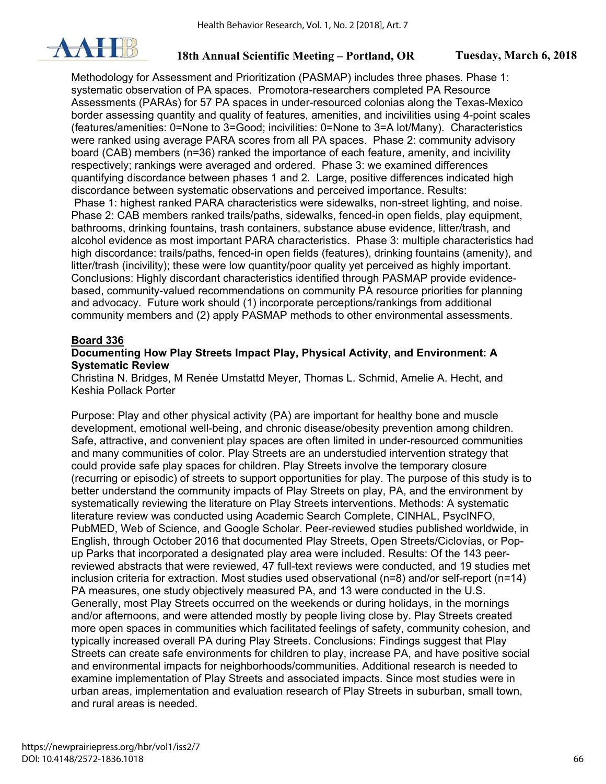

Methodology for Assessment and Prioritization (PASMAP) includes three phases. Phase 1: systematic observation of PA spaces. Promotora-researchers completed PA Resource Assessments (PARAs) for 57 PA spaces in under-resourced colonias along the Texas-Mexico border assessing quantity and quality of features, amenities, and incivilities using 4-point scales (features/amenities: 0=None to 3=Good; incivilities: 0=None to 3=A lot/Many). Characteristics were ranked using average PARA scores from all PA spaces. Phase 2: community advisory board (CAB) members (n=36) ranked the importance of each feature, amenity, and incivility respectively; rankings were averaged and ordered. Phase 3: we examined differences quantifying discordance between phases 1 and 2. Large, positive differences indicated high discordance between systematic observations and perceived importance. Results: Phase 1: highest ranked PARA characteristics were sidewalks, non-street lighting, and noise. Phase 2: CAB members ranked trails/paths, sidewalks, fenced-in open fields, play equipment, bathrooms, drinking fountains, trash containers, substance abuse evidence, litter/trash, and alcohol evidence as most important PARA characteristics. Phase 3: multiple characteristics had high discordance: trails/paths, fenced-in open fields (features), drinking fountains (amenity), and litter/trash (incivility); these were low quantity/poor quality yet perceived as highly important. Conclusions: Highly discordant characteristics identified through PASMAP provide evidencebased, community-valued recommendations on community PA resource priorities for planning and advocacy. Future work should (1) incorporate perceptions/rankings from additional community members and (2) apply PASMAP methods to other environmental assessments.

#### **Board 336**

#### **Documenting How Play Streets Impact Play, Physical Activity, and Environment: A Systematic Review**

Christina N. Bridges, M Renée Umstattd Meyer, Thomas L. Schmid, Amelie A. Hecht, and Keshia Pollack Porter

Purpose: Play and other physical activity (PA) are important for healthy bone and muscle development, emotional well-being, and chronic disease/obesity prevention among children. Safe, attractive, and convenient play spaces are often limited in under-resourced communities and many communities of color. Play Streets are an understudied intervention strategy that could provide safe play spaces for children. Play Streets involve the temporary closure (recurring or episodic) of streets to support opportunities for play. The purpose of this study is to better understand the community impacts of Play Streets on play, PA, and the environment by systematically reviewing the literature on Play Streets interventions. Methods: A systematic literature review was conducted using Academic Search Complete, CINHAL, PsycINFO, PubMED, Web of Science, and Google Scholar. Peer-reviewed studies published worldwide, in English, through October 2016 that documented Play Streets, Open Streets/Ciclovías, or Popup Parks that incorporated a designated play area were included. Results: Of the 143 peerreviewed abstracts that were reviewed, 47 full-text reviews were conducted, and 19 studies met inclusion criteria for extraction. Most studies used observational (n=8) and/or self-report (n=14) PA measures, one study objectively measured PA, and 13 were conducted in the U.S. Generally, most Play Streets occurred on the weekends or during holidays, in the mornings and/or afternoons, and were attended mostly by people living close by. Play Streets created more open spaces in communities which facilitated feelings of safety, community cohesion, and typically increased overall PA during Play Streets. Conclusions: Findings suggest that Play Streets can create safe environments for children to play, increase PA, and have positive social and environmental impacts for neighborhoods/communities. Additional research is needed to examine implementation of Play Streets and associated impacts. Since most studies were in urban areas, implementation and evaluation research of Play Streets in suburban, small town, and rural areas is needed.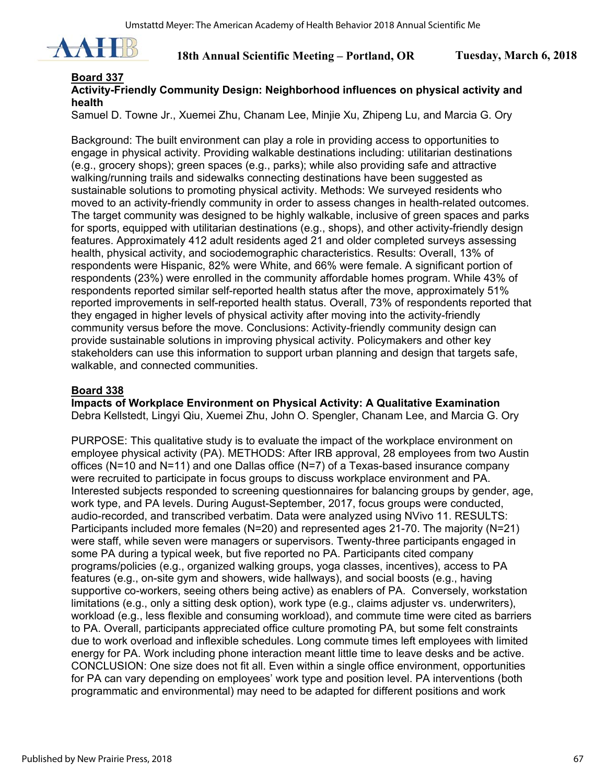

## **Board 337**

## **Activity-Friendly Community Design: Neighborhood influences on physical activity and health**

Samuel D. Towne Jr., Xuemei Zhu, Chanam Lee, Minjie Xu, Zhipeng Lu, and Marcia G. Ory

Background: The built environment can play a role in providing access to opportunities to engage in physical activity. Providing walkable destinations including: utilitarian destinations (e.g., grocery shops); green spaces (e.g., parks); while also providing safe and attractive walking/running trails and sidewalks connecting destinations have been suggested as sustainable solutions to promoting physical activity. Methods: We surveyed residents who moved to an activity-friendly community in order to assess changes in health-related outcomes. The target community was designed to be highly walkable, inclusive of green spaces and parks for sports, equipped with utilitarian destinations (e.g., shops), and other activity-friendly design features. Approximately 412 adult residents aged 21 and older completed surveys assessing health, physical activity, and sociodemographic characteristics. Results: Overall, 13% of respondents were Hispanic, 82% were White, and 66% were female. A significant portion of respondents (23%) were enrolled in the community affordable homes program. While 43% of respondents reported similar self-reported health status after the move, approximately 51% reported improvements in self-reported health status. Overall, 73% of respondents reported that they engaged in higher levels of physical activity after moving into the activity-friendly community versus before the move. Conclusions: Activity-friendly community design can provide sustainable solutions in improving physical activity. Policymakers and other key stakeholders can use this information to support urban planning and design that targets safe, walkable, and connected communities.

### **Board 338**

**Impacts of Workplace Environment on Physical Activity: A Qualitative Examination**  Debra Kellstedt, Lingyi Qiu, Xuemei Zhu, John O. Spengler, Chanam Lee, and Marcia G. Ory

PURPOSE: This qualitative study is to evaluate the impact of the workplace environment on employee physical activity (PA). METHODS: After IRB approval, 28 employees from two Austin offices (N=10 and N=11) and one Dallas office (N=7) of a Texas-based insurance company were recruited to participate in focus groups to discuss workplace environment and PA. Interested subjects responded to screening questionnaires for balancing groups by gender, age, work type, and PA levels. During August-September, 2017, focus groups were conducted, audio-recorded, and transcribed verbatim. Data were analyzed using NVivo 11. RESULTS: Participants included more females (N=20) and represented ages 21-70. The majority (N=21) were staff, while seven were managers or supervisors. Twenty-three participants engaged in some PA during a typical week, but five reported no PA. Participants cited company programs/policies (e.g., organized walking groups, yoga classes, incentives), access to PA features (e.g., on-site gym and showers, wide hallways), and social boosts (e.g., having supportive co-workers, seeing others being active) as enablers of PA. Conversely, workstation limitations (e.g., only a sitting desk option), work type (e.g., claims adjuster vs. underwriters), workload (e.g., less flexible and consuming workload), and commute time were cited as barriers to PA. Overall, participants appreciated office culture promoting PA, but some felt constraints due to work overload and inflexible schedules. Long commute times left employees with limited energy for PA. Work including phone interaction meant little time to leave desks and be active. CONCLUSION: One size does not fit all. Even within a single office environment, opportunities for PA can vary depending on employees' work type and position level. PA interventions (both programmatic and environmental) may need to be adapted for different positions and work